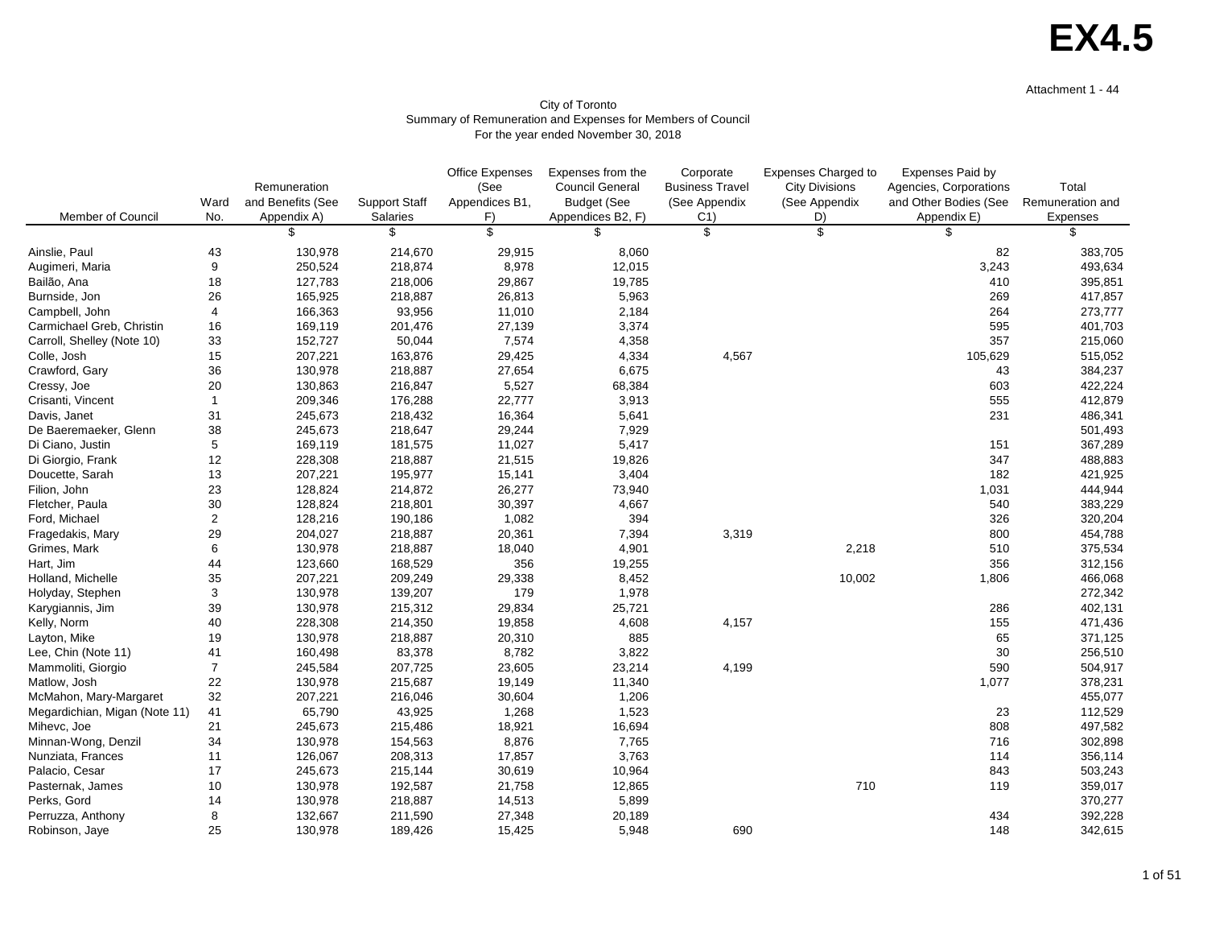#### Attachment 1 - 44

|                               |                |                   |                      | Office Expenses | Expenses from the      | Corporate                 | <b>Expenses Charged to</b> | <b>Expenses Paid by</b> |                  |
|-------------------------------|----------------|-------------------|----------------------|-----------------|------------------------|---------------------------|----------------------------|-------------------------|------------------|
|                               |                | Remuneration      |                      | (See            | <b>Council General</b> | <b>Business Travel</b>    | <b>City Divisions</b>      | Agencies, Corporations  | Total            |
|                               | Ward           | and Benefits (See | <b>Support Staff</b> | Appendices B1,  | <b>Budget (See</b>     | (See Appendix             | (See Appendix              | and Other Bodies (See   | Remuneration and |
| Member of Council             | No.            | Appendix A)       | <b>Salaries</b>      | F)              | Appendices B2, F)      | C <sub>1</sub>            | D)                         | Appendix E)             | Expenses         |
|                               |                |                   | S                    | \$              | \$                     | $\boldsymbol{\mathsf{S}}$ | \$                         | \$                      | \$               |
| Ainslie, Paul                 | 43             | 130,978           | 214,670              | 29,915          | 8,060                  |                           |                            | 82                      | 383,705          |
| Augimeri, Maria               | 9              | 250,524           | 218,874              | 8,978           | 12,015                 |                           |                            | 3,243                   | 493,634          |
| Bailão, Ana                   | 18             | 127,783           | 218,006              | 29,867          | 19,785                 |                           |                            | 410                     | 395,851          |
| Burnside, Jon                 | 26             | 165,925           | 218,887              | 26,813          | 5,963                  |                           |                            | 269                     | 417,857          |
| Campbell, John                | 4              | 166,363           | 93,956               | 11,010          | 2,184                  |                           |                            | 264                     | 273,777          |
| Carmichael Greb, Christin     | 16             | 169,119           | 201,476              | 27,139          | 3,374                  |                           |                            | 595                     | 401,703          |
| Carroll, Shelley (Note 10)    | 33             | 152,727           | 50,044               | 7,574           | 4,358                  |                           |                            | 357                     | 215,060          |
| Colle, Josh                   | 15             | 207,221           | 163,876              | 29,425          | 4,334                  | 4,567                     |                            | 105,629                 | 515,052          |
| Crawford, Gary                | 36             | 130,978           | 218,887              | 27,654          | 6,675                  |                           |                            | 43                      | 384,237          |
| Cressy, Joe                   | 20             | 130,863           | 216,847              | 5,527           | 68,384                 |                           |                            | 603                     | 422,224          |
| Crisanti, Vincent             |                | 209,346           | 176,288              | 22,777          | 3,913                  |                           |                            | 555                     | 412,879          |
| Davis, Janet                  | 31             | 245,673           | 218,432              | 16,364          | 5,641                  |                           |                            | 231                     | 486,341          |
| De Baeremaeker, Glenn         | 38             | 245,673           | 218,647              | 29,244          | 7,929                  |                           |                            |                         | 501,493          |
| Di Ciano, Justin              | $\mathbf 5$    | 169,119           | 181,575              | 11,027          | 5,417                  |                           |                            | 151                     | 367,289          |
| Di Giorgio, Frank             | 12             | 228,308           | 218,887              | 21,515          | 19,826                 |                           |                            | 347                     | 488,883          |
| Doucette, Sarah               | 13             | 207,221           | 195,977              | 15,141          | 3,404                  |                           |                            | 182                     | 421,925          |
| Filion, John                  | 23             | 128,824           | 214,872              | 26,277          | 73,940                 |                           |                            | 1,031                   | 444,944          |
| Fletcher, Paula               | 30             | 128,824           | 218,801              | 30,397          | 4,667                  |                           |                            | 540                     | 383,229          |
| Ford, Michael                 | $\overline{2}$ | 128,216           | 190,186              | 1,082           | 394                    |                           |                            | 326                     | 320,204          |
| Fragedakis, Mary              | 29             | 204,027           | 218,887              | 20,361          | 7,394                  | 3,319                     |                            | 800                     | 454,788          |
| Grimes, Mark                  | $\,6\,$        | 130,978           | 218,887              | 18,040          | 4,901                  |                           | 2,218                      | 510                     | 375,534          |
| Hart, Jim                     | 44             | 123,660           | 168,529              | 356             | 19,255                 |                           |                            | 356                     | 312,156          |
| Holland, Michelle             | 35             | 207,221           | 209,249              | 29,338          | 8,452                  |                           | 10,002                     | 1,806                   | 466,068          |
| Holyday, Stephen              | 3              | 130,978           | 139,207              | 179             | 1,978                  |                           |                            |                         | 272,342          |
| Karygiannis, Jim              | 39             | 130,978           | 215,312              | 29,834          | 25,721                 |                           |                            | 286                     | 402,131          |
| Kelly, Norm                   | 40             | 228,308           | 214,350              | 19,858          | 4,608                  | 4,157                     |                            | 155                     | 471,436          |
| Layton, Mike                  | 19             | 130,978           | 218,887              | 20,310          | 885                    |                           |                            | 65                      | 371,125          |
| Lee, Chin (Note 11)           | 41             | 160,498           | 83,378               | 8,782           | 3,822                  |                           |                            | 30                      | 256,510          |
| Mammoliti, Giorgio            |                | 245,584           | 207,725              | 23,605          | 23,214                 | 4,199                     |                            | 590                     | 504,917          |
| Matlow, Josh                  | 22             | 130,978           | 215,687              | 19,149          | 11,340                 |                           |                            | 1,077                   | 378,231          |
| McMahon, Mary-Margaret        | 32             | 207,221           | 216,046              | 30,604          | 1,206                  |                           |                            |                         | 455,077          |
| Megardichian, Migan (Note 11) | 41             | 65,790            | 43,925               | 1,268           | 1,523                  |                           |                            | 23                      | 112,529          |
| Mihevc, Joe                   | 21             | 245,673           | 215,486              | 18,921          | 16,694                 |                           |                            | 808                     | 497,582          |
| Minnan-Wong, Denzil           | 34             | 130,978           | 154,563              | 8,876           | 7,765                  |                           |                            | 716                     | 302,898          |
| Nunziata, Frances             | 11             | 126,067           | 208,313              | 17,857          | 3,763                  |                           |                            | 114                     | 356,114          |
| Palacio, Cesar                | 17             | 245,673           | 215,144              | 30,619          | 10,964                 |                           |                            | 843                     | 503,243          |
| Pasternak, James              | 10             | 130,978           | 192,587              | 21,758          | 12,865                 |                           | 710                        | 119                     | 359,017          |
| Perks, Gord                   | 14             | 130,978           | 218,887              | 14,513          | 5,899                  |                           |                            |                         | 370,277          |
| Perruzza, Anthony             | 8              | 132,667           | 211,590              | 27,348          | 20,189                 |                           |                            | 434                     | 392,228          |
| Robinson, Jaye                | 25             | 130,978           | 189,426              | 15,425          | 5,948                  | 690                       |                            | 148                     | 342,615          |

#### City of Toronto Summary of Remuneration and Expenses for Members of Council For the year ended November 30, 2018

# **EX4.5**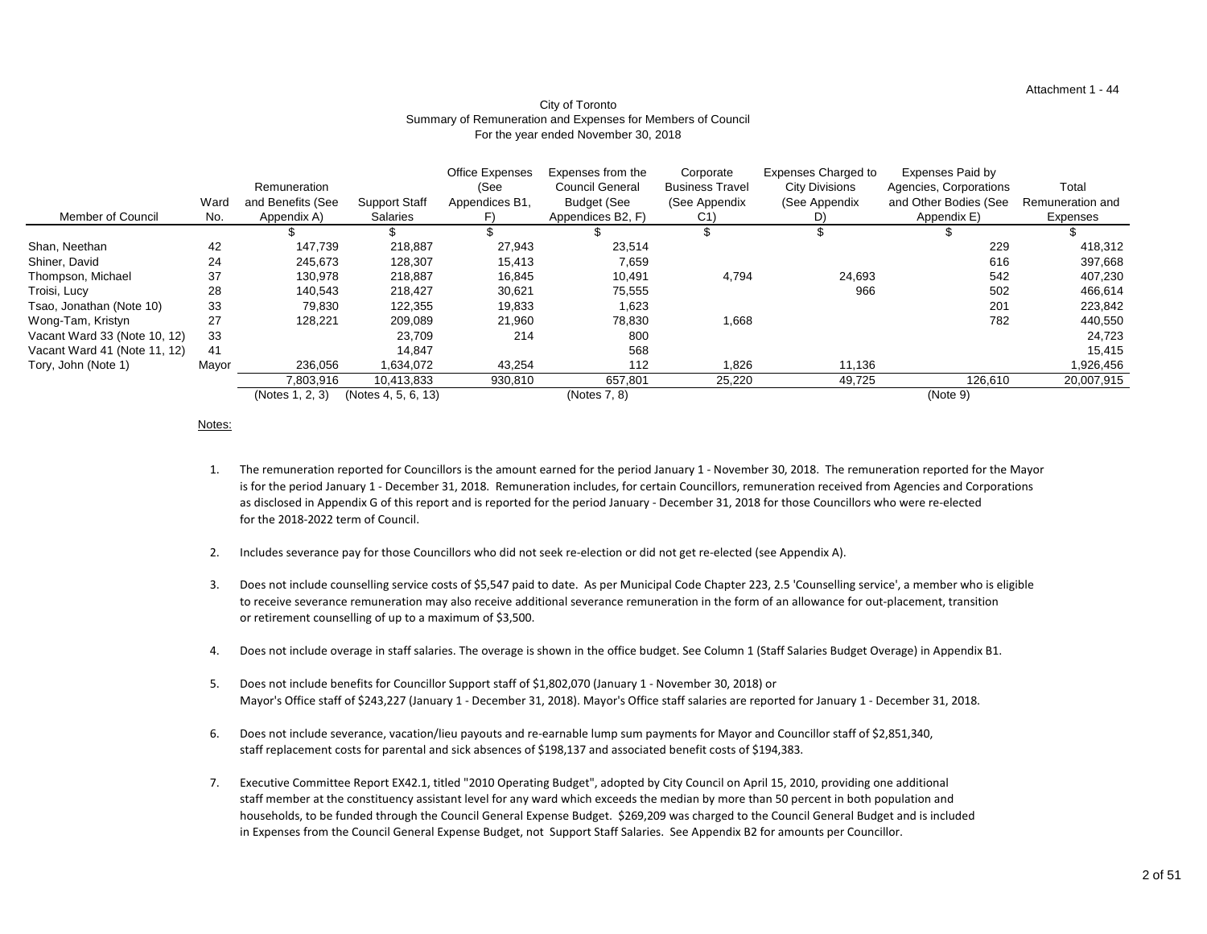#### Attachment 1 - 44

#### City of Toronto Summary of Remuneration and Expenses for Members of Council For the year ended November 30, 2018

| <b>Member of Council</b>     | Ward<br>No. | Remuneration<br>and Benefits (See<br>Appendix A) | <b>Support Staff</b><br><b>Salaries</b> | <b>Office Expenses</b><br>(See<br>Appendices B1, | Expenses from the<br><b>Council General</b><br><b>Budget (See</b><br>Appendices B2, F) | Corporate<br><b>Business Travel</b><br>(See Appendix<br>C <sub>1</sub> | <b>Expenses Charged to</b><br><b>City Divisions</b><br>(See Appendix<br>D) | <b>Expenses Paid by</b><br>Agencies, Corporations<br>and Other Bodies (See<br>Appendix E) | Total<br>Remuneration and<br>Expenses |
|------------------------------|-------------|--------------------------------------------------|-----------------------------------------|--------------------------------------------------|----------------------------------------------------------------------------------------|------------------------------------------------------------------------|----------------------------------------------------------------------------|-------------------------------------------------------------------------------------------|---------------------------------------|
|                              |             |                                                  |                                         |                                                  |                                                                                        |                                                                        |                                                                            |                                                                                           |                                       |
| Shan, Neethan                | 42          | 147,739                                          | 218,887                                 | 27,943                                           | 23,514                                                                                 |                                                                        |                                                                            | 229                                                                                       | 418,312                               |
| Shiner, David                | 24          | 245,673                                          | 128,307                                 | 15,413                                           | 7,659                                                                                  |                                                                        |                                                                            | 616                                                                                       | 397,668                               |
| Thompson, Michael            | 37          | 130,978                                          | 218,887                                 | 16,845                                           | 10,491                                                                                 | 4,794                                                                  | 24,693                                                                     | 542                                                                                       | 407,230                               |
| Troisi, Lucy                 | 28          | 140,543                                          | 218,427                                 | 30,621                                           | 75,555                                                                                 |                                                                        | 966                                                                        | 502                                                                                       | 466,614                               |
| Tsao, Jonathan (Note 10)     | 33          | 79,830                                           | 122,355                                 | 19,833                                           | 1,623                                                                                  |                                                                        |                                                                            | 201                                                                                       | 223,842                               |
| Wong-Tam, Kristyn            | 27          | 128,221                                          | 209,089                                 | 21,960                                           | 78,830                                                                                 | 1,668                                                                  |                                                                            | 782                                                                                       | 440,550                               |
| Vacant Ward 33 (Note 10, 12) | 33          |                                                  | 23,709                                  | 214                                              | 800                                                                                    |                                                                        |                                                                            |                                                                                           | 24,723                                |
| Vacant Ward 41 (Note 11, 12) | 41          |                                                  | 14,847                                  |                                                  | 568                                                                                    |                                                                        |                                                                            |                                                                                           | 15,415                                |
| Tory, John (Note 1)          | Mayor       | 236,056                                          | 1,634,072                               | 43,254                                           | 112                                                                                    | ,826                                                                   | 11,136                                                                     |                                                                                           | 1,926,456                             |
|                              |             | 7,803,916                                        | 10,413,833                              | 930,810                                          | 657,801                                                                                | 25,220                                                                 | 49,725                                                                     | 126,610                                                                                   | 20,007,915                            |
|                              |             | (Notes 1, 2, 3)                                  | (Notes 4, 5, 6, 13)                     |                                                  | (Notes 7, 8)                                                                           |                                                                        |                                                                            | (Note 9)                                                                                  |                                       |

#### Notes:

- 1. The remuneration reported for Councillors is the amount earned for the period January 1 - November 30, 2018. The remuneration reported for the Mayor is for the period January 1 - December 31, 2018. Remuneration includes, for certain Councillors, remuneration received from Agencies and Corporations as disclosed in Appendix G of this report and is reported for the period January - December 31, 2018 for those Councillors who were re-elected for the 2018-2022 term of Council.
- 2. Includes severance pay for those Councillors who did not seek re-election or did not get re-elected (see Appendix A).
- 3. Does not include counselling service costs of \$5,547 paid to date. As per Municipal Code Chapter 223, 2.5 'Counselling service', a member who is eligible to receive severance remuneration may also receive additional severance remuneration in the form of an allowance for out-placement, transition or retirement counselling of up to a maximum of \$3,500.
- 4. Does not include overage in staff salaries. The overage is shown in the office budget. See Column 1 (Staff Salaries Budget Overage) in Appendix B1.
- 5. Does not include benefits for Councillor Support staff of \$1,802,070 (January 1 - November 30, 2018) or Mayor's Office staff of \$243,227 (January 1 - December 31, 2018). Mayor's Office staff salaries are reported for January 1 - December 31, 2018.
- 6. Does not include severance, vacation/lieu payouts and re-earnable lump sum payments for Mayor and Councillor staff of \$2,851,340, staff replacement costs for parental and sick absences of \$198,137 and associated benefit costs of \$194,383.
- 7. Executive Committee Report EX42.1, titled "2010 Operating Budget", adopted by City Council on April 15, 2010, providing one additional staff member at the constituency assistant level for any ward which exceeds the median by more than 50 percent in both population and households, to be funded through the Council General Expense Budget. \$269,209 was charged to the Council General Budget and is included in Expenses from the Council General Expense Budget, not Support Staff Salaries. See Appendix B2 for amounts per Councillor.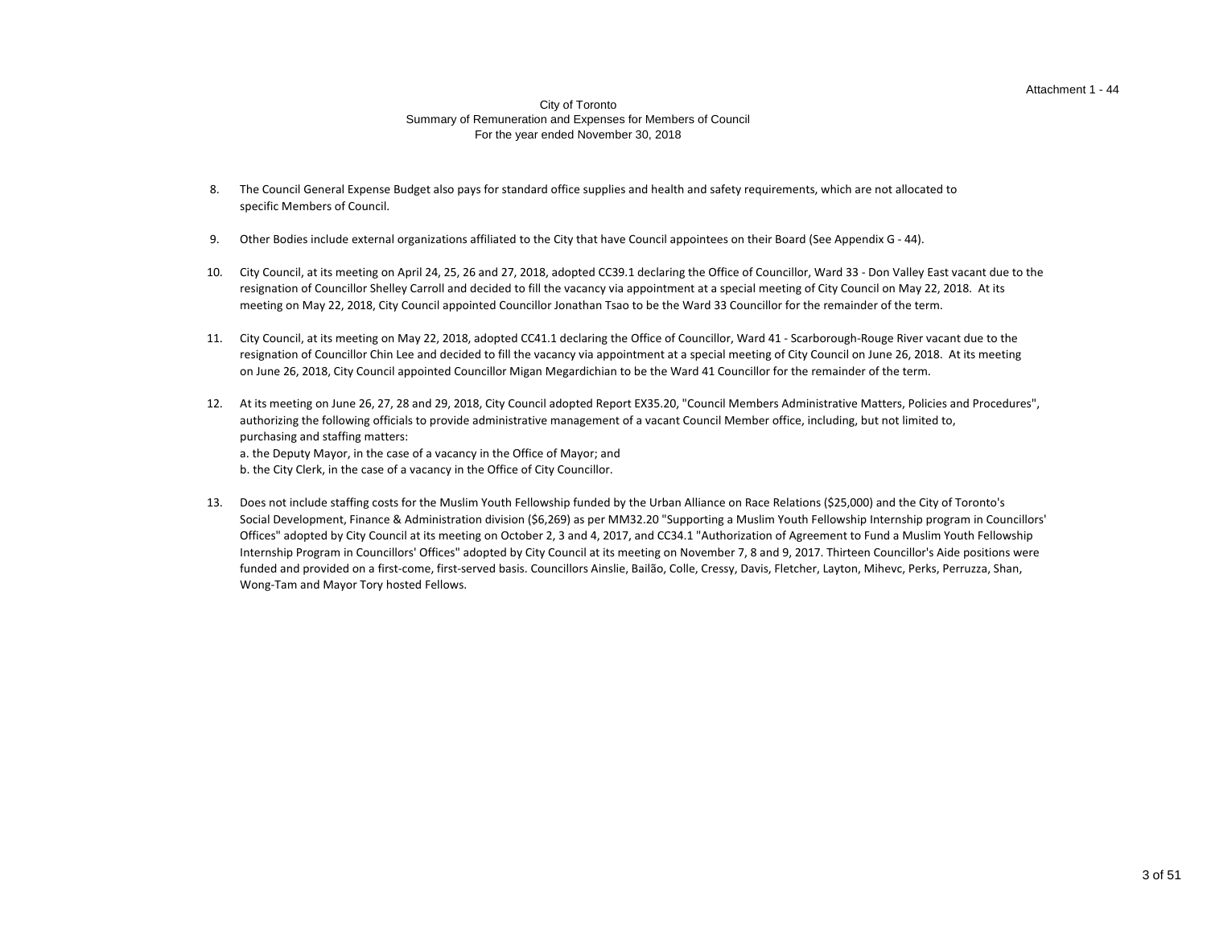#### Attachment 1 - 44

#### City of Toronto Summary of Remuneration and Expenses for Members of Council For the year ended November 30, 2018

- 8. The Council General Expense Budget also pays for standard office supplies and health and safety requirements, which are not allocated to specific Members of Council.
- 9. Other Bodies include external organizations affiliated to the City that have Council appointees on their Board (See Appendix G - 44).
- 10. City Council, at its meeting on April 24, 25, 26 and 27, 2018, adopted CC39.1 declaring the Office of Councillor, Ward 33 - Don Valley East vacant due to the resignation of Councillor Shelley Carroll and decided to fill the vacancy via appointment at a special meeting of City Council on May 22, 2018. At its meeting on May 22, 2018, City Council appointed Councillor Jonathan Tsao to be the Ward 33 Councillor for the remainder of the term.
- 11. City Council, at its meeting on May 22, 2018, adopted CC41.1 declaring the Office of Councillor, Ward 41 Scarborough-Rouge River vacant due to the resignation of Councillor Chin Lee and decided to fill the vacancy via appointment at a special meeting of City Council on June 26, 2018. At its meeting on June 26, 2018, City Council appointed Councillor Migan Megardichian to be the Ward 41 Councillor for the remainder of the term.
- 12. At its meeting on June 26, 27, 28 and 29, 2018, City Council adopted Report EX35.20, "Council Members Administrative Matters, Policies and Procedures", a. the Deputy Mayor, in the case of a vacancy in the Office of Mayor; and b. the City Clerk, in the case of a vacancy in the Office of City Councillor. authorizing the following officials to provide administrative management of a vacant Council Member office, including, but not limited to, purchasing and staffing matters:
- 13. Does not include staffing costs for the Muslim Youth Fellowship funded by the Urban Alliance on Race Relations (\$25,000) and the City of Toronto's funded and provided on a first-come, first-served basis. Councillors Ainslie, Bailão, Colle, Cressy, Davis, Fletcher, Layton, Mihevc, Perks, Perruzza, Shan, Wong-Tam and Mayor Tory hosted Fellows. Social Development, Finance & Administration division (\$6,269) as per MM32.20 "Supporting a Muslim Youth Fellowship Internship program in Councillors' Offices" adopted by City Council at its meeting on October 2, 3 and 4, 2017, and CC34.1 "Authorization of Agreement to Fund a Muslim Youth Fellowship Internship Program in Councillors' Offices" adopted by City Council at its meeting on November 7, 8 and 9, 2017. Thirteen Councillor's Aide positions were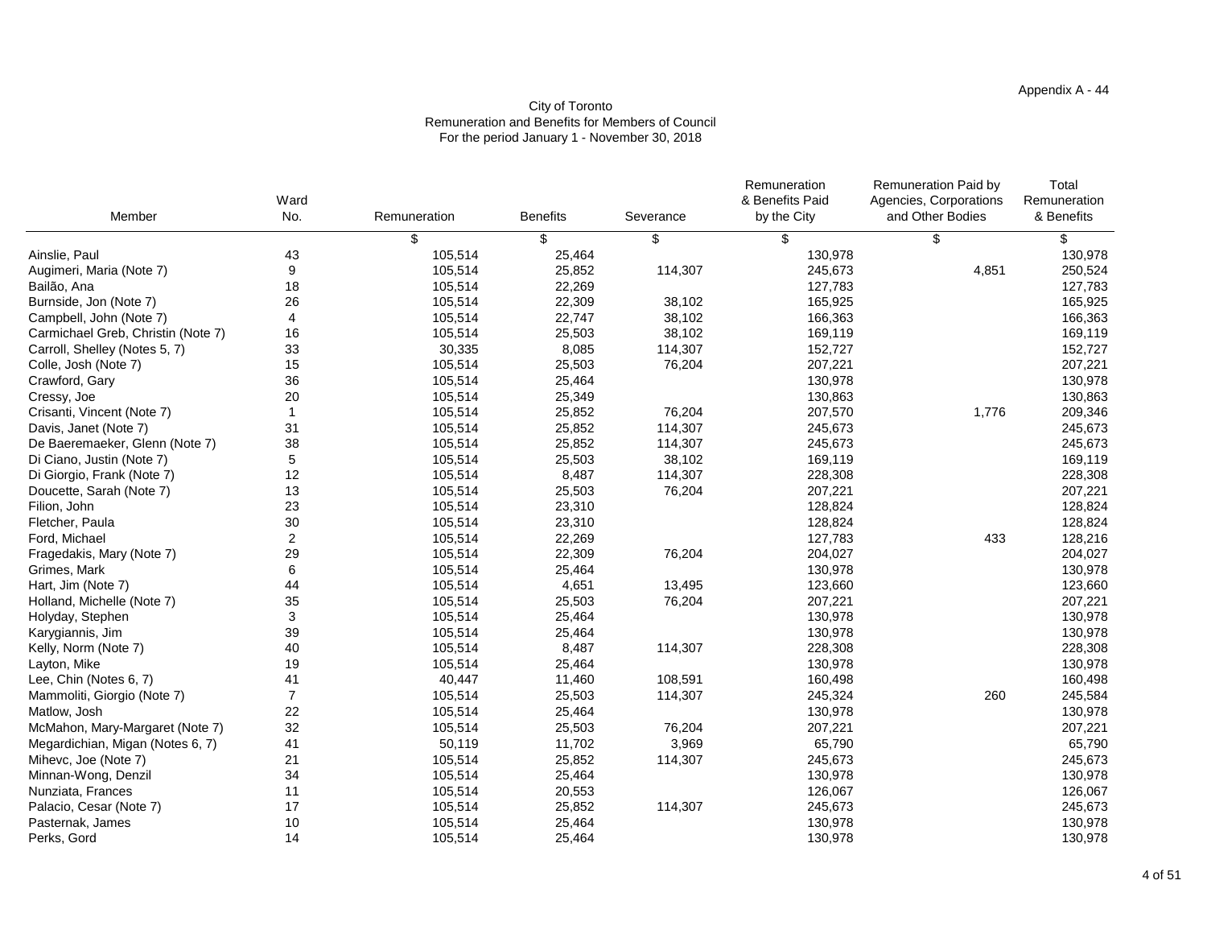# Appendix A - 44

| Paid by  | Total             |
|----------|-------------------|
| orations | Remuneration      |
| dies     | & Benefits        |
|          | \$                |
|          | 130,978           |
| 4,851    | 250,524           |
|          | 127,783           |
|          | 165,925           |
|          | 166,363           |
|          | 169,119           |
|          | 152,727           |
|          | 207,221           |
|          | 130,978           |
|          | 130,863           |
| 1,776    | 209,346           |
|          | 245,673           |
|          | 245,673           |
|          | 169,119           |
|          | 228,308           |
|          | 207,221           |
|          | 128,824           |
|          | 128,824           |
| 433      | 128,216           |
|          | 204,027           |
|          | 130,978           |
|          | 123,660           |
|          | 207,221           |
|          | 130,978           |
|          | 130,978           |
|          | 228,308           |
|          | 130,978           |
| 260      | 160,498           |
|          | 245,584           |
|          | 130,978           |
|          | 207,221           |
|          | 65,790<br>245,673 |
|          | 130,978           |
|          | 126,067           |
|          | 245,673           |
|          | 130,978           |
|          | 130,978           |
|          |                   |

| Member                             | Ward<br>No.    | Remuneration | <b>Benefits</b> | Severance | Remuneration<br>& Benefits Paid<br>by the City | <b>Remuneration Paid by</b><br>Agencies, Corporations<br>and Other Bodies | Total<br>Remuneration<br>& Benefits |
|------------------------------------|----------------|--------------|-----------------|-----------|------------------------------------------------|---------------------------------------------------------------------------|-------------------------------------|
|                                    |                | \$           |                 | \$        | \$                                             |                                                                           |                                     |
| Ainslie, Paul                      | 43             | 105,514      | 25,464          |           | 130,978                                        |                                                                           | 130,978                             |
| Augimeri, Maria (Note 7)           | 9              | 105,514      | 25,852          | 114,307   | 245,673                                        | 4,851                                                                     | 250,524                             |
| Bailão, Ana                        | 18             | 105,514      | 22,269          |           | 127,783                                        |                                                                           | 127,783                             |
| Burnside, Jon (Note 7)             | 26             | 105,514      | 22,309          | 38,102    | 165,925                                        |                                                                           | 165,925                             |
| Campbell, John (Note 7)            | 4              | 105,514      | 22,747          | 38,102    | 166,363                                        |                                                                           | 166,363                             |
| Carmichael Greb, Christin (Note 7) | 16             | 105,514      | 25,503          | 38,102    | 169,119                                        |                                                                           | 169,119                             |
| Carroll, Shelley (Notes 5, 7)      | 33             | 30,335       | 8,085           | 114,307   | 152,727                                        |                                                                           | 152,727                             |
| Colle, Josh (Note 7)               | 15             | 105,514      | 25,503          | 76,204    | 207,221                                        |                                                                           | 207,221                             |
| Crawford, Gary                     | 36             | 105,514      | 25,464          |           | 130,978                                        |                                                                           | 130,978                             |
| Cressy, Joe                        | 20             | 105,514      | 25,349          |           | 130,863                                        |                                                                           | 130,863                             |
| Crisanti, Vincent (Note 7)         |                | 105,514      | 25,852          | 76,204    | 207,570                                        | 1,776                                                                     | 209,346                             |
| Davis, Janet (Note 7)              | 31             | 105,514      | 25,852          | 114,307   | 245,673                                        |                                                                           | 245,673                             |
| De Baeremaeker, Glenn (Note 7)     | 38             | 105,514      | 25,852          | 114,307   | 245,673                                        |                                                                           | 245,673                             |
| Di Ciano, Justin (Note 7)          | 5              | 105,514      | 25,503          | 38,102    | 169,119                                        |                                                                           | 169,119                             |
| Di Giorgio, Frank (Note 7)         | 12             | 105,514      | 8,487           | 114,307   | 228,308                                        |                                                                           | 228,308                             |
| Doucette, Sarah (Note 7)           | 13             | 105,514      | 25,503          | 76,204    | 207,221                                        |                                                                           | 207,221                             |
| Filion, John                       | 23             | 105,514      | 23,310          |           | 128,824                                        |                                                                           | 128,824                             |
| Fletcher, Paula                    | 30             | 105,514      | 23,310          |           | 128,824                                        |                                                                           | 128,824                             |
| Ford, Michael                      | $\overline{2}$ | 105,514      | 22,269          |           | 127,783                                        | 433                                                                       | 128,216                             |
| Fragedakis, Mary (Note 7)          | 29             | 105,514      | 22,309          | 76,204    | 204,027                                        |                                                                           | 204,027                             |
| Grimes, Mark                       | 6              | 105,514      | 25,464          |           | 130,978                                        |                                                                           | 130,978                             |
| Hart, Jim (Note 7)                 | 44             | 105,514      | 4,651           | 13,495    | 123,660                                        |                                                                           | 123,660                             |
| Holland, Michelle (Note 7)         | 35             | 105,514      | 25,503          | 76,204    | 207,221                                        |                                                                           | 207,221                             |
| Holyday, Stephen                   | 3              | 105,514      | 25,464          |           | 130,978                                        |                                                                           | 130,978                             |
| Karygiannis, Jim                   | 39             | 105,514      | 25,464          |           | 130,978                                        |                                                                           | 130,978                             |
| Kelly, Norm (Note 7)               | 40             | 105,514      | 8,487           | 114,307   | 228,308                                        |                                                                           | 228,308                             |
| Layton, Mike                       | 19             | 105,514      | 25,464          |           | 130,978                                        |                                                                           | 130,978                             |
| Lee, Chin (Notes 6, 7)             | 41             | 40,447       | 11,460          | 108,591   | 160,498                                        |                                                                           | 160,498                             |
| Mammoliti, Giorgio (Note 7)        | $\overline{7}$ | 105,514      | 25,503          | 114,307   | 245,324                                        | 260                                                                       | 245,584                             |
| Matlow, Josh                       | 22             | 105,514      | 25,464          |           | 130,978                                        |                                                                           | 130,978                             |
| McMahon, Mary-Margaret (Note 7)    | 32             | 105,514      | 25,503          | 76,204    | 207,221                                        |                                                                           | 207,221                             |
| Megardichian, Migan (Notes 6, 7)   | 41             | 50,119       | 11,702          | 3,969     | 65,790                                         |                                                                           | 65,790                              |
| Mihevc, Joe (Note 7)               | 21             | 105,514      | 25,852          | 114,307   | 245,673                                        |                                                                           | 245,673                             |
| Minnan-Wong, Denzil                | 34             | 105,514      | 25,464          |           | 130,978                                        |                                                                           | 130,978                             |
| Nunziata, Frances                  | 11             | 105,514      | 20,553          |           | 126,067                                        |                                                                           | 126,067                             |
| Palacio, Cesar (Note 7)            | 17             | 105,514      | 25,852          | 114,307   | 245,673                                        |                                                                           | 245,673                             |
| Pasternak, James                   | 10             | 105,514      | 25,464          |           | 130,978                                        |                                                                           | 130,978                             |
| Perks, Gord                        | 14             | 105,514      | 25,464          |           | 130,978                                        |                                                                           | 130,978                             |

# City of Toronto Remuneration and Benefits for Members of Council For the period January 1 - November 30, 2018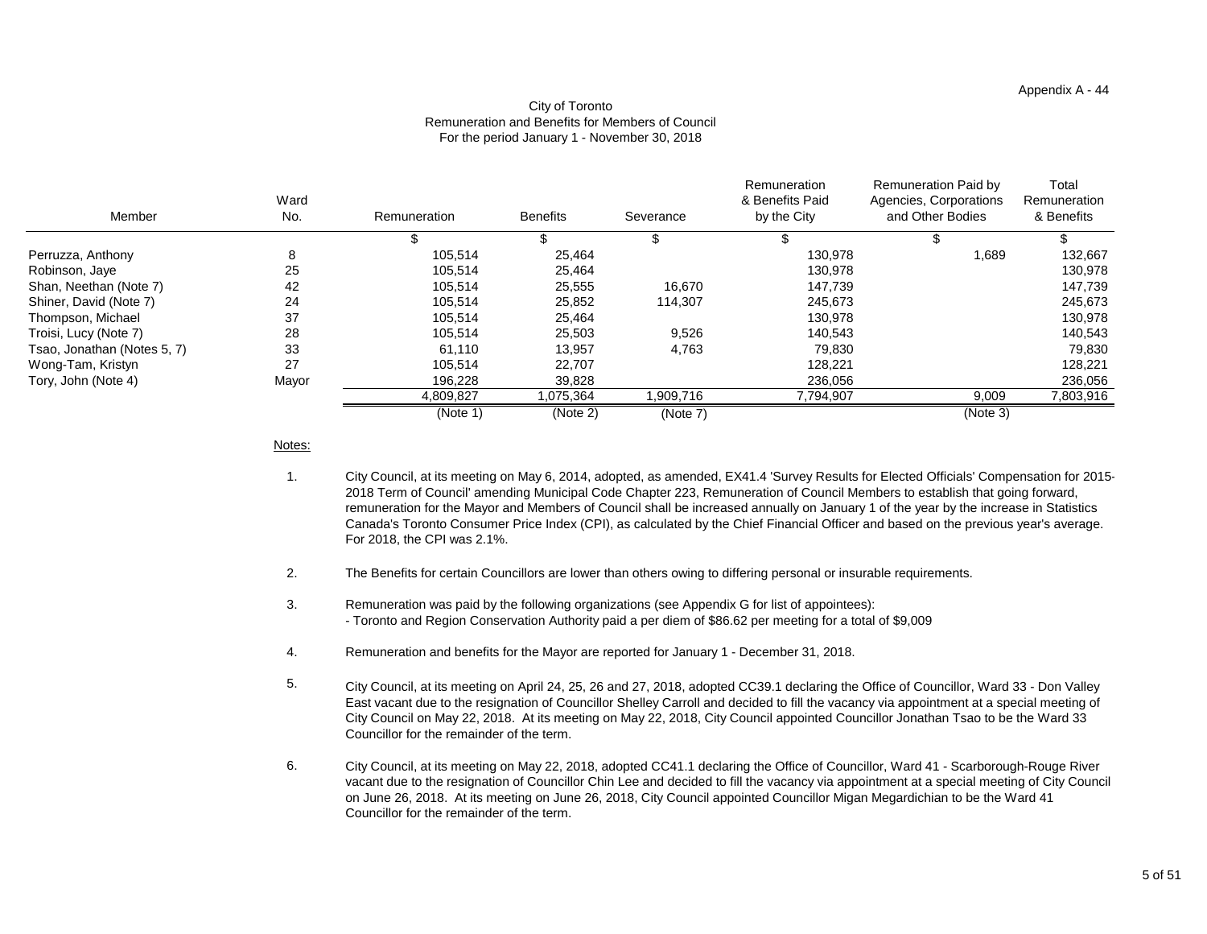# City of Toronto Remuneration and Benefits for Members of Council For the period January 1 - November 30, 2018

| Member                      | Ward<br>No. | Remuneration | <b>Benefits</b> | Severance | Remuneration<br>& Benefits Paid<br>by the City | <b>Remuneration Paid by</b><br>Agencies, Corporations<br>and Other Bodies | Total<br>Remuneration<br>& Benefits |
|-----------------------------|-------------|--------------|-----------------|-----------|------------------------------------------------|---------------------------------------------------------------------------|-------------------------------------|
|                             |             |              |                 |           |                                                |                                                                           |                                     |
| Perruzza, Anthony           | 8           | 105,514      | 25,464          |           | 130,978                                        | 1,689                                                                     | 132,667                             |
| Robinson, Jaye              | 25          | 105,514      | 25,464          |           | 130,978                                        |                                                                           | 130,978                             |
| Shan, Neethan (Note 7)      | 42          | 105,514      | 25,555          | 16,670    | 147,739                                        |                                                                           | 147,739                             |
| Shiner, David (Note 7)      | 24          | 105,514      | 25,852          | 114,307   | 245,673                                        |                                                                           | 245,673                             |
| Thompson, Michael           | 37          | 105,514      | 25,464          |           | 130,978                                        |                                                                           | 130,978                             |
| Troisi, Lucy (Note 7)       | 28          | 105,514      | 25,503          | 9,526     | 140,543                                        |                                                                           | 140,543                             |
| Tsao, Jonathan (Notes 5, 7) | 33          | 61,110       | 13,957          | 4,763     | 79,830                                         |                                                                           | 79,830                              |
| Wong-Tam, Kristyn           | 27          | 105,514      | 22,707          |           | 128,221                                        |                                                                           | 128,221                             |
| Tory, John (Note 4)         | Mayor       | 196,228      | 39,828          |           | 236,056                                        |                                                                           | 236,056                             |
|                             |             | 4,809,827    | 1,075,364       | 1,909,716 | 7,794,907                                      | 9,009                                                                     | 7,803,916                           |
|                             |             | (Note 1)     | (Note 2)        | (Note 7)  |                                                | (Note 3)                                                                  |                                     |

Notes:

- 1. City Council, at its meeting on May 6, 2014, adopted, as amended, EX41.4 'Survey Results for Elected Officials' Compensation for 2015- 2018 Term of Council' amending Municipal Code Chapter 223, Remuneration of Council Members to establish that going forward, remuneration for the Mayor and Members of Council shall be increased annually on January 1 of the year by the increase in Statistics Canada's Toronto Consumer Price Index (CPI), as calculated by the Chief Financial Officer and based on the previous year's average. For 2018, the CPI was 2.1%.
- 2. The Benefits for certain Councillors are lower than others owing to differing personal or insurable requirements.
- 3. Remuneration was paid by the following organizations (see Appendix G for list of appointees): - Toronto and Region Conservation Authority paid a per diem of \$86.62 per meeting for a total of \$9,009
- 4. Remuneration and benefits for the Mayor are reported for January 1 - December 31, 2018.
- 5. City Council, at its meeting on April 24, 25, 26 and 27, 2018, adopted CC39.1 declaring the Office of Councillor, Ward 33 - Don Valley East vacant due to the resignation of Councillor Shelley Carroll and decided to fill the vacancy via appointment at a special meeting of City Council on May 22, 2018. At its meeting on May 22, 2018, City Council appointed Councillor Jonathan Tsao to be the Ward 33 Councillor for the remainder of the term.
- 6. City Council, at its meeting on May 22, 2018, adopted CC41.1 declaring the Office of Councillor, Ward 41 - Scarborough-Rouge River vacant due to the resignation of Councillor Chin Lee and decided to fill the vacancy via appointment at a special meeting of City Council on June 26, 2018. At its meeting on June 26, 2018, City Council appointed Councillor Migan Megardichian to be the Ward 41 Councillor for the remainder of the term.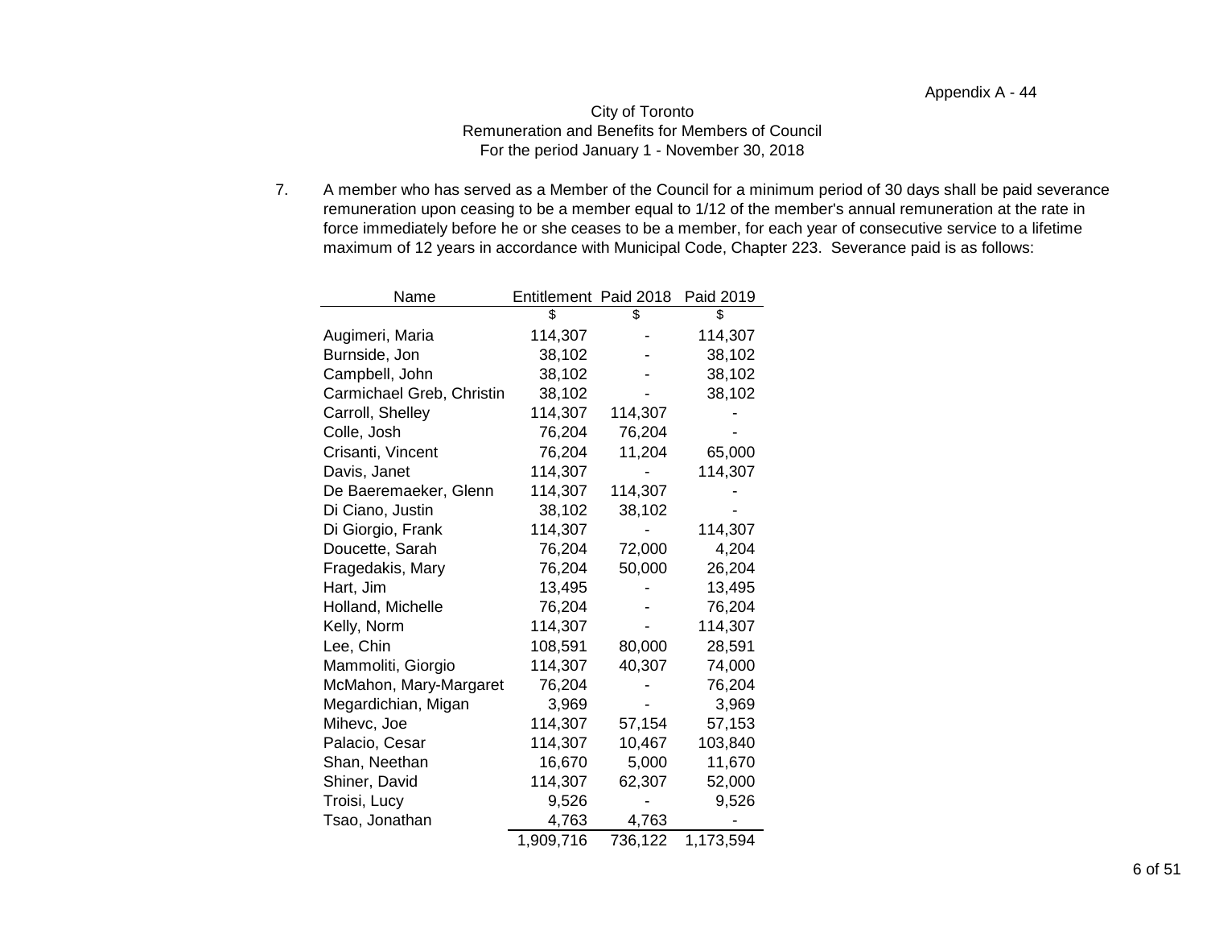### City of Toronto Remuneration and Benefits for Members of Council For the period January 1 - November 30, 2018

7. A member who has served as a Member of the Council for a minimum period of 30 days shall be paid severance remuneration upon ceasing to be a member equal to 1/12 of the member's annual remuneration at the rate in force immediately before he or she ceases to be a member, for each year of consecutive service to a lifetime maximum of 12 years in accordance with Municipal Code, Chapter 223. Severance paid is as follows:

| Name                      | Entitlement Paid 2018 |         | Paid 2019 |
|---------------------------|-----------------------|---------|-----------|
|                           | \$                    | \$      | \$        |
| Augimeri, Maria           | 114,307               |         | 114,307   |
| Burnside, Jon             | 38,102                |         | 38,102    |
| Campbell, John            | 38,102                |         | 38,102    |
| Carmichael Greb, Christin | 38,102                |         | 38,102    |
| Carroll, Shelley          | 114,307               | 114,307 |           |
| Colle, Josh               | 76,204                | 76,204  |           |
| Crisanti, Vincent         | 76,204                | 11,204  | 65,000    |
| Davis, Janet              | 114,307               |         | 114,307   |
| De Baeremaeker, Glenn     | 114,307               | 114,307 |           |
| Di Ciano, Justin          | 38,102                | 38,102  |           |
| Di Giorgio, Frank         | 114,307               |         | 114,307   |
| Doucette, Sarah           | 76,204                | 72,000  | 4,204     |
| Fragedakis, Mary          | 76,204                | 50,000  | 26,204    |
| Hart, Jim                 | 13,495                |         | 13,495    |
| Holland, Michelle         | 76,204                |         | 76,204    |
| Kelly, Norm               | 114,307               |         | 114,307   |
| Lee, Chin                 | 108,591               | 80,000  | 28,591    |
| Mammoliti, Giorgio        | 114,307               | 40,307  | 74,000    |
| McMahon, Mary-Margaret    | 76,204                |         | 76,204    |
| Megardichian, Migan       | 3,969                 |         | 3,969     |
| Mihevc, Joe               | 114,307               | 57,154  | 57,153    |
| Palacio, Cesar            | 114,307               | 10,467  | 103,840   |
| Shan, Neethan             | 16,670                | 5,000   | 11,670    |
| Shiner, David             | 114,307               | 62,307  | 52,000    |
| Troisi, Lucy              | 9,526                 |         | 9,526     |
| Tsao, Jonathan            | 4,763                 | 4,763   |           |
|                           | 1,909,716             | 736,122 | 1,173,594 |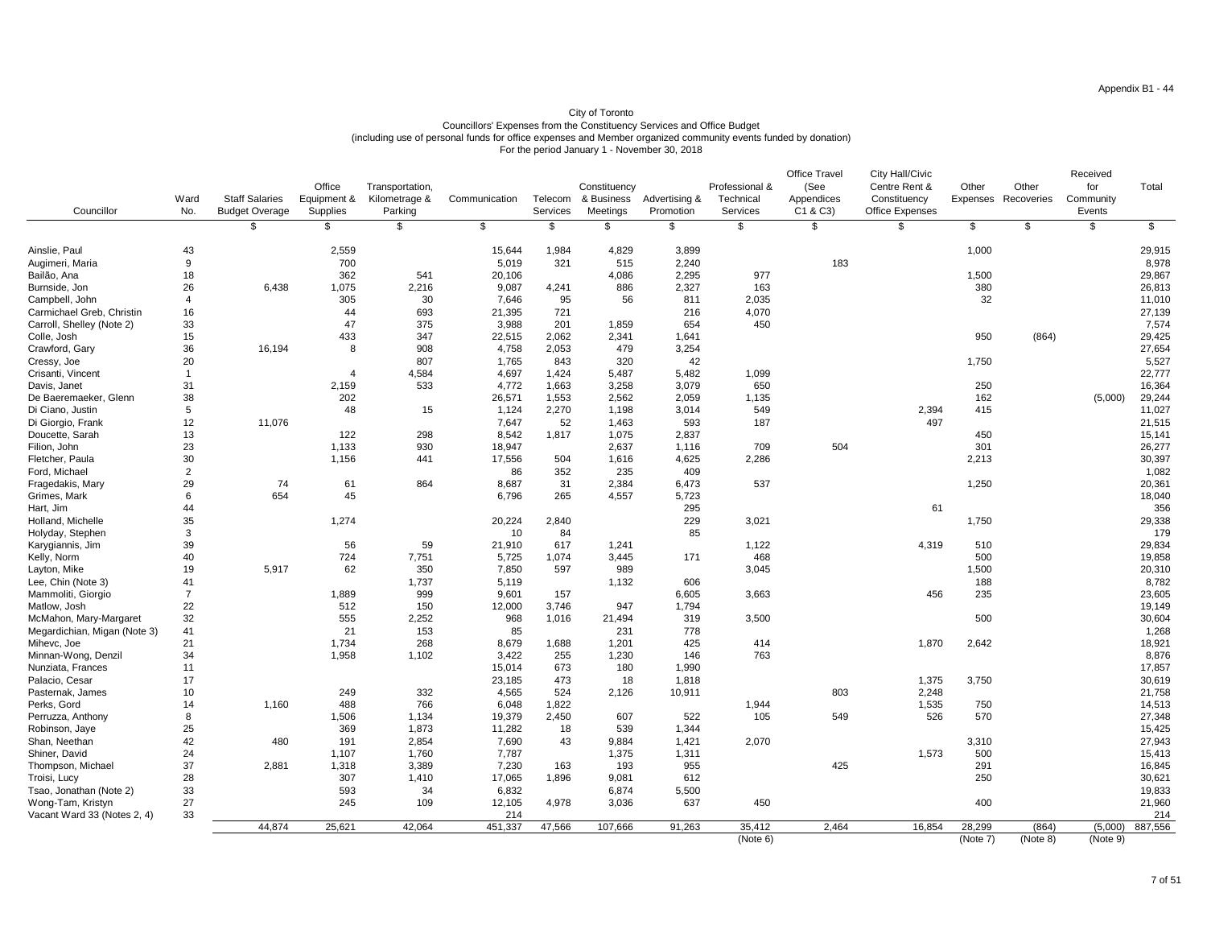| Councillor                   | Ward<br>No.      | <b>Staff Salaries</b><br><b>Budget Overage</b> | Office<br>Equipment &<br><b>Supplies</b> | Transportation,<br>Kilometrage &<br>Parking | Communication   | Telecom<br>Services | Constituency<br>& Business<br><b>Meetings</b> | Advertising &<br>Promotion | Professional &<br>Technical<br>Services | <b>Office Travel</b><br>(See<br>Appendices<br>C1 & C3 | <b>City Hall/Civic</b><br>Centre Rent &<br>Constituency<br><b>Office Expenses</b> | Other<br>Expenses  | Other<br>Recoveries | Received<br>for<br>Community<br>Events | Total   |
|------------------------------|------------------|------------------------------------------------|------------------------------------------|---------------------------------------------|-----------------|---------------------|-----------------------------------------------|----------------------------|-----------------------------------------|-------------------------------------------------------|-----------------------------------------------------------------------------------|--------------------|---------------------|----------------------------------------|---------|
|                              |                  |                                                | \$                                       | \$                                          |                 |                     | \$                                            | \$                         | \$                                      | \$                                                    |                                                                                   | \$                 |                     | \$                                     |         |
| Ainslie, Paul                | 43               |                                                | 2,559                                    |                                             | 15,644          | 1,984               | 4,829                                         | 3,899                      |                                         |                                                       |                                                                                   | 1,000              |                     |                                        | 29,915  |
| Augimeri, Maria              | $\boldsymbol{9}$ |                                                | 700                                      |                                             | 5,019           | 321                 | 515                                           | 2,240                      |                                         | 183                                                   |                                                                                   |                    |                     |                                        | 8,978   |
| Bailão, Ana                  | 18               |                                                | 362                                      | 541                                         | 20,106          |                     | 4,086                                         | 2,295                      | 977                                     |                                                       |                                                                                   | 1,500              |                     |                                        | 29,867  |
| Burnside, Jon                | 26               | 6,438                                          | 1,075                                    | 2,216                                       | 9,087           | 4,241               | 886                                           | 2,327                      | 163                                     |                                                       |                                                                                   | 380                |                     |                                        | 26,813  |
| Campbell, John               |                  |                                                | 305                                      | 30                                          | 7,646           | 95                  | 56                                            | 811                        | 2,035                                   |                                                       |                                                                                   | 32                 |                     |                                        | 11,010  |
| Carmichael Greb, Christin    | 16               |                                                | 44                                       | 693                                         | 21,395          | 721                 |                                               | 216                        | 4,070                                   |                                                       |                                                                                   |                    |                     |                                        | 27,139  |
| Carroll, Shelley (Note 2)    | 33               |                                                | 47                                       | 375                                         | 3,988           | 201                 | 1,859                                         | 654                        | 450                                     |                                                       |                                                                                   |                    |                     |                                        | 7,574   |
| Colle, Josh                  | 15               |                                                | 433                                      | 347                                         | 22,515          | 2,062               | 2,341                                         | 1,641                      |                                         |                                                       |                                                                                   | 950                | (864)               |                                        | 29,425  |
| Crawford, Gary               | 36               | 16,194                                         | 8                                        | 908                                         | 4,758           | 2,053               | 479                                           | 3,254                      |                                         |                                                       |                                                                                   |                    |                     |                                        | 27,654  |
| Cressy, Joe                  | 20               |                                                |                                          | 807                                         | 1,765           | 843                 | 320                                           | 42                         |                                         |                                                       |                                                                                   | 1,750              |                     |                                        | 5,527   |
| Crisanti, Vincent            |                  |                                                |                                          | 4,584                                       | 4,697           | 1,424               | 5,487                                         | 5,482                      | 1,099                                   |                                                       |                                                                                   |                    |                     |                                        | 22,777  |
| Davis, Janet                 | 31               |                                                | 2,159                                    | 533                                         | 4,772           | 1,663               | 3,258                                         | 3,079                      | 650                                     |                                                       |                                                                                   | 250                |                     |                                        | 16,364  |
| De Baeremaeker, Glenn        | 38               |                                                | 202                                      |                                             | 26,571          | 1,553               | 2,562                                         | 2,059                      | 1,135                                   |                                                       |                                                                                   | 162                |                     | (5,000)                                | 29,244  |
| Di Ciano, Justin             | 5                |                                                | 48                                       | 15                                          | 1,124           | 2,270               | 1,198                                         | 3,014                      | 549                                     |                                                       | 2,394                                                                             | 415                |                     |                                        | 11,027  |
| Di Giorgio, Frank            | 12               | 11,076                                         |                                          |                                             | 7,647           | 52                  | 1,463                                         | 593                        | 187                                     |                                                       | 497                                                                               |                    |                     |                                        | 21,515  |
| Doucette, Sarah              | 13               |                                                | 122                                      | 298                                         | 8,542           | 1,817               | 1,075                                         | 2,837                      |                                         |                                                       |                                                                                   | 450                |                     |                                        | 15,141  |
| Filion, John                 | 23               |                                                | 1,133                                    | 930                                         | 18,947          |                     | 2,637                                         | 1,116                      | 709                                     | 504                                                   |                                                                                   | 301                |                     |                                        | 26,277  |
| Fletcher, Paula              | 30               |                                                | 1,156                                    | 441                                         | 17,556          | 504                 | 1,616                                         | 4,625                      | 2,286                                   |                                                       |                                                                                   | 2,213              |                     |                                        | 30,397  |
| Ford, Michael                | $\overline{2}$   |                                                |                                          |                                             | 86              | 352                 | 235                                           | 409                        |                                         |                                                       |                                                                                   |                    |                     |                                        | 1,082   |
| Fragedakis, Mary             | 29               | 74                                             | 61                                       | 864                                         | 8,687           | 31                  | 2,384                                         | 6,473                      | 537                                     |                                                       |                                                                                   | 1,250              |                     |                                        | 20,361  |
| Grimes, Mark                 | $6\phantom{1}$   | 654                                            | 45                                       |                                             | 6,796           | 265                 | 4,557                                         | 5,723                      |                                         |                                                       |                                                                                   |                    |                     |                                        | 18,040  |
| Hart, Jim                    | 44               |                                                |                                          |                                             |                 |                     |                                               | 295                        |                                         |                                                       | 61                                                                                |                    |                     |                                        | 356     |
| Holland, Michelle            | 35               |                                                | 1,274                                    |                                             | 20,224          | 2,840               |                                               | 229                        | 3,021                                   |                                                       |                                                                                   | 1,750              |                     |                                        | 29,338  |
| Holyday, Stephen             | 3                |                                                |                                          |                                             | 10 <sup>°</sup> | 84                  |                                               | 85                         |                                         |                                                       |                                                                                   |                    |                     |                                        | 179     |
| Karygiannis, Jim             | 39               |                                                | 56                                       | 59                                          | 21,910          | 617                 | 1,241                                         |                            | 1,122                                   |                                                       | 4,319                                                                             | 510                |                     |                                        | 29,834  |
| Kelly, Norm                  | 40               |                                                | 724                                      | 7,751                                       | 5,725           | 1,074               | 3,445                                         | 171                        | 468                                     |                                                       |                                                                                   | 500                |                     |                                        | 19,858  |
| Layton, Mike                 | 19               | 5,917                                          | 62                                       | 350                                         | 7,850           | 597                 | 989                                           |                            | 3,045                                   |                                                       |                                                                                   | 1,500              |                     |                                        | 20,310  |
| Lee, Chin (Note 3)           | 41               |                                                |                                          | 1,737                                       | 5,119           |                     | 1,132                                         | 606                        |                                         |                                                       |                                                                                   | 188                |                     |                                        | 8,782   |
| Mammoliti, Giorgio           |                  |                                                | 1,889                                    | 999                                         | 9,601           | 157                 |                                               | 6,605                      | 3,663                                   |                                                       | 456                                                                               | 235                |                     |                                        | 23,605  |
| Matlow, Josh                 | 22               |                                                | 512                                      | 150                                         | 12,000          | 3,746               | 947                                           | 1,794                      |                                         |                                                       |                                                                                   |                    |                     |                                        | 19,149  |
| McMahon, Mary-Margaret       | 32               |                                                | 555                                      | 2,252                                       | 968             | 1,016               | 21,494                                        | 319                        | 3,500                                   |                                                       |                                                                                   | 500                |                     |                                        | 30,604  |
| Megardichian, Migan (Note 3) | 41               |                                                | 21                                       | 153                                         | 85              |                     | 231                                           | 778                        |                                         |                                                       |                                                                                   |                    |                     |                                        | 1,268   |
| Mihevc, Joe                  | 21               |                                                | 1,734                                    | 268                                         | 8,679           | 1,688               | 1,201                                         | 425                        | 414                                     |                                                       | 1,870                                                                             | 2,642              |                     |                                        | 18,921  |
| Minnan-Wong, Denzil          | 34               |                                                | 1,958                                    | 1,102                                       | 3,422           | 255                 | 1,230                                         | 146                        | 763                                     |                                                       |                                                                                   |                    |                     |                                        | 8,876   |
| Nunziata, Frances            | 11               |                                                |                                          |                                             | 15,014          | 673                 | 180                                           | 1,990                      |                                         |                                                       |                                                                                   |                    |                     |                                        | 17,857  |
| Palacio, Cesar               | 17               |                                                |                                          |                                             | 23,185          | 473                 | 18                                            | 1,818                      |                                         |                                                       | 1,375                                                                             | 3,750              |                     |                                        | 30,619  |
| Pasternak, James             | 10               |                                                | 249                                      | 332                                         | 4,565           | 524                 | 2,126                                         | 10,911                     |                                         | 803                                                   | 2,248                                                                             |                    |                     |                                        | 21,758  |
| Perks, Gord                  | 14               | 1,160                                          | 488                                      | 766                                         | 6,048           | 1,822               |                                               |                            | 1,944                                   |                                                       | 1,535                                                                             | 750                |                     |                                        | 14,513  |
| Perruzza, Anthony            | 8                |                                                | 1,506                                    | 1,134                                       | 19,379          | 2,450               | 607                                           | 522                        | 105                                     | 549                                                   | 526                                                                               | 570                |                     |                                        | 27,348  |
| Robinson, Jaye               | 25               |                                                | 369                                      | 1,873                                       | 11,282          | 18                  | 539                                           | 1,344                      |                                         |                                                       |                                                                                   |                    |                     |                                        | 15,425  |
| Shan, Neethan                | 42               | 480                                            | 191                                      | 2,854                                       | 7,690           | 43                  | 9,884                                         | 1,421                      | 2,070                                   |                                                       |                                                                                   | 3,310              |                     |                                        | 27,943  |
| Shiner, David                | 24               |                                                | 1,107                                    | 1,760                                       | 7,787           |                     | 1,375                                         | 1,311                      |                                         |                                                       | 1,573                                                                             | 500                |                     |                                        | 15,413  |
| Thompson, Michael            | 37               | 2,881                                          | 1,318                                    | 3,389                                       | 7,230           | 163                 | 193                                           | 955                        |                                         | 425                                                   |                                                                                   | 291                |                     |                                        | 16,845  |
| Troisi, Lucy                 | 28               |                                                | 307                                      | 1,410                                       | 17,065          | 1,896               | 9,081                                         | 612                        |                                         |                                                       |                                                                                   | 250                |                     |                                        | 30,621  |
| Tsao, Jonathan (Note 2)      | 33               |                                                | 593                                      | 34                                          | 6,832           |                     | 6,874                                         | 5,500                      |                                         |                                                       |                                                                                   |                    |                     |                                        | 19,833  |
| Wong-Tam, Kristyn            | 27               |                                                | 245                                      | 109                                         | 12,105          | 4,978               | 3,036                                         | 637                        | 450                                     |                                                       |                                                                                   | 400                |                     |                                        | 21,960  |
| Vacant Ward 33 (Notes 2, 4)  | 33               |                                                |                                          |                                             | 214             |                     |                                               |                            |                                         |                                                       |                                                                                   |                    |                     |                                        | 214     |
|                              |                  | 44,874                                         | 25,621                                   | 42,064                                      | 451,337         | 47,566              | 107,666                                       | 91,263                     | 35,412<br>(Note 6)                      | 2,464                                                 | 16,854                                                                            | 28,299<br>(Note 7) | (864)<br>(Note 8)   | (5,000)<br>(Note 9)                    | 887,556 |
|                              |                  |                                                |                                          |                                             |                 |                     |                                               |                            |                                         |                                                       |                                                                                   |                    |                     |                                        |         |

# City of Toronto Councillors' Expenses from the Constituency Services and Office Budget (including use of personal funds for office expenses and Member organized community events funded by donation) For the period January 1 - November 30, 2018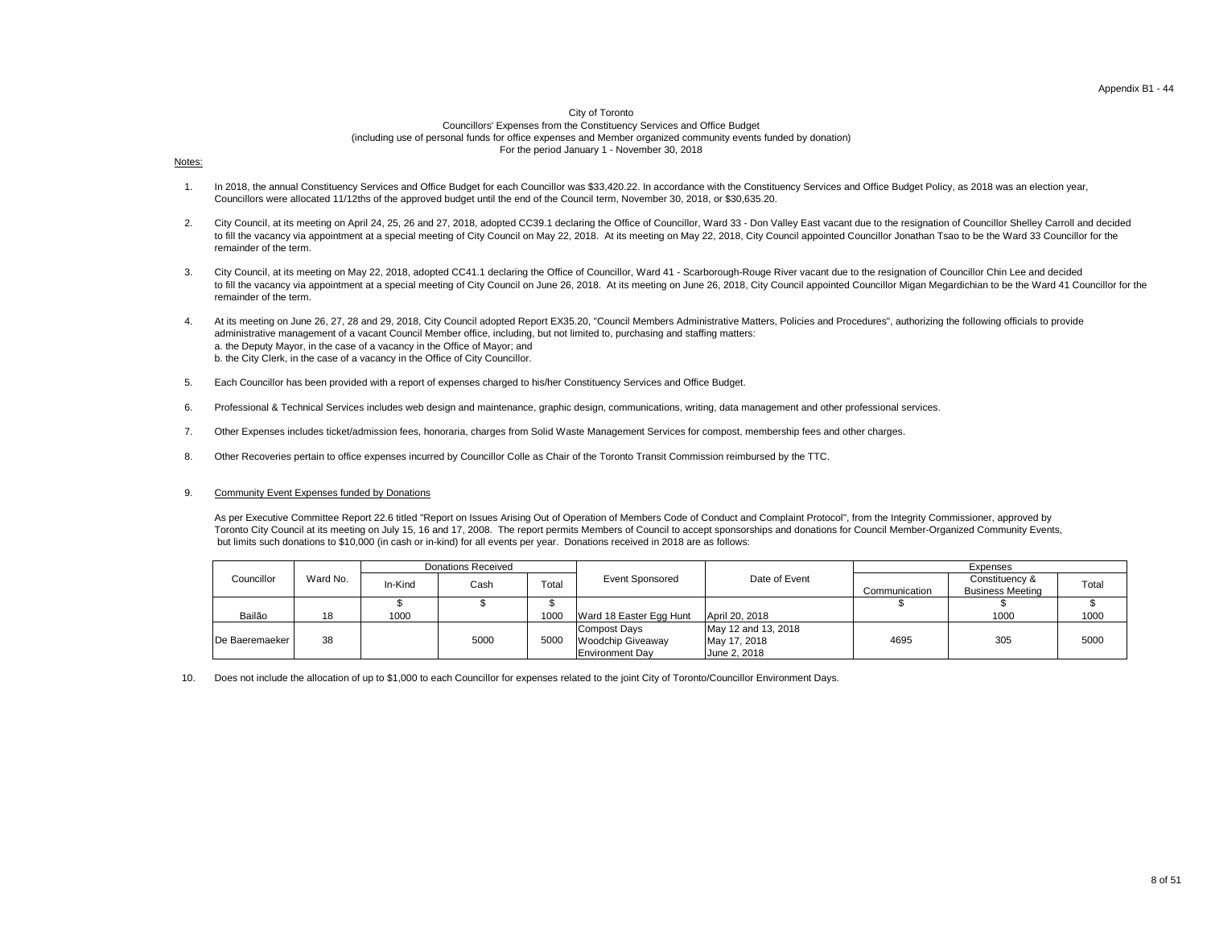#### City of Toronto

Councillors' Expenses from the Constituency Services and Office Budget (including use of personal funds for office expenses and Member organized community events funded by donation) For the period January 1 - November 30, 2018

#### Notes:

As per Executive Committee Report 22.6 titled "Report on Issues Arising Out of Operation of Members Code of Conduct and Complaint Protocol", from the Integrity Commissioner, approved by Toronto City Council at its meeting on July 15, 16 and 17, 2008. The report permits Members of Council to accept sponsorships and donations for Council Member-Organized Community Events, but limits such donations to \$10,000 (in cash or in-kind) for all events per year. Donations received in 2018 are as follows:

- 1. In 2018, the annual Constituency Services and Office Budget for each Councillor was \$33,420.22. In accordance with the Constituency Services and Office Budget Policy, as 2018 was an election year, Councillors were allocated 11/12ths of the approved budget until the end of the Council term, November 30, 2018, or \$30,635.20.
- 2. City Council, at its meeting on April 24, 25, 26 and 27, 2018, adopted CC39.1 declaring the Office of Councillor, Ward 33 - Don Valley East vacant due to the resignation of Councillor Shelley Carroll and decided to fill the vacancy via appointment at a special meeting of City Council on May 22, 2018. At its meeting on May 22, 2018, City Council appointed Councillor Jonathan Tsao to be the Ward 33 Councillor for the remainder of the term.
- 3. City Council, at its meeting on May 22, 2018, adopted CC41.1 declaring the Office of Councillor, Ward 41 - Scarborough-Rouge River vacant due to the resignation of Councillor Chin Lee and decided to fill the vacancy via appointment at a special meeting of City Council on June 26, 2018. At its meeting on June 26, 2018, City Council appointed Councillor Migan Megardichian to be the Ward 41 Councillor for the remainder of the term.
- 4. a. the Deputy Mayor, in the case of a vacancy in the Office of Mayor; and b. the City Clerk, in the case of a vacancy in the Office of City Councillor. At its meeting on June 26, 27, 28 and 29, 2018, City Council adopted Report EX35.20, "Council Members Administrative Matters, Policies and Procedures", authorizing the following officials to provide administrative management of a vacant Council Member office, including, but not limited to, purchasing and staffing matters:
- 5. Each Councillor has been provided with a report of expenses charged to his/her Constituency Services and Office Budget.
- 6. Professional & Technical Services includes web design and maintenance, graphic design, communications, writing, data management and other professional services.
- 7. Other Expenses includes ticket/admission fees, honoraria, charges from Solid Waste Management Services for compost, membership fees and other charges.
- 8. Other Recoveries pertain to office expenses incurred by Councillor Colle as Chair of the Toronto Transit Commission reimbursed by the TTC.

10. Does not include the allocation of up to \$1,000 to each Councillor for expenses related to the joint City of Toronto/Councillor Environment Days.

#### 9. Community Event Expenses funded by Donations

| Ward No.<br>Councillor |    |         | <b>Donations Received</b> |       |                          |                     |               | Expenses                |       |
|------------------------|----|---------|---------------------------|-------|--------------------------|---------------------|---------------|-------------------------|-------|
|                        |    | In-Kind | Cash                      | Total | <b>Event Sponsored</b>   | Date of Event       |               | Constituency &          | Total |
|                        |    |         |                           |       |                          |                     | Communication | <b>Business Meeting</b> |       |
|                        |    |         |                           |       |                          |                     |               |                         |       |
| Bailão                 | 18 | 1000    |                           | 1000  | Ward 18 Easter Egg Hunt  | April 20, 2018      |               | 1000                    | 1000  |
|                        |    |         |                           |       | Compost Days             | May 12 and 13, 2018 |               |                         |       |
| De Baeremaeker         | 38 |         | 5000                      | 5000  | <b>Woodchip Giveaway</b> | May 17, 2018        | 4695          | 305                     | 5000  |
|                        |    |         |                           |       | <b>Environment Day</b>   | June 2, 2018        |               |                         |       |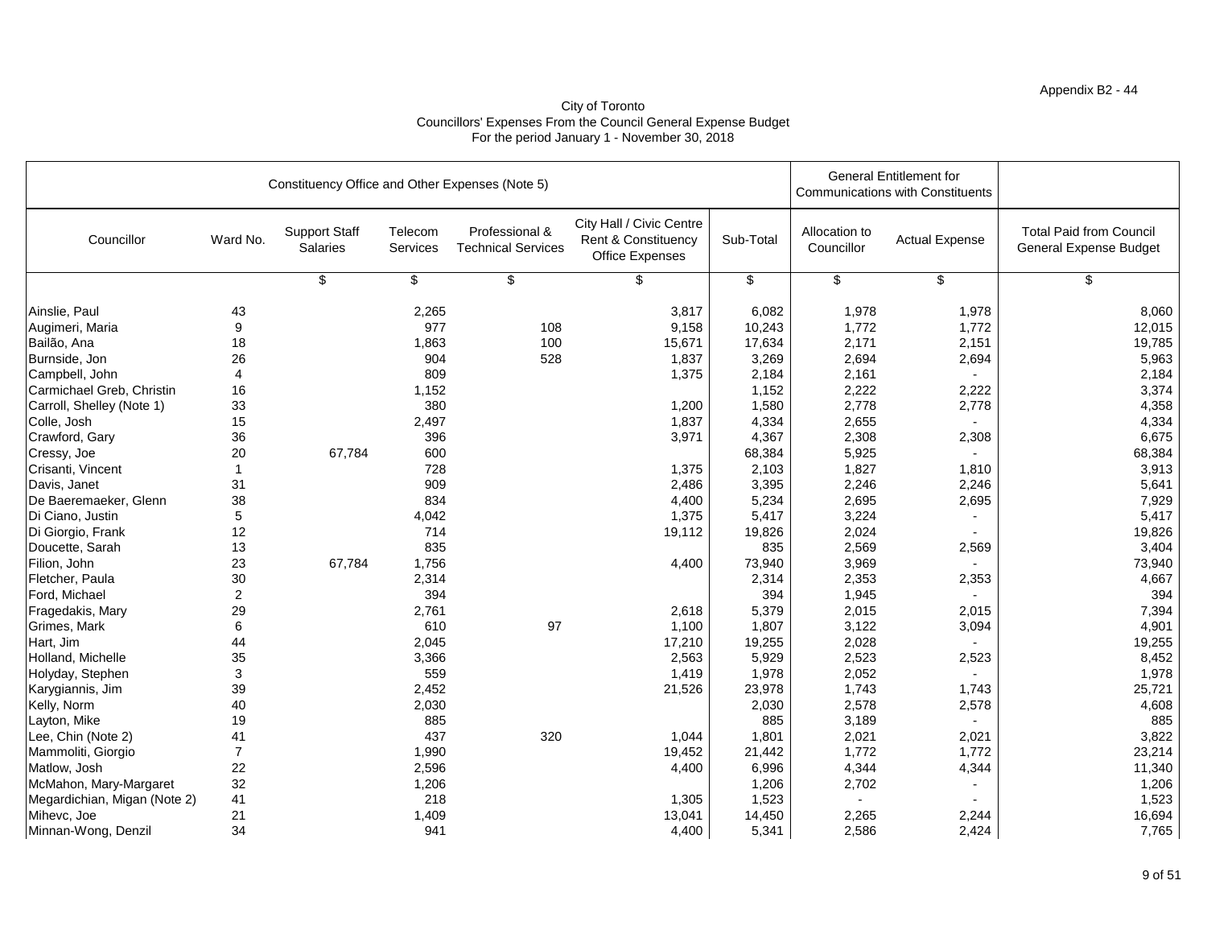# Appendix B2 - 44

|                              |                 | Constituency Office and Other Expenses (Note 5) |                            |                                             | <b>General Entitlement for</b><br><b>Communications with Constituents</b>            |           |                             |                       |                                                                 |
|------------------------------|-----------------|-------------------------------------------------|----------------------------|---------------------------------------------|--------------------------------------------------------------------------------------|-----------|-----------------------------|-----------------------|-----------------------------------------------------------------|
| Councillor                   | Ward No.        | <b>Support Staff</b><br><b>Salaries</b>         | Telecom<br><b>Services</b> | Professional &<br><b>Technical Services</b> | City Hall / Civic Centre<br><b>Rent &amp; Constituency</b><br><b>Office Expenses</b> | Sub-Total | Allocation to<br>Councillor | <b>Actual Expense</b> | <b>Total Paid from Council</b><br><b>General Expense Budget</b> |
|                              |                 | \$                                              | \$                         | \$                                          | \$                                                                                   | \$        | \$                          | $\frac{1}{2}$         | \$                                                              |
| Ainslie, Paul                | 43              |                                                 | 2,265                      |                                             | 3,817                                                                                | 6,082     | 1,978                       | 1,978                 | 8,060                                                           |
| Augimeri, Maria              | 9               |                                                 | 977                        | 108                                         | 9,158                                                                                | 10,243    | 1,772                       | 1,772                 | 12,015                                                          |
| Bailão, Ana                  | 18              |                                                 | 1,863                      | 100                                         | 15,671                                                                               | 17,634    | 2,171                       | 2,151                 | 19,785                                                          |
| Burnside, Jon                | 26              |                                                 | 904                        | 528                                         | 1,837                                                                                | 3,269     | 2,694                       | 2,694                 | 5,963                                                           |
| Campbell, John               | 4               |                                                 | 809                        |                                             | 1,375                                                                                | 2,184     | 2,161                       |                       | 2,184                                                           |
| Carmichael Greb, Christin    | 16              |                                                 | 1,152                      |                                             |                                                                                      | 1,152     | 2,222                       | 2,222                 | 3,374                                                           |
| Carroll, Shelley (Note 1)    | 33              |                                                 | 380                        |                                             | 1,200                                                                                | 1,580     | 2,778                       | 2,778                 | 4,358                                                           |
| Colle, Josh                  | 15              |                                                 | 2,497                      |                                             | 1,837                                                                                | 4,334     | 2,655                       |                       | 4,334                                                           |
| Crawford, Gary               | 36              |                                                 | 396                        |                                             | 3,971                                                                                | 4,367     | 2,308                       | 2,308                 | 6,675                                                           |
| Cressy, Joe                  | 20              | 67,784                                          | 600                        |                                             |                                                                                      | 68,384    | 5,925                       |                       | 68,384                                                          |
| Crisanti, Vincent            |                 |                                                 | 728                        |                                             | 1,375                                                                                | 2,103     | 1,827                       | 1,810                 | 3,913                                                           |
| Davis, Janet                 | 31              |                                                 | 909                        |                                             | 2,486                                                                                | 3,395     | 2,246                       | 2,246                 | 5,641                                                           |
| De Baeremaeker, Glenn        | 38              |                                                 | 834                        |                                             | 4,400                                                                                | 5,234     | 2,695                       | 2,695                 | 7,929                                                           |
| Di Ciano, Justin             | $\overline{5}$  |                                                 | 4,042                      |                                             | 1,375                                                                                | 5,417     | 3,224                       |                       | 5,417                                                           |
| Di Giorgio, Frank            | 12              |                                                 | 714                        |                                             | 19,112                                                                               | 19,826    | 2,024                       |                       | 19,826                                                          |
| Doucette, Sarah              | 13              |                                                 | 835                        |                                             |                                                                                      | 835       | 2,569                       | 2,569                 | 3,404                                                           |
| Filion, John                 | 23              | 67,784                                          | 1,756                      |                                             | 4,400                                                                                | 73,940    | 3,969                       |                       | 73,940                                                          |
| Fletcher, Paula              | 30              |                                                 | 2,314                      |                                             |                                                                                      | 2,314     | 2,353                       | 2,353                 | 4,667                                                           |
| Ford, Michael                | $\overline{2}$  |                                                 | 394                        |                                             |                                                                                      | 394       | 1,945                       |                       | 394                                                             |
| Fragedakis, Mary             | 29              |                                                 | 2,761                      |                                             | 2,618                                                                                | 5,379     | 2,015                       | 2,015                 | 7,394                                                           |
| Grimes, Mark                 | $6\phantom{1}6$ |                                                 | 610                        | 97                                          | 1,100                                                                                | 1,807     | 3,122                       | 3,094                 | 4,901                                                           |
| Hart, Jim                    | 44              |                                                 | 2,045                      |                                             | 17,210                                                                               | 19,255    | 2,028                       |                       | 19,255                                                          |
| Holland, Michelle            | 35              |                                                 | 3,366                      |                                             | 2,563                                                                                | 5,929     | 2,523                       | 2,523                 | 8,452                                                           |
| Holyday, Stephen             | $\mathfrak{B}$  |                                                 | 559                        |                                             | 1,419                                                                                | 1,978     | 2,052                       |                       | 1,978                                                           |
| Karygiannis, Jim             | 39              |                                                 | 2,452                      |                                             | 21,526                                                                               | 23,978    | 1,743                       | 1,743                 | 25,721                                                          |
| Kelly, Norm                  | 40              |                                                 | 2,030                      |                                             |                                                                                      | 2,030     | 2,578                       | 2,578                 | 4,608                                                           |
| Layton, Mike                 | 19              |                                                 | 885                        |                                             |                                                                                      | 885       | 3,189                       |                       | 885                                                             |
| Lee, Chin (Note 2)           | 41              |                                                 | 437                        | 320                                         | 1,044                                                                                | 1,801     | 2,021                       | 2,021                 | 3,822                                                           |
| Mammoliti, Giorgio           |                 |                                                 | 1,990                      |                                             | 19,452                                                                               | 21,442    | 1,772                       | 1,772                 | 23,214                                                          |
| Matlow, Josh                 | 22              |                                                 | 2,596                      |                                             | 4,400                                                                                | 6,996     | 4,344                       | 4,344                 | 11,340                                                          |
| McMahon, Mary-Margaret       | 32              |                                                 | 1,206                      |                                             |                                                                                      | 1,206     | 2,702                       |                       | 1,206                                                           |
| Megardichian, Migan (Note 2) | 41              |                                                 | 218                        |                                             | 1,305                                                                                | 1,523     |                             |                       | 1,523                                                           |
| Mihevc, Joe                  | 21              |                                                 | 1,409                      |                                             | 13,041                                                                               | 14,450    | 2,265                       | 2,244                 | 16,694                                                          |
| Minnan-Wong, Denzil          | 34              |                                                 | 941                        |                                             | 4,400                                                                                | 5,341     | 2,586                       | 2,424                 | 7,765                                                           |

# City of Toronto Councillors' Expenses From the Council General Expense Budget For the period January 1 - November 30, 2018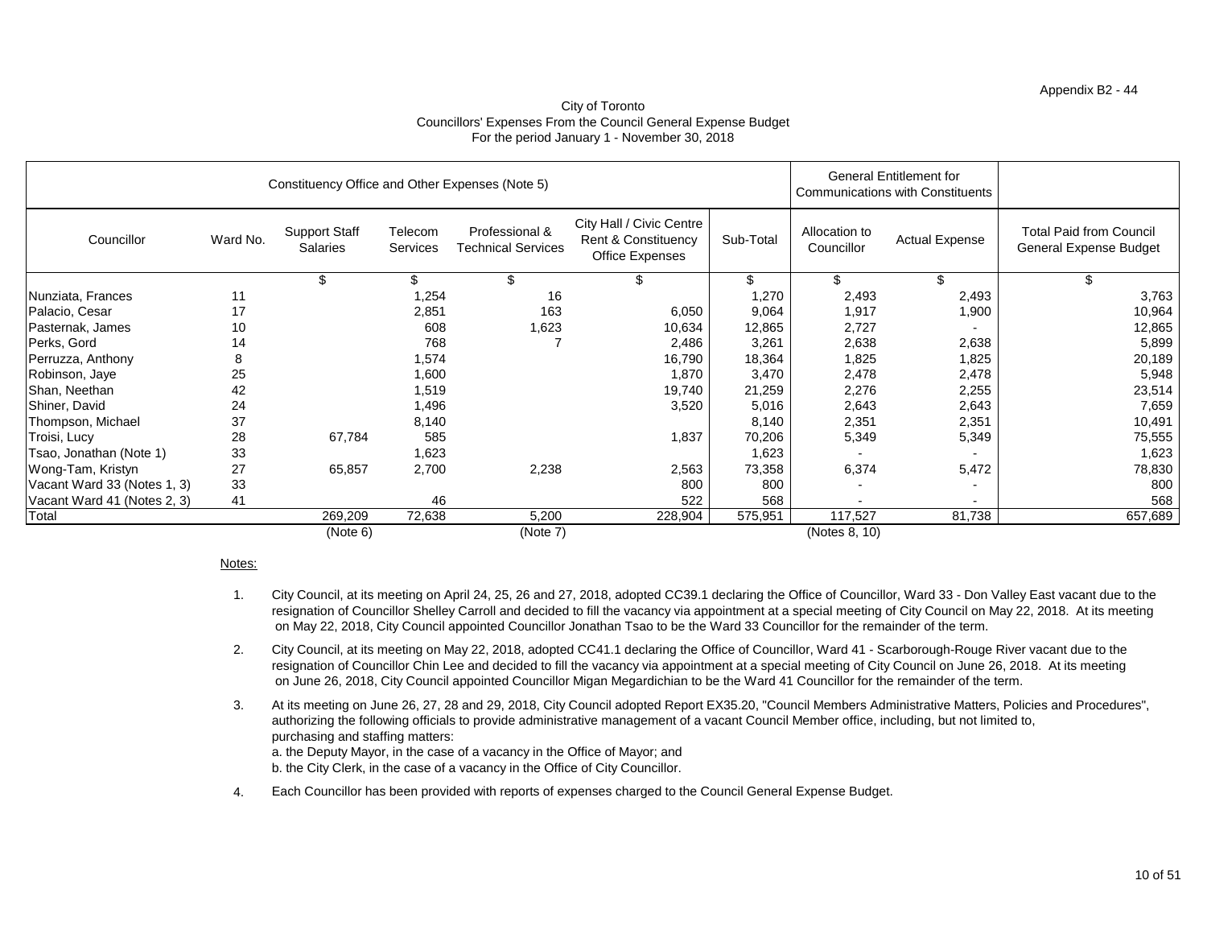## Appendix B2 - 44

## City of Toronto Councillors' Expenses From the Council General Expense Budget For the period January 1 - November 30, 2018

|                             |          | Constituency Office and Other Expenses (Note 5) |                     |                                             |                                                                                      |           |                             | <b>General Entitlement for</b><br><b>Communications with Constituents</b> |                                                                 |
|-----------------------------|----------|-------------------------------------------------|---------------------|---------------------------------------------|--------------------------------------------------------------------------------------|-----------|-----------------------------|---------------------------------------------------------------------------|-----------------------------------------------------------------|
| Councillor                  | Ward No. | <b>Support Staff</b><br><b>Salaries</b>         | Telecom<br>Services | Professional &<br><b>Technical Services</b> | City Hall / Civic Centre<br><b>Rent &amp; Constituency</b><br><b>Office Expenses</b> | Sub-Total | Allocation to<br>Councillor | <b>Actual Expense</b>                                                     | <b>Total Paid from Council</b><br><b>General Expense Budget</b> |
|                             |          | \$                                              | \$                  | \$                                          |                                                                                      | \$        | \$                          | \$                                                                        |                                                                 |
| Nunziata, Frances           | 11       |                                                 | 1,254               | 16                                          |                                                                                      | 1,270     | 2,493                       | 2,493                                                                     | 3,763                                                           |
| Palacio, Cesar              | 17       |                                                 | 2,851               | 163                                         | 6,050                                                                                | 9,064     | 1,917                       | 1,900                                                                     | 10,964                                                          |
| Pasternak, James            | 10       |                                                 | 608                 | 1,623                                       | 10,634                                                                               | 12,865    | 2,727                       |                                                                           | 12,865                                                          |
| Perks, Gord                 | 14       |                                                 | 768                 |                                             | 2,486                                                                                | 3,261     | 2,638                       | 2,638                                                                     | 5,899                                                           |
| Perruzza, Anthony           | 8        |                                                 | 1,574               |                                             | 16,790                                                                               | 18,364    | 1,825                       | 1,825                                                                     | 20,189                                                          |
| Robinson, Jaye              | 25       |                                                 | 1,600               |                                             | 1,870                                                                                | 3,470     | 2,478                       | 2,478                                                                     | 5,948                                                           |
| Shan, Neethan               | 42       |                                                 | 1,519               |                                             | 19,740                                                                               | 21,259    | 2,276                       | 2,255                                                                     | 23,514                                                          |
| Shiner, David               | 24       |                                                 | 1,496               |                                             | 3,520                                                                                | 5,016     | 2,643                       | 2,643                                                                     | 7,659                                                           |
| Thompson, Michael           | 37       |                                                 | 8,140               |                                             |                                                                                      | 8,140     | 2,351                       | 2,351                                                                     | 10,491                                                          |
| Troisi, Lucy                | 28       | 67,784                                          | 585                 |                                             | 1,837                                                                                | 70,206    | 5,349                       | 5,349                                                                     | 75,555                                                          |
| Tsao, Jonathan (Note 1)     | 33       |                                                 | 1,623               |                                             |                                                                                      | 1,623     |                             |                                                                           | 1,623                                                           |
| Wong-Tam, Kristyn           | 27       | 65,857                                          | 2,700               | 2,238                                       | 2,563                                                                                | 73,358    | 6,374                       | 5,472                                                                     | 78,830                                                          |
| Vacant Ward 33 (Notes 1, 3) | 33       |                                                 |                     |                                             | 800                                                                                  | 800       |                             |                                                                           | 800                                                             |
| Vacant Ward 41 (Notes 2, 3) | 41       |                                                 | 46                  |                                             | 522                                                                                  | 568       |                             |                                                                           | 568                                                             |
| Total                       |          | 269,209                                         | 72,638              | 5,200                                       | 228,904                                                                              | 575,951   | 117,527                     | 81,738                                                                    | 657,689                                                         |
|                             |          | (Note 6)                                        |                     | (Note 7)                                    |                                                                                      |           | (Notes 8, 10)               |                                                                           |                                                                 |

# Notes:

b. the City Clerk, in the case of a vacancy in the Office of City Councillor.

4. Each Councillor has been provided with reports of expenses charged to the Council General Expense Budget.

- 1. City Council, at its meeting on April 24, 25, 26 and 27, 2018, adopted CC39.1 declaring the Office of Councillor, Ward 33 - Don Valley East vacant due to the resignation of Councillor Shelley Carroll and decided to fill the vacancy via appointment at a special meeting of City Council on May 22, 2018. At its meeting on May 22, 2018, City Council appointed Councillor Jonathan Tsao to be the Ward 33 Councillor for the remainder of the term.
- 2. on June 26, 2018, City Council appointed Councillor Migan Megardichian to be the Ward 41 Councillor for the remainder of the term. resignation of Councillor Chin Lee and decided to fill the vacancy via appointment at a special meeting of City Council on June 26, 2018. At its meeting City Council, at its meeting on May 22, 2018, adopted CC41.1 declaring the Office of Councillor, Ward 41 - Scarborough-Rouge River vacant due to the
- 3. a. the Deputy Mayor, in the case of a vacancy in the Office of Mayor; and At its meeting on June 26, 27, 28 and 29, 2018, City Council adopted Report EX35.20, "Council Members Administrative Matters, Policies and Procedures", authorizing the following officials to provide administrative management of a vacant Council Member office, including, but not limited to, purchasing and staffing matters: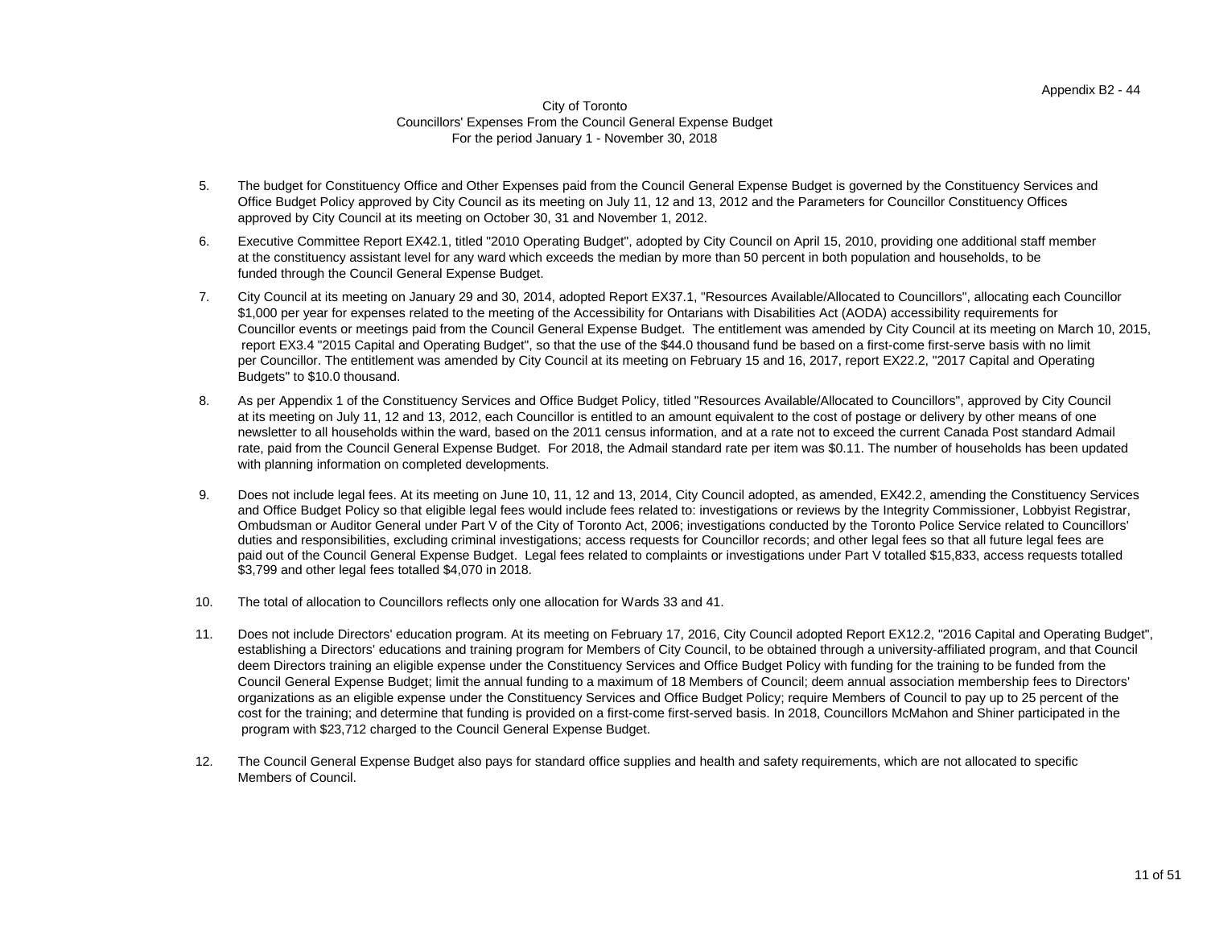#### City of Toronto Councillors' Expenses From the Council General Expense Budget For the period January 1 - November 30, 2018

- 5. The budget for Constituency Office and Other Expenses paid from the Council General Expense Budget is governed by the Constituency Services and Office Budget Policy approved by City Council as its meeting on July 11, 12 and 13, 2012 and the Parameters for Councillor Constituency Offices approved by City Council at its meeting on October 30, 31 and November 1, 2012.
- 6. Executive Committee Report EX42.1, titled "2010 Operating Budget", adopted by City Council on April 15, 2010, providing one additional staff member at the constituency assistant level for any ward which exceeds the median by more than 50 percent in both population and households, to be funded through the Council General Expense Budget.
- 7. City Council at its meeting on January 29 and 30, 2014, adopted Report EX37.1, "Resources Available/Allocated to Councillors", allocating each Councillor \$1,000 per year for expenses related to the meeting of the Accessibility for Ontarians with Disabilities Act (AODA) accessibility requirements for Councillor events or meetings paid from the Council General Expense Budget. The entitlement was amended by City Council at its meeting on March 10, 2015, report EX3.4 "2015 Capital and Operating Budget", so that the use of the \$44.0 thousand fund be based on a first-come first-serve basis with no limit per Councillor. The entitlement was amended by City Council at its meeting on February 15 and 16, 2017, report EX22.2, "2017 Capital and Operating Budgets" to \$10.0 thousand.
- 8. with planning information on completed developments. As per Appendix 1 of the Constituency Services and Office Budget Policy, titled "Resources Available/Allocated to Councillors", approved by City Council at its meeting on July 11, 12 and 13, 2012, each Councillor is entitled to an amount equivalent to the cost of postage or delivery by other means of one newsletter to all households within the ward, based on the 2011 census information, and at a rate not to exceed the current Canada Post standard Admail rate, paid from the Council General Expense Budget. For 2018, the Admail standard rate per item was \$0.11. The number of households has been updated
- 9. and Office Budget Policy so that eligible legal fees would include fees related to: investigations or reviews by the Integrity Commissioner, Lobbyist Registrar, Does not include legal fees. At its meeting on June 10, 11, 12 and 13, 2014, City Council adopted, as amended, EX42.2, amending the Constituency Services Ombudsman or Auditor General under Part V of the City of Toronto Act, 2006; investigations conducted by the Toronto Police Service related to Councillors' duties and responsibilities, excluding criminal investigations; access requests for Councillor records; and other legal fees so that all future legal fees are paid out of the Council General Expense Budget. Legal fees related to complaints or investigations under Part V totalled \$15,833, access requests totalled \$3,799 and other legal fees totalled \$4,070 in 2018.
- 10. The total of allocation to Councillors reflects only one allocation for Wards 33 and 41.
- 11. program with \$23,712 charged to the Council General Expense Budget. Does not include Directors' education program. At its meeting on February 17, 2016, City Council adopted Report EX12.2, "2016 Capital and Operating Budget", establishing a Directors' educations and training program for Members of City Council, to be obtained through a university-affiliated program, and that Council deem Directors training an eligible expense under the Constituency Services and Office Budget Policy with funding for the training to be funded from the Council General Expense Budget; limit the annual funding to a maximum of 18 Members of Council; deem annual association membership fees to Directors' cost for the training; and determine that funding is provided on a first-come first-served basis. In 2018, Councillors McMahon and Shiner participated in the organizations as an eligible expense under the Constituency Services and Office Budget Policy; require Members of Council to pay up to 25 percent of the
- 12. The Council General Expense Budget also pays for standard office supplies and health and safety requirements, which are not allocated to specific Members of Council.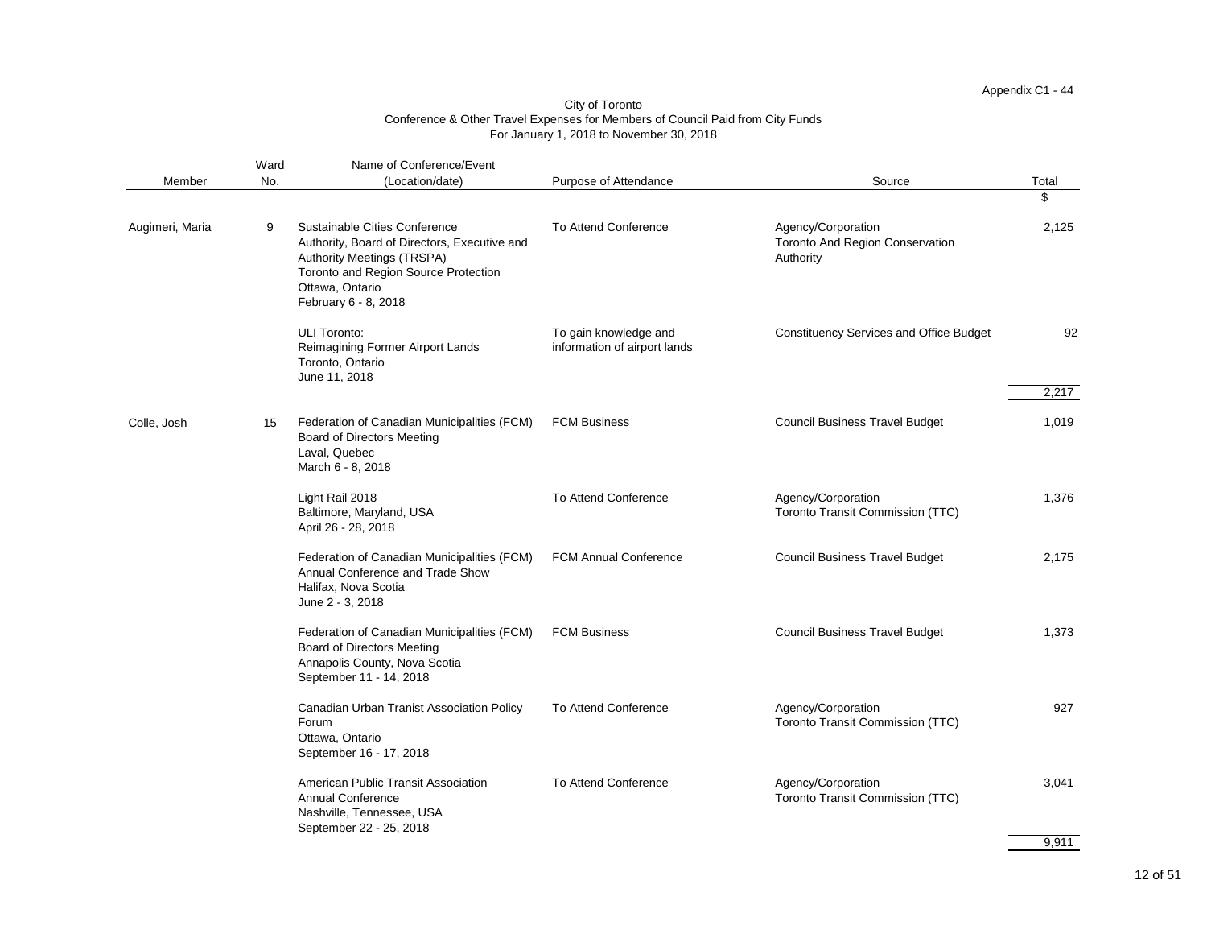|                 | Ward | Name of Conference/Event                                                                                                                                                                                            |                                                       |                                                                           |       |
|-----------------|------|---------------------------------------------------------------------------------------------------------------------------------------------------------------------------------------------------------------------|-------------------------------------------------------|---------------------------------------------------------------------------|-------|
| Member          | No.  | (Location/date)                                                                                                                                                                                                     | Purpose of Attendance                                 | Source                                                                    | Total |
|                 |      |                                                                                                                                                                                                                     |                                                       |                                                                           | \$    |
| Augimeri, Maria | 9    | <b>Sustainable Cities Conference</b><br>Authority, Board of Directors, Executive and<br><b>Authority Meetings (TRSPA)</b><br><b>Toronto and Region Source Protection</b><br>Ottawa, Ontario<br>February 6 - 8, 2018 | <b>To Attend Conference</b>                           | Agency/Corporation<br><b>Toronto And Region Conservation</b><br>Authority | 2,125 |
|                 |      | <b>ULI Toronto:</b><br>Reimagining Former Airport Lands<br>Toronto, Ontario<br>June 11, 2018                                                                                                                        | To gain knowledge and<br>information of airport lands | <b>Constituency Services and Office Budget</b>                            | 92    |
|                 |      |                                                                                                                                                                                                                     |                                                       |                                                                           | 2,217 |
| Colle, Josh     | 15   | Federation of Canadian Municipalities (FCM)<br><b>Board of Directors Meeting</b><br>Laval, Quebec<br>March 6 - 8, 2018                                                                                              | <b>FCM Business</b>                                   | <b>Council Business Travel Budget</b>                                     | 1,019 |
|                 |      | Light Rail 2018<br>Baltimore, Maryland, USA<br>April 26 - 28, 2018                                                                                                                                                  | <b>To Attend Conference</b>                           | Agency/Corporation<br><b>Toronto Transit Commission (TTC)</b>             | 1,376 |
|                 |      | Federation of Canadian Municipalities (FCM)<br>Annual Conference and Trade Show<br>Halifax, Nova Scotia<br>June 2 - 3, 2018                                                                                         | <b>FCM Annual Conference</b>                          | <b>Council Business Travel Budget</b>                                     | 2,175 |
|                 |      | Federation of Canadian Municipalities (FCM)<br>Board of Directors Meeting<br>Annapolis County, Nova Scotia<br>September 11 - 14, 2018                                                                               | <b>FCM Business</b>                                   | <b>Council Business Travel Budget</b>                                     | 1,373 |
|                 |      | Canadian Urban Tranist Association Policy<br>Forum<br>Ottawa, Ontario<br>September 16 - 17, 2018                                                                                                                    | <b>To Attend Conference</b>                           | Agency/Corporation<br><b>Toronto Transit Commission (TTC)</b>             | 927   |
|                 |      | American Public Transit Association<br><b>Annual Conference</b><br>Nashville, Tennessee, USA<br>September 22 - 25, 2018                                                                                             | <b>To Attend Conference</b>                           | Agency/Corporation<br><b>Toronto Transit Commission (TTC)</b>             | 3,041 |

9,911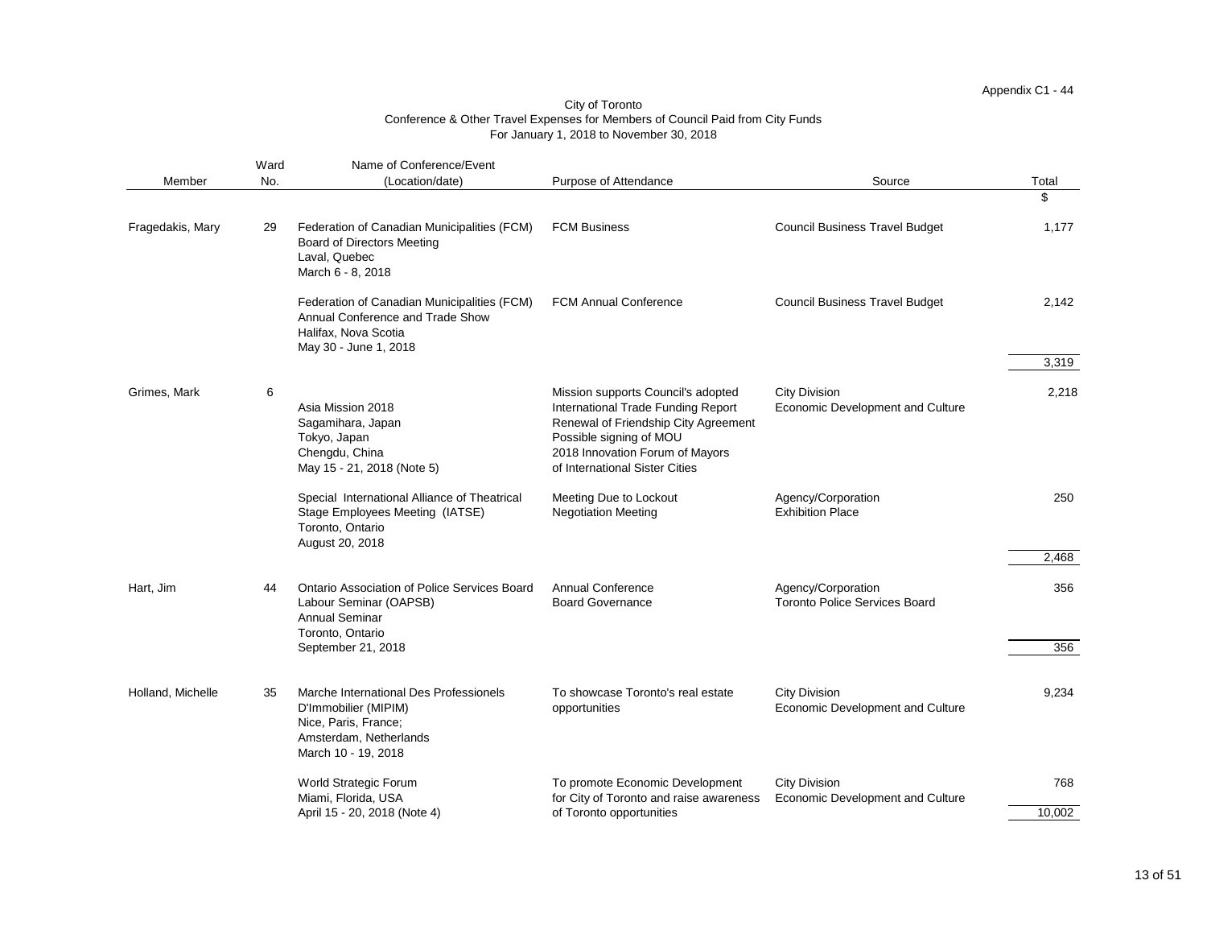|                   | Ward | Name of Conference/Event                                                                                                                |                                                                                                                                                                                                                  |                                                                 |                |
|-------------------|------|-----------------------------------------------------------------------------------------------------------------------------------------|------------------------------------------------------------------------------------------------------------------------------------------------------------------------------------------------------------------|-----------------------------------------------------------------|----------------|
| Member            | No.  | (Location/date)                                                                                                                         | Purpose of Attendance                                                                                                                                                                                            | Source                                                          | Total          |
|                   |      |                                                                                                                                         |                                                                                                                                                                                                                  |                                                                 | \$             |
| Fragedakis, Mary  | 29   | Federation of Canadian Municipalities (FCM)<br><b>Board of Directors Meeting</b><br>Laval, Quebec<br>March 6 - 8, 2018                  | <b>FCM Business</b>                                                                                                                                                                                              | <b>Council Business Travel Budget</b>                           | 1,177          |
|                   |      | Federation of Canadian Municipalities (FCM)<br>Annual Conference and Trade Show<br>Halifax, Nova Scotia<br>May 30 - June 1, 2018        | <b>FCM Annual Conference</b>                                                                                                                                                                                     | <b>Council Business Travel Budget</b>                           | 2,142<br>3,319 |
| Grimes, Mark      | 6    | Asia Mission 2018<br>Sagamihara, Japan<br>Tokyo, Japan<br>Chengdu, China<br>May 15 - 21, 2018 (Note 5)                                  | Mission supports Council's adopted<br>International Trade Funding Report<br>Renewal of Friendship City Agreement<br>Possible signing of MOU<br>2018 Innovation Forum of Mayors<br>of International Sister Cities | <b>City Division</b><br><b>Economic Development and Culture</b> | 2,218          |
|                   |      | Special International Alliance of Theatrical<br>Stage Employees Meeting (IATSE)<br>Toronto, Ontario<br>August 20, 2018                  | Meeting Due to Lockout<br><b>Negotiation Meeting</b>                                                                                                                                                             | Agency/Corporation<br><b>Exhibition Place</b>                   | 250            |
|                   |      |                                                                                                                                         |                                                                                                                                                                                                                  |                                                                 | 2,468          |
| Hart, Jim         | 44   | <b>Ontario Association of Police Services Board</b><br>Labour Seminar (OAPSB)<br><b>Annual Seminar</b><br>Toronto, Ontario              | <b>Annual Conference</b><br><b>Board Governance</b>                                                                                                                                                              | Agency/Corporation<br><b>Toronto Police Services Board</b>      | 356            |
|                   |      | September 21, 2018                                                                                                                      |                                                                                                                                                                                                                  |                                                                 | 356            |
| Holland, Michelle | 35   | Marche International Des Professionels<br>D'Immobilier (MIPIM)<br>Nice, Paris, France;<br>Amsterdam, Netherlands<br>March 10 - 19, 2018 | To showcase Toronto's real estate<br>opportunities                                                                                                                                                               | <b>City Division</b><br><b>Economic Development and Culture</b> | 9,234          |
|                   |      | <b>World Strategic Forum</b><br>Miami, Florida, USA                                                                                     | To promote Economic Development<br>for City of Toronto and raise awareness                                                                                                                                       | <b>City Division</b><br><b>Economic Development and Culture</b> | 768            |
|                   |      | April 15 - 20, 2018 (Note 4)                                                                                                            | of Toronto opportunities                                                                                                                                                                                         |                                                                 | 10,002         |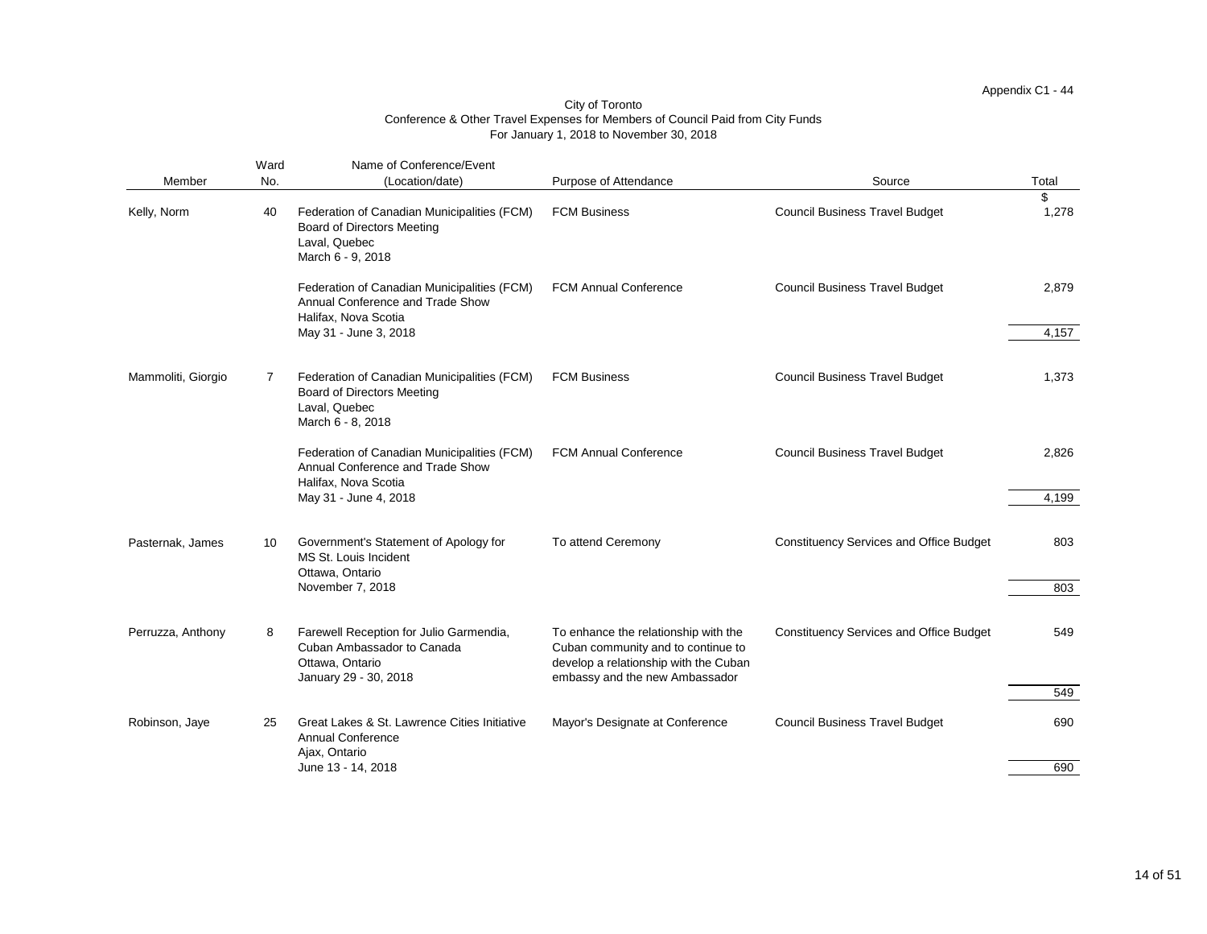| Member             | Ward<br>No. | Name of Conference/Event<br>(Location/date)                                                                            | Purpose of Attendance                                                                                                                                 | Source                                         | Total |
|--------------------|-------------|------------------------------------------------------------------------------------------------------------------------|-------------------------------------------------------------------------------------------------------------------------------------------------------|------------------------------------------------|-------|
|                    |             |                                                                                                                        |                                                                                                                                                       |                                                | $\$\$ |
| Kelly, Norm        | 40          | Federation of Canadian Municipalities (FCM)<br><b>Board of Directors Meeting</b><br>Laval, Quebec<br>March 6 - 9, 2018 | <b>FCM Business</b>                                                                                                                                   | <b>Council Business Travel Budget</b>          | 1,278 |
|                    |             | Federation of Canadian Municipalities (FCM)<br>Annual Conference and Trade Show<br>Halifax, Nova Scotia                | <b>FCM Annual Conference</b>                                                                                                                          | <b>Council Business Travel Budget</b>          | 2,879 |
|                    |             | May 31 - June 3, 2018                                                                                                  |                                                                                                                                                       |                                                | 4,157 |
| Mammoliti, Giorgio | 7           | Federation of Canadian Municipalities (FCM)<br><b>Board of Directors Meeting</b><br>Laval, Quebec<br>March 6 - 8, 2018 | <b>FCM Business</b>                                                                                                                                   | <b>Council Business Travel Budget</b>          | 1,373 |
|                    |             | Federation of Canadian Municipalities (FCM)<br>Annual Conference and Trade Show<br>Halifax, Nova Scotia                | <b>FCM Annual Conference</b>                                                                                                                          | <b>Council Business Travel Budget</b>          | 2,826 |
|                    |             | May 31 - June 4, 2018                                                                                                  |                                                                                                                                                       |                                                | 4,199 |
| Pasternak, James   | 10          | Government's Statement of Apology for<br>MS St. Louis Incident<br>Ottawa, Ontario                                      | To attend Ceremony                                                                                                                                    | <b>Constituency Services and Office Budget</b> | 803   |
|                    |             | November 7, 2018                                                                                                       |                                                                                                                                                       |                                                | 803   |
| Perruzza, Anthony  | 8           | Farewell Reception for Julio Garmendia,<br>Cuban Ambassador to Canada<br>Ottawa, Ontario<br>January 29 - 30, 2018      | To enhance the relationship with the<br>Cuban community and to continue to<br>develop a relationship with the Cuban<br>embassy and the new Ambassador | <b>Constituency Services and Office Budget</b> | 549   |
|                    |             |                                                                                                                        |                                                                                                                                                       |                                                | 549   |
| Robinson, Jaye     | 25          | Great Lakes & St. Lawrence Cities Initiative<br><b>Annual Conference</b><br>Ajax, Ontario                              | Mayor's Designate at Conference                                                                                                                       | <b>Council Business Travel Budget</b>          | 690   |
|                    |             | June 13 - 14, 2018                                                                                                     |                                                                                                                                                       |                                                | 690   |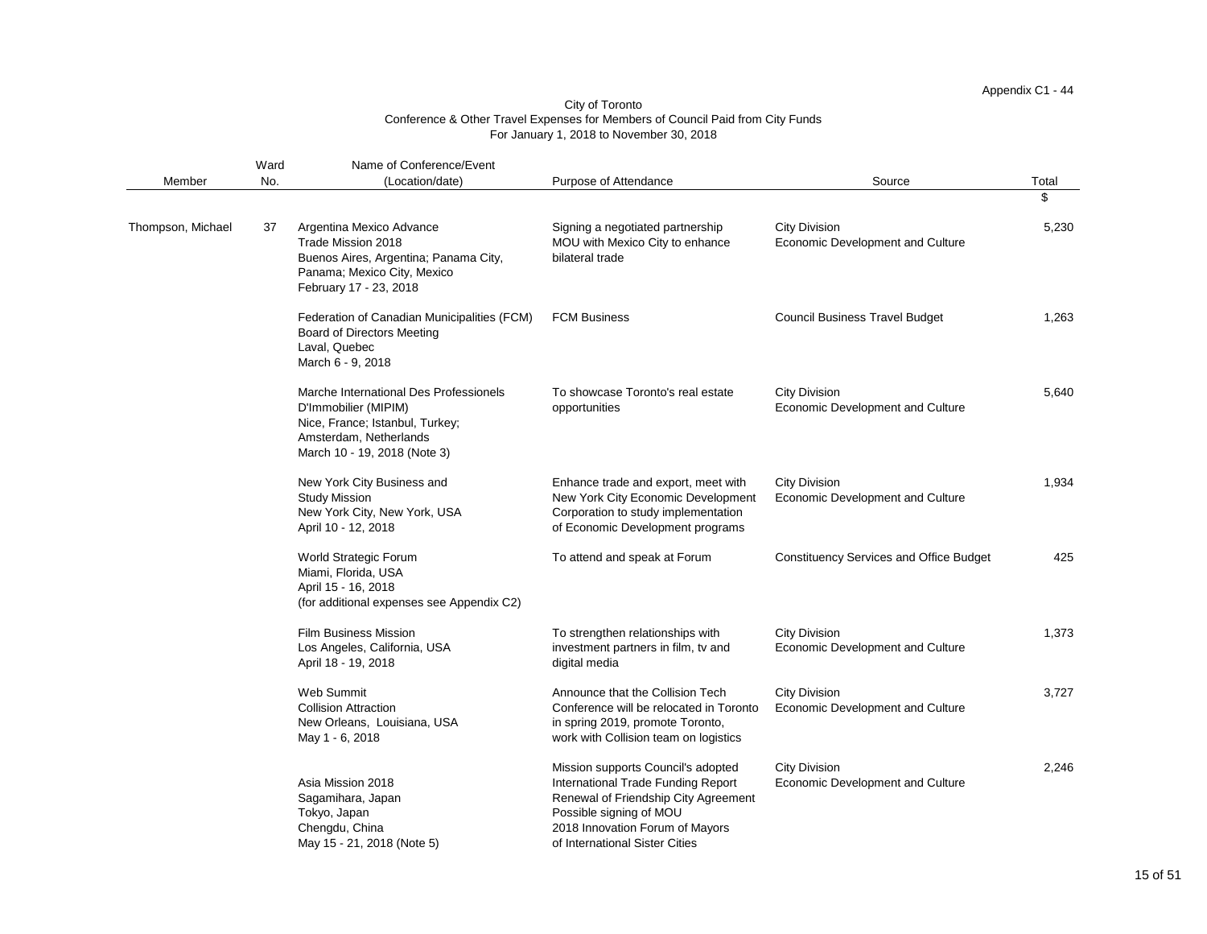|                   | Ward | Name of Conference/Event                                                                                                                                    |                                                                                                                                                                                                                  |                                                                 |       |
|-------------------|------|-------------------------------------------------------------------------------------------------------------------------------------------------------------|------------------------------------------------------------------------------------------------------------------------------------------------------------------------------------------------------------------|-----------------------------------------------------------------|-------|
| Member            | No.  | (Location/date)                                                                                                                                             | Purpose of Attendance                                                                                                                                                                                            | Source                                                          | Total |
|                   |      |                                                                                                                                                             |                                                                                                                                                                                                                  |                                                                 | \$    |
| Thompson, Michael | 37   | Argentina Mexico Advance<br>Trade Mission 2018<br>Buenos Aires, Argentina; Panama City,<br>Panama; Mexico City, Mexico<br>February 17 - 23, 2018            | Signing a negotiated partnership<br>MOU with Mexico City to enhance<br>bilateral trade                                                                                                                           | <b>City Division</b><br><b>Economic Development and Culture</b> | 5,230 |
|                   |      | Federation of Canadian Municipalities (FCM)<br><b>Board of Directors Meeting</b><br>Laval, Quebec<br>March 6 - 9, 2018                                      | <b>FCM Business</b>                                                                                                                                                                                              | <b>Council Business Travel Budget</b>                           | 1,263 |
|                   |      | Marche International Des Professionels<br>D'Immobilier (MIPIM)<br>Nice, France; Istanbul, Turkey;<br>Amsterdam, Netherlands<br>March 10 - 19, 2018 (Note 3) | To showcase Toronto's real estate<br>opportunities                                                                                                                                                               | <b>City Division</b><br><b>Economic Development and Culture</b> | 5,640 |
|                   |      | New York City Business and<br><b>Study Mission</b><br>New York City, New York, USA<br>April 10 - 12, 2018                                                   | Enhance trade and export, meet with<br>New York City Economic Development<br>Corporation to study implementation<br>of Economic Development programs                                                             | <b>City Division</b><br><b>Economic Development and Culture</b> | 1,934 |
|                   |      | <b>World Strategic Forum</b><br>Miami, Florida, USA<br>April 15 - 16, 2018<br>(for additional expenses see Appendix C2)                                     | To attend and speak at Forum                                                                                                                                                                                     | <b>Constituency Services and Office Budget</b>                  | 425   |
|                   |      | <b>Film Business Mission</b><br>Los Angeles, California, USA<br>April 18 - 19, 2018                                                                         | To strengthen relationships with<br>investment partners in film, tv and<br>digital media                                                                                                                         | <b>City Division</b><br><b>Economic Development and Culture</b> | 1,373 |
|                   |      | <b>Web Summit</b><br><b>Collision Attraction</b><br>New Orleans, Louisiana, USA<br>May 1 - 6, 2018                                                          | Announce that the Collision Tech<br>Conference will be relocated in Toronto<br>in spring 2019, promote Toronto,<br>work with Collision team on logistics                                                         | <b>City Division</b><br><b>Economic Development and Culture</b> | 3,727 |
|                   |      | Asia Mission 2018<br>Sagamihara, Japan<br>Tokyo, Japan<br>Chengdu, China<br>May 15 - 21, 2018 (Note 5)                                                      | Mission supports Council's adopted<br>International Trade Funding Report<br>Renewal of Friendship City Agreement<br>Possible signing of MOU<br>2018 Innovation Forum of Mayors<br>of International Sister Cities | <b>City Division</b><br><b>Economic Development and Culture</b> | 2,246 |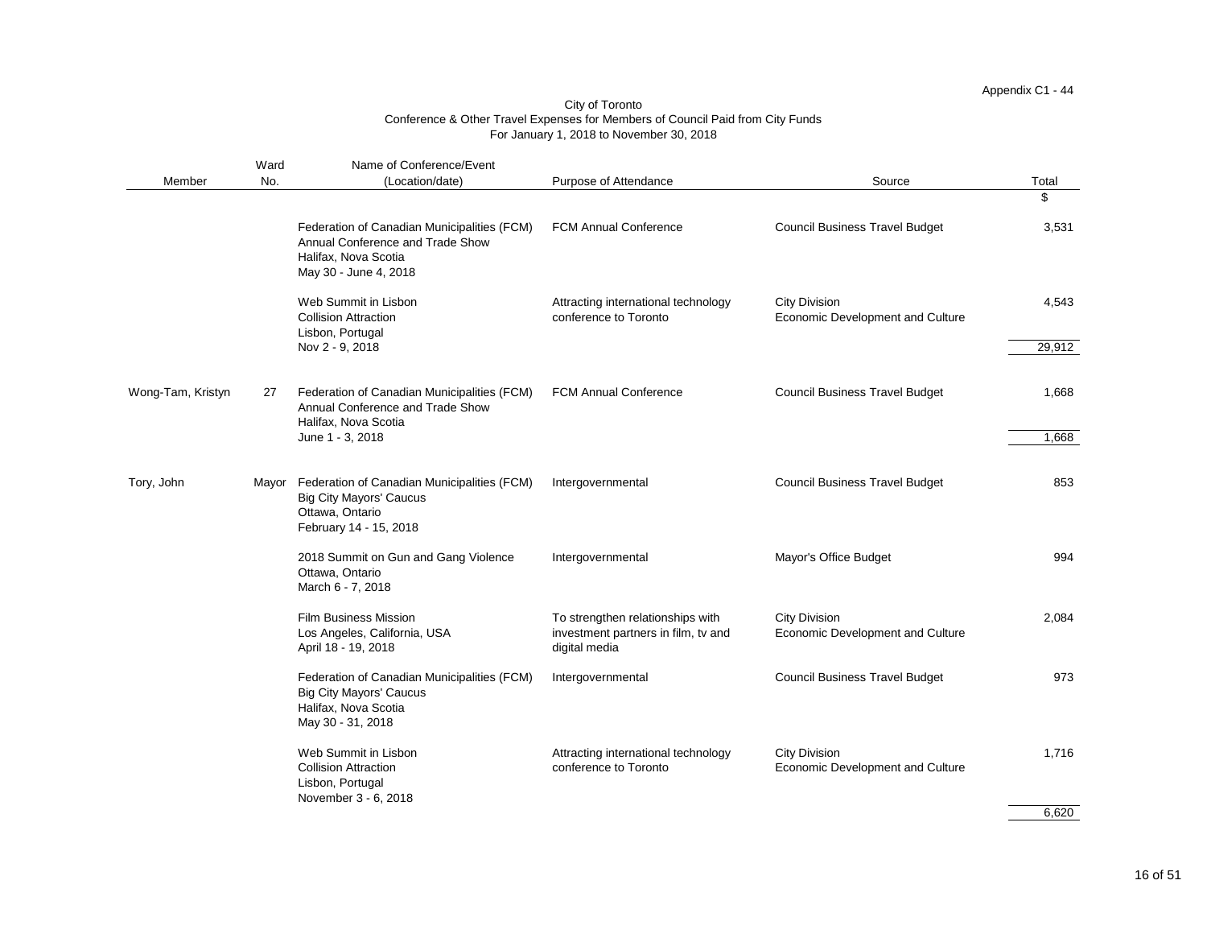|                   | Ward  | Name of Conference/Event                                                                                                         |                                                                                          |                                                                 |        |
|-------------------|-------|----------------------------------------------------------------------------------------------------------------------------------|------------------------------------------------------------------------------------------|-----------------------------------------------------------------|--------|
| Member            | No.   | (Location/date)                                                                                                                  | Purpose of Attendance                                                                    | Source                                                          | Total  |
|                   |       |                                                                                                                                  |                                                                                          |                                                                 | \$     |
|                   |       | Federation of Canadian Municipalities (FCM)<br>Annual Conference and Trade Show<br>Halifax, Nova Scotia<br>May 30 - June 4, 2018 | <b>FCM Annual Conference</b>                                                             | <b>Council Business Travel Budget</b>                           | 3,531  |
|                   |       | Web Summit in Lisbon<br><b>Collision Attraction</b><br>Lisbon, Portugal                                                          | Attracting international technology<br>conference to Toronto                             | <b>City Division</b><br><b>Economic Development and Culture</b> | 4,543  |
|                   |       | Nov 2 - 9, 2018                                                                                                                  |                                                                                          |                                                                 | 29,912 |
| Wong-Tam, Kristyn | 27    | Federation of Canadian Municipalities (FCM)<br>Annual Conference and Trade Show<br>Halifax, Nova Scotia                          | <b>FCM Annual Conference</b>                                                             | <b>Council Business Travel Budget</b>                           | 1,668  |
|                   |       | June 1 - 3, 2018                                                                                                                 |                                                                                          |                                                                 | 1,668  |
|                   |       |                                                                                                                                  |                                                                                          |                                                                 |        |
| Tory, John        | Mayor | Federation of Canadian Municipalities (FCM)<br><b>Big City Mayors' Caucus</b><br>Ottawa, Ontario<br>February 14 - 15, 2018       | Intergovernmental                                                                        | <b>Council Business Travel Budget</b>                           | 853    |
|                   |       | 2018 Summit on Gun and Gang Violence<br>Ottawa, Ontario<br>March 6 - 7, 2018                                                     | Intergovernmental                                                                        | Mayor's Office Budget                                           | 994    |
|                   |       | <b>Film Business Mission</b><br>Los Angeles, California, USA<br>April 18 - 19, 2018                                              | To strengthen relationships with<br>investment partners in film, tv and<br>digital media | <b>City Division</b><br><b>Economic Development and Culture</b> | 2,084  |
|                   |       | Federation of Canadian Municipalities (FCM)<br><b>Big City Mayors' Caucus</b><br>Halifax, Nova Scotia<br>May 30 - 31, 2018       | Intergovernmental                                                                        | <b>Council Business Travel Budget</b>                           | 973    |
|                   |       | Web Summit in Lisbon<br><b>Collision Attraction</b><br>Lisbon, Portugal<br>November 3 - 6, 2018                                  | Attracting international technology<br>conference to Toronto                             | <b>City Division</b><br><b>Economic Development and Culture</b> | 1,716  |

6,620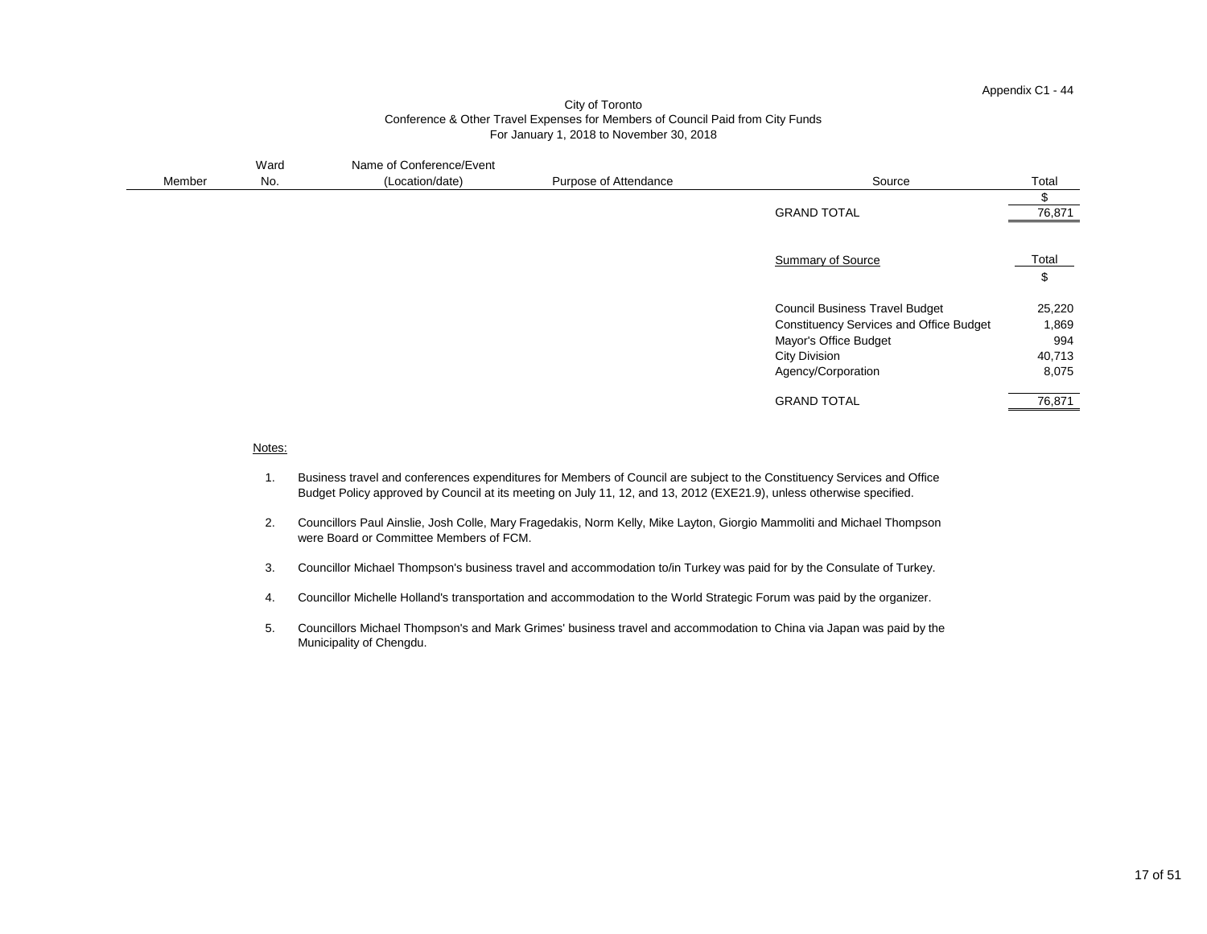| Member | Ward<br>No. | Name of Conference/Event<br>(Location/date) | Purpose of Attendance | Source                                                                                                                                                                | Total                                     |
|--------|-------------|---------------------------------------------|-----------------------|-----------------------------------------------------------------------------------------------------------------------------------------------------------------------|-------------------------------------------|
|        |             |                                             |                       |                                                                                                                                                                       | \$                                        |
|        |             |                                             |                       | <b>GRAND TOTAL</b>                                                                                                                                                    | 76,871                                    |
|        |             |                                             |                       | <b>Summary of Source</b>                                                                                                                                              | Total<br>$\boldsymbol{\mathsf{S}}$        |
|        |             |                                             |                       | <b>Council Business Travel Budget</b><br><b>Constituency Services and Office Budget</b><br><b>Mayor's Office Budget</b><br><b>City Division</b><br>Agency/Corporation | 25,220<br>1,869<br>994<br>40,713<br>8,075 |
|        |             |                                             |                       | <b>GRAND TOTAL</b>                                                                                                                                                    | 76,871                                    |

#### Notes:

- 1. Business travel and conferences expenditures for Members of Council are subject to the Constituency Services and Office Budget Policy approved by Council at its meeting on July 11, 12, and 13, 2012 (EXE21.9), unless otherwise specified.
- 2. Councillors Paul Ainslie, Josh Colle, Mary Fragedakis, Norm Kelly, Mike Layton, Giorgio Mammoliti and Michael Thompson were Board or Committee Members of FCM.
- 3. Councillor Michael Thompson's business travel and accommodation to/in Turkey was paid for by the Consulate of Turkey.
- 4. Councillor Michelle Holland's transportation and accommodation to the World Strategic Forum was paid by the organizer.
- 5. Councillors Michael Thompson's and Mark Grimes' business travel and accommodation to China via Japan was paid by the Municipality of Chengdu.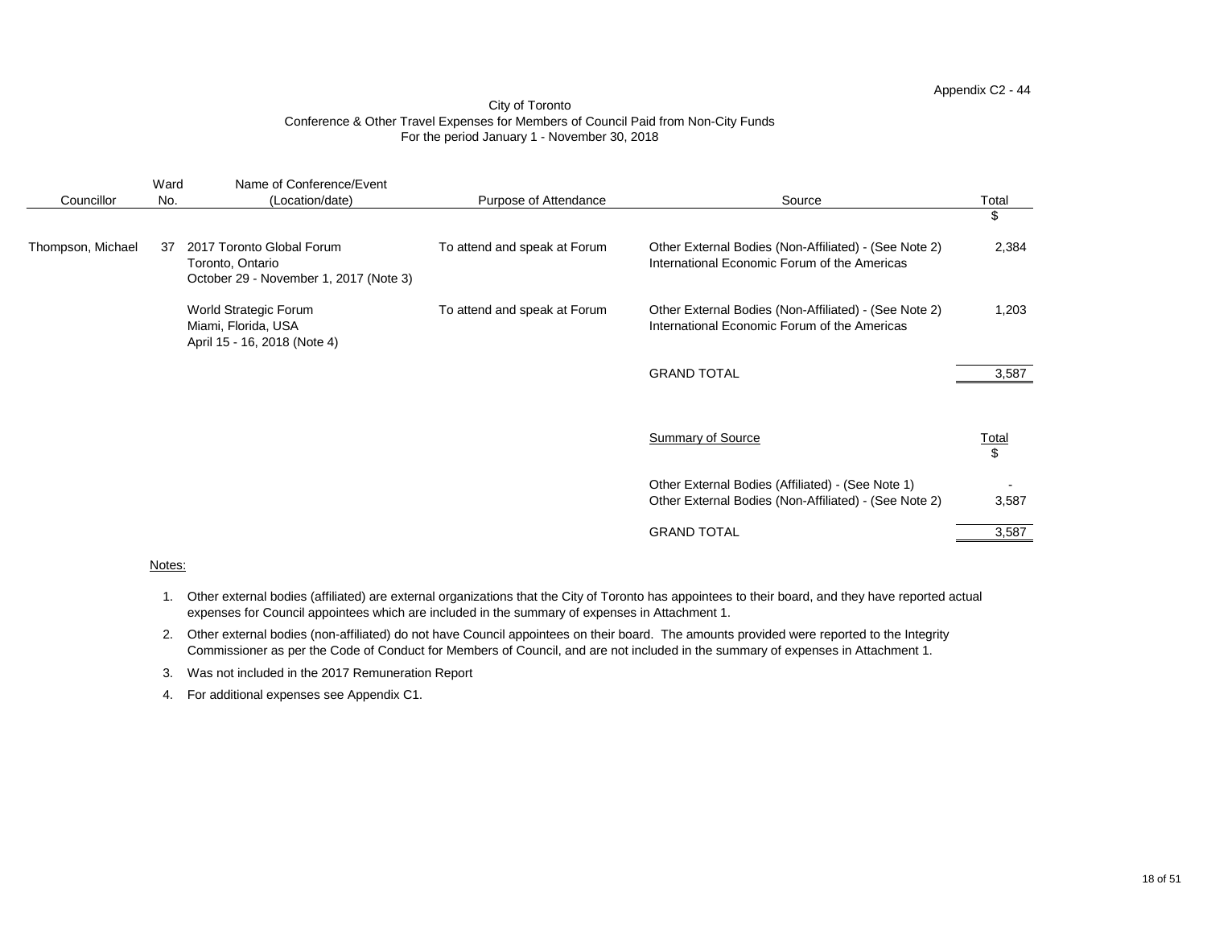| Councillor        | Ward<br>No. | Name of Conference/Event<br>(Location/date)                                             | <b>Purpose of Attendance</b> | Source                                                                                                     | Total<br>$\frac{1}{2}$         |
|-------------------|-------------|-----------------------------------------------------------------------------------------|------------------------------|------------------------------------------------------------------------------------------------------------|--------------------------------|
| Thompson, Michael | 37          | 2017 Toronto Global Forum<br>Toronto, Ontario<br>October 29 - November 1, 2017 (Note 3) | To attend and speak at Forum | Other External Bodies (Non-Affiliated) - (See Note 2)<br>International Economic Forum of the Americas      | 2,384                          |
|                   |             | <b>World Strategic Forum</b><br>Miami, Florida, USA<br>April 15 - 16, 2018 (Note 4)     | To attend and speak at Forum | Other External Bodies (Non-Affiliated) - (See Note 2)<br>International Economic Forum of the Americas      | 1,203                          |
|                   |             |                                                                                         |                              | <b>GRAND TOTAL</b>                                                                                         | 3,587                          |
|                   |             |                                                                                         |                              | <b>Summary of Source</b>                                                                                   | <u>Total</u><br>$\mathfrak{S}$ |
|                   |             |                                                                                         |                              | Other External Bodies (Affiliated) - (See Note 1)<br>Other External Bodies (Non-Affiliated) - (See Note 2) | 3,587                          |
|                   |             |                                                                                         |                              | <b>GRAND TOTAL</b>                                                                                         | 3,587                          |

# Notes:

- 1. Other external bodies (affiliated) are external organizations that the City of Toronto has appointees to their board, and they have reported actual expenses for Council appointees which are included in the summary of expenses in Attachment 1.
- 2. Other external bodies (non-affiliated) do not have Council appointees on their board. The amounts provided were reported to the Integrity Commissioner as per the Code of Conduct for Members of Council, and are not included in the summary of expenses in Attachment 1.
- 3. Was not included in the 2017 Remuneration Report
- 4. For additional expenses see Appendix C1.

# Appendix C2 - 44

# City of Toronto Conference & Other Travel Expenses for Members of Council Paid from Non-City Funds For the period January 1 - November 30, 2018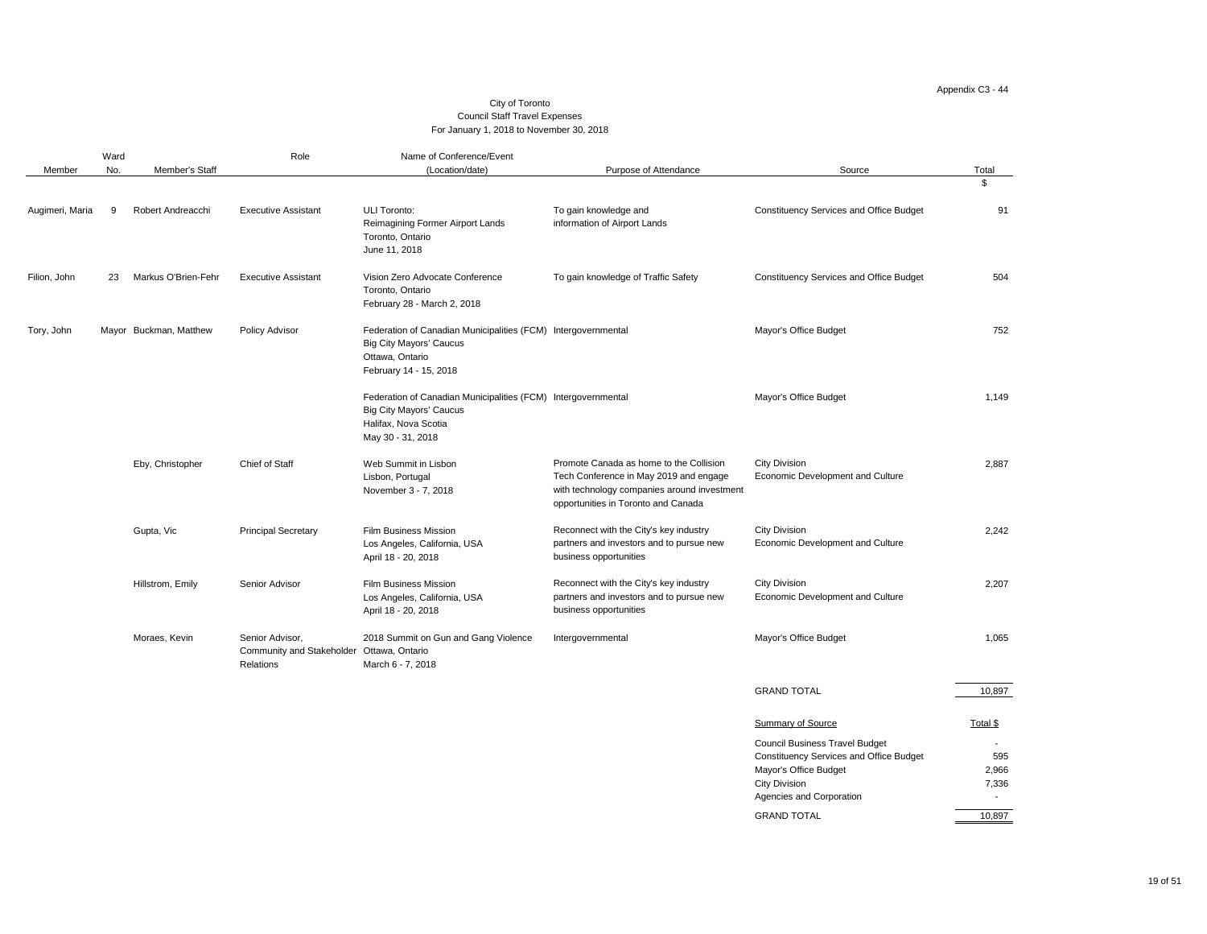# Appendix C3 - 44

| Member          | Ward<br>No. | <b>Member's Staff</b>  | Role                                                             | Name of Conference/Event<br>(Location/date)                                                                                                  | Purpose of Attendance                                                                                                                                                   | Source                                                                                                                                                                             | Total                                   |
|-----------------|-------------|------------------------|------------------------------------------------------------------|----------------------------------------------------------------------------------------------------------------------------------------------|-------------------------------------------------------------------------------------------------------------------------------------------------------------------------|------------------------------------------------------------------------------------------------------------------------------------------------------------------------------------|-----------------------------------------|
|                 |             |                        |                                                                  |                                                                                                                                              |                                                                                                                                                                         |                                                                                                                                                                                    | $\boldsymbol{\mathsf{\$}}$              |
| Augimeri, Maria | -9          | Robert Andreacchi      | <b>Executive Assistant</b>                                       | <b>ULI Toronto:</b><br><b>Reimagining Former Airport Lands</b><br>Toronto, Ontario<br>June 11, 2018                                          | To gain knowledge and<br>information of Airport Lands                                                                                                                   | <b>Constituency Services and Office Budget</b>                                                                                                                                     | 91                                      |
| Filion, John    | 23          | Markus O'Brien-Fehr    | <b>Executive Assistant</b>                                       | Vision Zero Advocate Conference<br>Toronto, Ontario<br>February 28 - March 2, 2018                                                           | To gain knowledge of Traffic Safety                                                                                                                                     | <b>Constituency Services and Office Budget</b>                                                                                                                                     | 504                                     |
| Tory, John      |             | Mayor Buckman, Matthew | <b>Policy Advisor</b>                                            | Federation of Canadian Municipalities (FCM) Intergovernmental<br><b>Big City Mayors' Caucus</b><br>Ottawa, Ontario<br>February 14 - 15, 2018 |                                                                                                                                                                         | <b>Mayor's Office Budget</b>                                                                                                                                                       | 752                                     |
|                 |             |                        |                                                                  | Federation of Canadian Municipalities (FCM) Intergovernmental<br><b>Big City Mayors' Caucus</b><br>Halifax, Nova Scotia<br>May 30 - 31, 2018 |                                                                                                                                                                         | <b>Mayor's Office Budget</b>                                                                                                                                                       | 1,149                                   |
|                 |             | Eby, Christopher       | <b>Chief of Staff</b>                                            | Web Summit in Lisbon<br>Lisbon, Portugal<br>November 3 - 7, 2018                                                                             | Promote Canada as home to the Collision<br>Tech Conference in May 2019 and engage<br>with technology companies around investment<br>opportunities in Toronto and Canada | <b>City Division</b><br><b>Economic Development and Culture</b>                                                                                                                    | 2,887                                   |
|                 |             | Gupta, Vic             | <b>Principal Secretary</b>                                       | <b>Film Business Mission</b><br>Los Angeles, California, USA<br>April 18 - 20, 2018                                                          | Reconnect with the City's key industry<br>partners and investors and to pursue new<br>business opportunities                                                            | <b>City Division</b><br><b>Economic Development and Culture</b>                                                                                                                    | 2,242                                   |
|                 |             | Hillstrom, Emily       | Senior Advisor                                                   | <b>Film Business Mission</b><br>Los Angeles, California, USA<br>April 18 - 20, 2018                                                          | Reconnect with the City's key industry<br>partners and investors and to pursue new<br>business opportunities                                                            | <b>City Division</b><br><b>Economic Development and Culture</b>                                                                                                                    | 2,207                                   |
|                 |             | Moraes, Kevin          | Senior Advisor,<br><b>Community and Stakeholder</b><br>Relations | 2018 Summit on Gun and Gang Violence<br>Ottawa, Ontario<br>March 6 - 7, 2018                                                                 | Intergovernmental                                                                                                                                                       | <b>Mayor's Office Budget</b>                                                                                                                                                       | 1,065                                   |
|                 |             |                        |                                                                  |                                                                                                                                              |                                                                                                                                                                         | <b>GRAND TOTAL</b>                                                                                                                                                                 | 10,897                                  |
|                 |             |                        |                                                                  |                                                                                                                                              |                                                                                                                                                                         | <b>Summary of Source</b>                                                                                                                                                           | Total \$                                |
|                 |             |                        |                                                                  |                                                                                                                                              |                                                                                                                                                                         | <b>Council Business Travel Budget</b><br><b>Constituency Services and Office Budget</b><br><b>Mayor's Office Budget</b><br><b>City Division</b><br><b>Agencies and Corporation</b> | 595<br>2,966<br>7,336<br>$\blacksquare$ |
|                 |             |                        |                                                                  |                                                                                                                                              |                                                                                                                                                                         | <b>GRAND TOTAL</b>                                                                                                                                                                 | 10,897                                  |

# City of Toronto Council Staff Travel Expenses For January 1, 2018 to November 30, 2018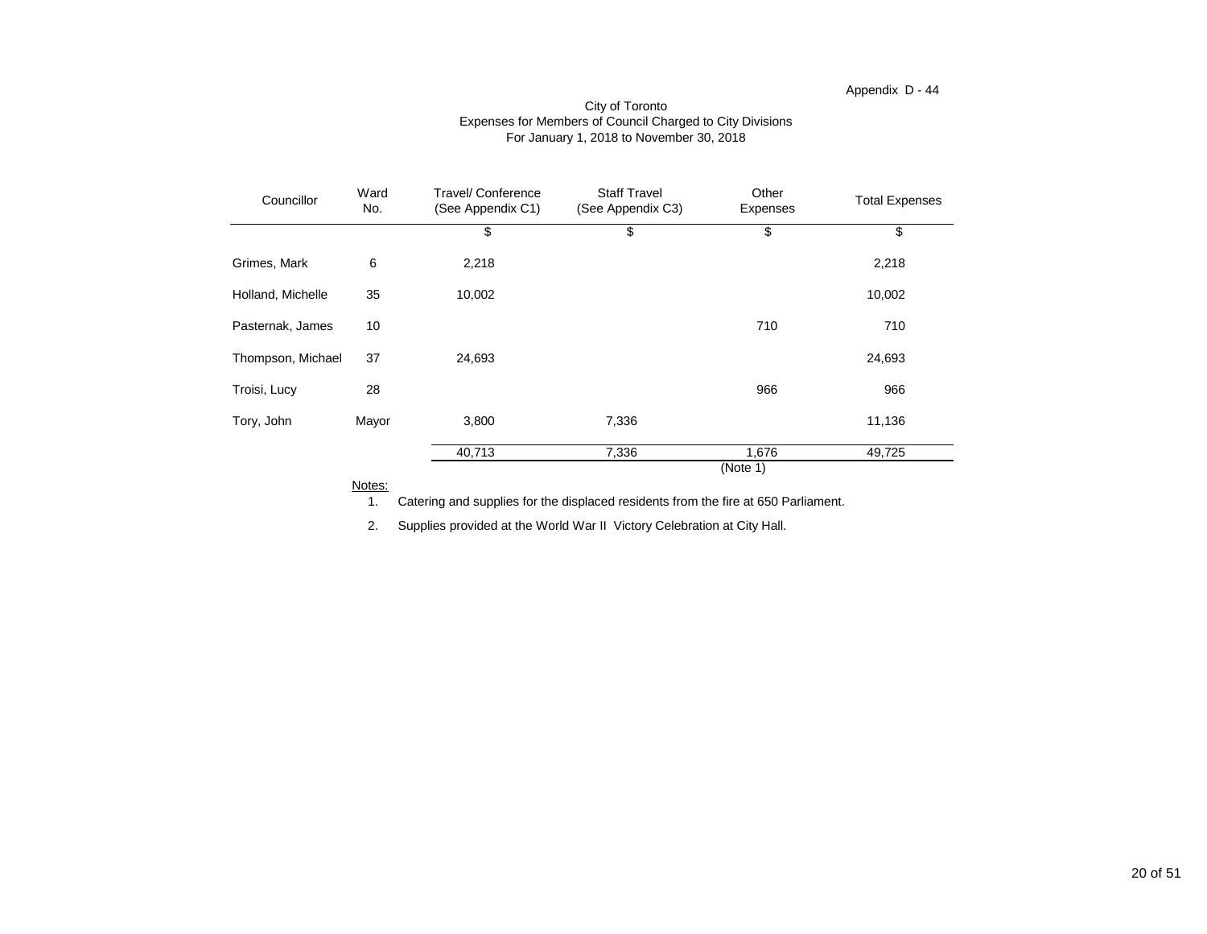| Ward<br>Councillor<br>No. |                 | <b>Travel/ Conference</b><br>(See Appendix C1) | <b>Staff Travel</b><br>(See Appendix C3) | Other<br><b>Expenses</b> | <b>Total Expenses</b> |
|---------------------------|-----------------|------------------------------------------------|------------------------------------------|--------------------------|-----------------------|
|                           |                 | \$                                             | \$                                       | \$                       | \$                    |
| Grimes, Mark              | 6               | 2,218                                          |                                          |                          | 2,218                 |
| Holland, Michelle         | 35              | 10,002                                         |                                          |                          | 10,002                |
| Pasternak, James          | 10 <sup>°</sup> |                                                |                                          | 710                      | 710                   |
| Thompson, Michael         | 37              | 24,693                                         |                                          |                          | 24,693                |
| Troisi, Lucy              | 28              |                                                |                                          | 966                      | 966                   |
| Tory, John                | Mayor           | 3,800                                          | 7,336                                    |                          | 11,136                |
|                           |                 | 40,713                                         | 7,336                                    | 1,676<br>(Note 1)        | 49,725                |

#### City of Toronto Expenses for Members of Council Charged to City Divisions For January 1, 2018 to November 30, 2018

Notes:

1. Catering and supplies for the displaced residents from the fire at 650 Parliament.

2. Supplies provided at the World War II Victory Celebration at City Hall.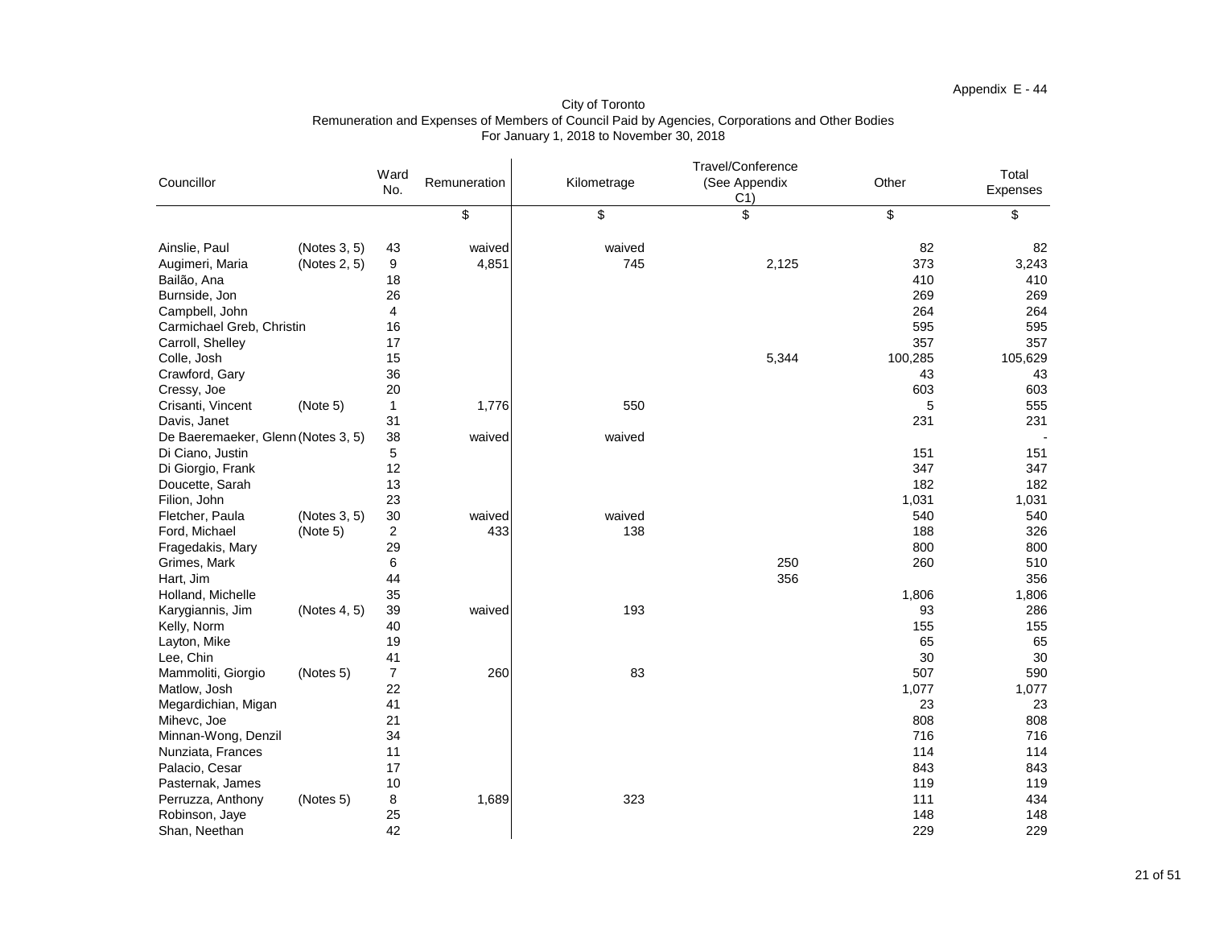| <sup>-</sup> otal<br>ı                                                                        |
|-----------------------------------------------------------------------------------------------|
| Expenses                                                                                      |
| \$                                                                                            |
| 82<br>3,243<br>410<br>269<br>264<br>595<br>357<br>105,629<br>43<br>603<br>555<br>231          |
| 151<br>347<br>182<br>1,031<br>540<br>326<br>800<br>510<br>356<br>1,806                        |
| 286<br>155<br>65<br>30<br>590<br>1,077<br>23<br>808<br>716<br>114<br>843<br>119<br>434<br>148 |
| 229                                                                                           |

| Councillor                         |              | Ward<br>No.    | Remuneration | Kilometrage | Travel/Conference<br>(See Appendix<br>C <sub>1</sub> | Other   | Total<br>Expenses |
|------------------------------------|--------------|----------------|--------------|-------------|------------------------------------------------------|---------|-------------------|
|                                    |              |                | \$           | \$          | \$                                                   | \$      | \$                |
| Ainslie, Paul                      | (Notes 3, 5) | 43             | waived       | waived      |                                                      | 82      | 82                |
| Augimeri, Maria                    | (Notes 2, 5) | 9              | 4,851        | 745         | 2,125                                                | 373     | 3,243             |
| Bailão, Ana                        |              | 18             |              |             |                                                      | 410     | 410               |
| Burnside, Jon                      |              | 26             |              |             |                                                      | 269     | 269               |
| Campbell, John                     |              | 4              |              |             |                                                      | 264     | 264               |
| Carmichael Greb, Christin          |              | 16             |              |             |                                                      | 595     | 595               |
| Carroll, Shelley                   |              | 17             |              |             |                                                      | 357     | 357               |
| Colle, Josh                        |              | 15             |              |             | 5,344                                                | 100,285 | 105,629           |
| Crawford, Gary                     |              | 36             |              |             |                                                      | 43      | 43                |
| Cressy, Joe                        |              | 20             |              |             |                                                      | 603     | 603               |
| Crisanti, Vincent                  | (Note 5)     |                | 1,776        | 550         |                                                      | 5       | 555               |
| Davis, Janet                       |              | 31             |              |             |                                                      | 231     | 231               |
| De Baeremaeker, Glenn (Notes 3, 5) |              | 38             | waived       | waived      |                                                      |         |                   |
| Di Ciano, Justin                   |              | 5              |              |             |                                                      | 151     | 151               |
| Di Giorgio, Frank                  |              | 12             |              |             |                                                      | 347     | 347               |
| Doucette, Sarah                    |              | 13             |              |             |                                                      | 182     | 182               |
| Filion, John                       |              | 23             |              |             |                                                      | 1,031   | 1,031             |
| Fletcher, Paula                    | (Notes 3, 5) | 30             | waived       | waived      |                                                      | 540     | 540               |
| Ford, Michael                      | (Note 5)     | 2              | 433          | 138         |                                                      | 188     | 326               |
| Fragedakis, Mary                   |              | 29             |              |             |                                                      | 800     | 800               |
| Grimes, Mark                       |              | 6              |              |             | 250                                                  | 260     | 510               |
| Hart, Jim                          |              | 44             |              |             | 356                                                  |         | 356               |
| Holland, Michelle                  |              | 35             |              |             |                                                      | 1,806   | 1,806             |
| Karygiannis, Jim                   | (Notes 4, 5) | 39             | waived       | 193         |                                                      | 93      | 286               |
| Kelly, Norm                        |              | 40             |              |             |                                                      | 155     | 155               |
| Layton, Mike                       |              | 19             |              |             |                                                      | 65      | 65                |
| Lee, Chin                          |              | 41             |              |             |                                                      | 30      | 30                |
| Mammoliti, Giorgio                 | (Notes 5)    | $\overline{7}$ | 260          | 83          |                                                      | 507     | 590               |
| Matlow, Josh                       |              | 22             |              |             |                                                      | 1,077   | 1,077             |
| Megardichian, Migan                |              | 41             |              |             |                                                      | 23      | 23                |
| Mihevc, Joe                        |              | 21             |              |             |                                                      | 808     | 808               |
| Minnan-Wong, Denzil                |              | 34             |              |             |                                                      | 716     | 716               |
| Nunziata, Frances                  |              | 11             |              |             |                                                      | 114     | 114               |
| Palacio, Cesar                     |              | 17             |              |             |                                                      | 843     | 843               |
| Pasternak, James                   |              | 10             |              |             |                                                      | 119     | 119               |
| Perruzza, Anthony                  | (Notes 5)    | 8              | 1,689        | 323         |                                                      | 111     | 434               |
| Robinson, Jaye                     |              | 25             |              |             |                                                      | 148     | 148               |
| Shan, Neethan                      |              | 42             |              |             |                                                      | 229     | 229               |

City of Toronto Remuneration and Expenses of Members of Council Paid by Agencies, Corporations and Other Bodies For January 1, 2018 to November 30, 2018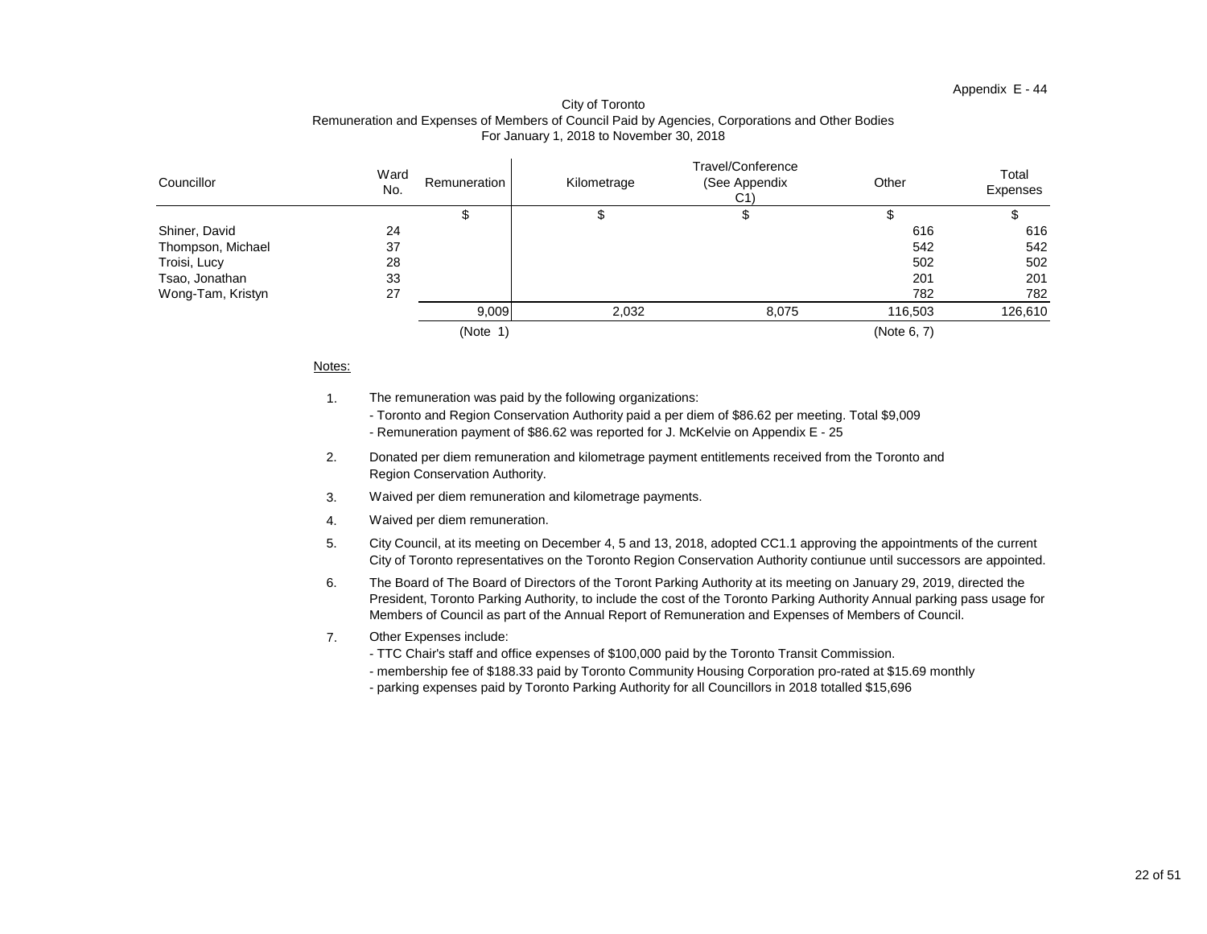| Total<br>Expenses |  |
|-------------------|--|
| \$                |  |
| 616               |  |
| 542               |  |
| 502               |  |
| 201               |  |
| 782               |  |
| 126,610           |  |

# Appendix E - 44

#### City of Toronto Remuneration and Expenses of Members of Council Paid by Agencies, Corporations and Other Bodies For January 1, 2018 to November 30, 2018

| Councillor        | Ward<br>No. | Remuneration | Kilometrage | Travel/Conference<br>(See Appendix<br>C <sub>1</sub> | Other       | Total<br>Expenses |
|-------------------|-------------|--------------|-------------|------------------------------------------------------|-------------|-------------------|
|                   |             |              |             |                                                      |             |                   |
| Shiner, David     | 24          |              |             |                                                      | 616         | 616               |
| Thompson, Michael | 37          |              |             |                                                      | 542         | 542               |
| Troisi, Lucy      | 28          |              |             |                                                      | 502         | 502               |
| Tsao, Jonathan    | 33          |              |             |                                                      | 201         | 201               |
| Wong-Tam, Kristyn | 27          |              |             |                                                      | 782         | 782               |
|                   |             | 9,009        | 2,032       | 8,075                                                | 116,503     | 126,610           |
|                   |             | (Note        |             |                                                      | (Note 6, 7) |                   |

#### Notes:

- 1. The remuneration was paid by the following organizations:
	- Toronto and Region Conservation Authority paid a per diem of \$86.62 per meeting. Total \$9,009
	- Remuneration payment of \$86.62 was reported for J. McKelvie on Appendix E 25
- 2. Region Conservation Authority. Donated per diem remuneration and kilometrage payment entitlements received from the Toronto and
- 3. Waived per diem remuneration and kilometrage payments.
- 4. Waived per diem remuneration.
- 5. City Council, at its meeting on December 4, 5 and 13, 2018, adopted CC1.1 approving the appointments of the current City of Toronto representatives on the Toronto Region Conservation Authority contiunue until successors are appointed.
- 6. The Board of The Board of Directors of the Toront Parking Authority at its meeting on January 29, 2019, directed the President, Toronto Parking Authority, to include the cost of the Toronto Parking Authority Annual parking pass usage for Members of Council as part of the Annual Report of Remuneration and Expenses of Members of Council.
- 7. Other Expenses include:
	- TTC Chair's staff and office expenses of \$100,000 paid by the Toronto Transit Commission.
	- membership fee of \$188.33 paid by Toronto Community Housing Corporation pro-rated at \$15.69 monthly
	- parking expenses paid by Toronto Parking Authority for all Councillors in 2018 totalled \$15,696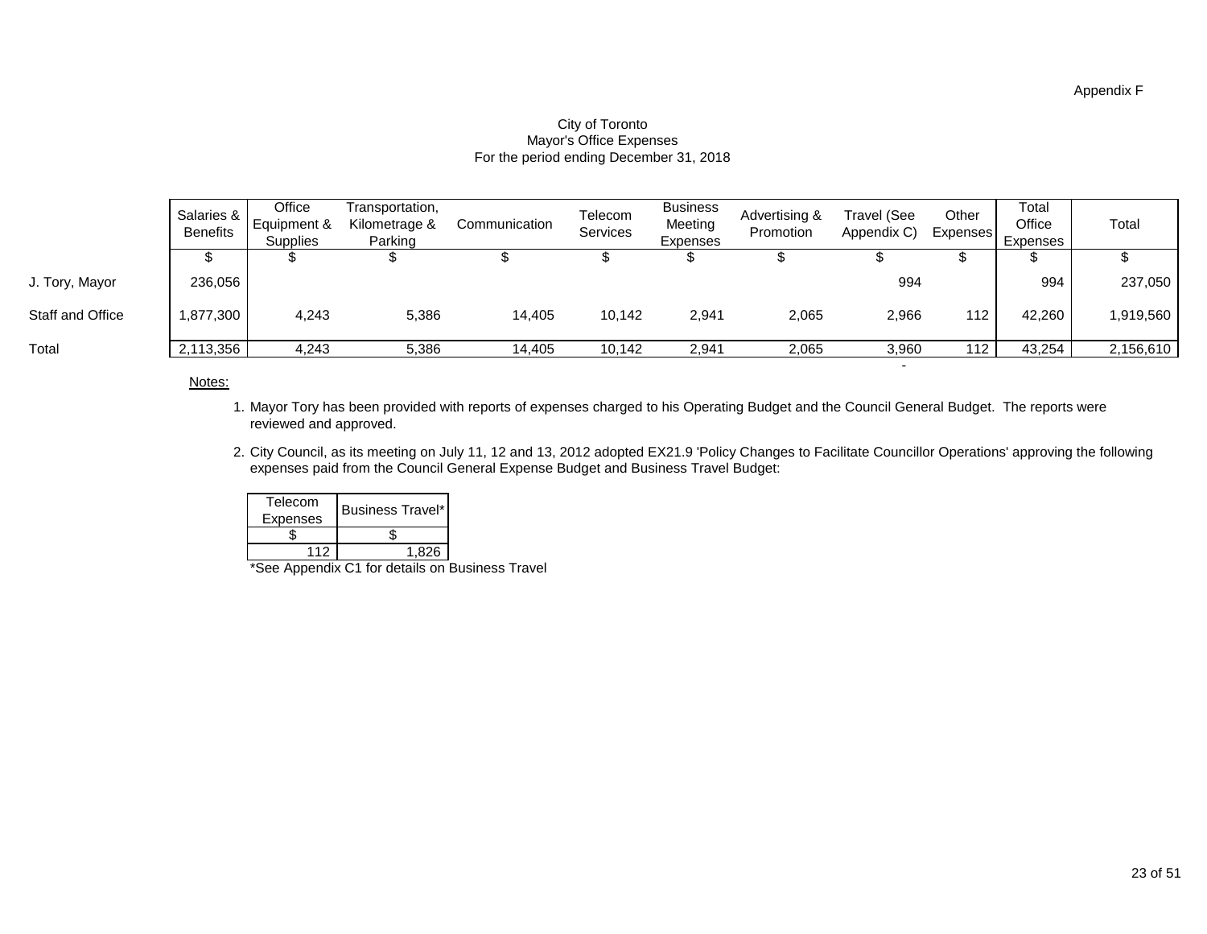|                         | Salaries &<br><b>Benefits</b> | Office<br>I Equipment &<br><b>Supplies</b> | Transportation,<br>Kilometrage &<br>Parking | Communication | Telecom<br><b>Services</b> | <b>Business</b><br>Meeting<br><b>Expenses</b> | Advertising &<br>Promotion | <b>Travel (See</b><br>Appendix C) | Other<br><b>Expenses</b> | Total<br>Office<br>Expenses | Total        |
|-------------------------|-------------------------------|--------------------------------------------|---------------------------------------------|---------------|----------------------------|-----------------------------------------------|----------------------------|-----------------------------------|--------------------------|-----------------------------|--------------|
|                         |                               |                                            |                                             |               |                            |                                               |                            |                                   |                          |                             |              |
| J. Tory, Mayor          | 236,056                       |                                            |                                             |               |                            |                                               |                            | 994                               |                          | 994                         | 237,050      |
| <b>Staff and Office</b> | 1,877,300                     | 4,243                                      | 5,386                                       | 14,405        | 10,142                     | 2,941                                         | 2,065                      | 2,966                             | 112                      | 42,260                      | ∣ 1,919,560, |
| Total                   | 2,113,356                     | 4,243                                      | 5,386                                       | 14,405        | 10,142                     | 2,941                                         | 2,065                      | 3,960                             | 112 <sub>1</sub>         | 43,254                      | 2,156,610    |

#### For the period ending December 31, 2018 Mayor's Office Expenses City of Toronto

#### Notes:

- 1. Mayor Tory has been provided with reports of expenses charged to his Operating Budget and the Council General Budget. The reports were reviewed and approved.
- 2. City Council, as its meeting on July 11, 12 and 13, 2012 adopted EX21.9 'Policy Changes to Facilitate Councillor Operations' approving the following expenses paid from the Council General Expense Budget and Business Travel Budget:

- 1990 - 1990 - 1991 - 1992 - 1993 - 1994 - 1994 - 1994 - 1995 - 1995 - 1995 - 1995 - 1995 - 1995 - 1995 - 199

| Telecom         | <b>Business Travel*</b> |  |
|-----------------|-------------------------|--|
| <b>Expenses</b> |                         |  |
|                 |                         |  |
| 112             | 1.826                   |  |

\*See Appendix C1 for details on Business Travel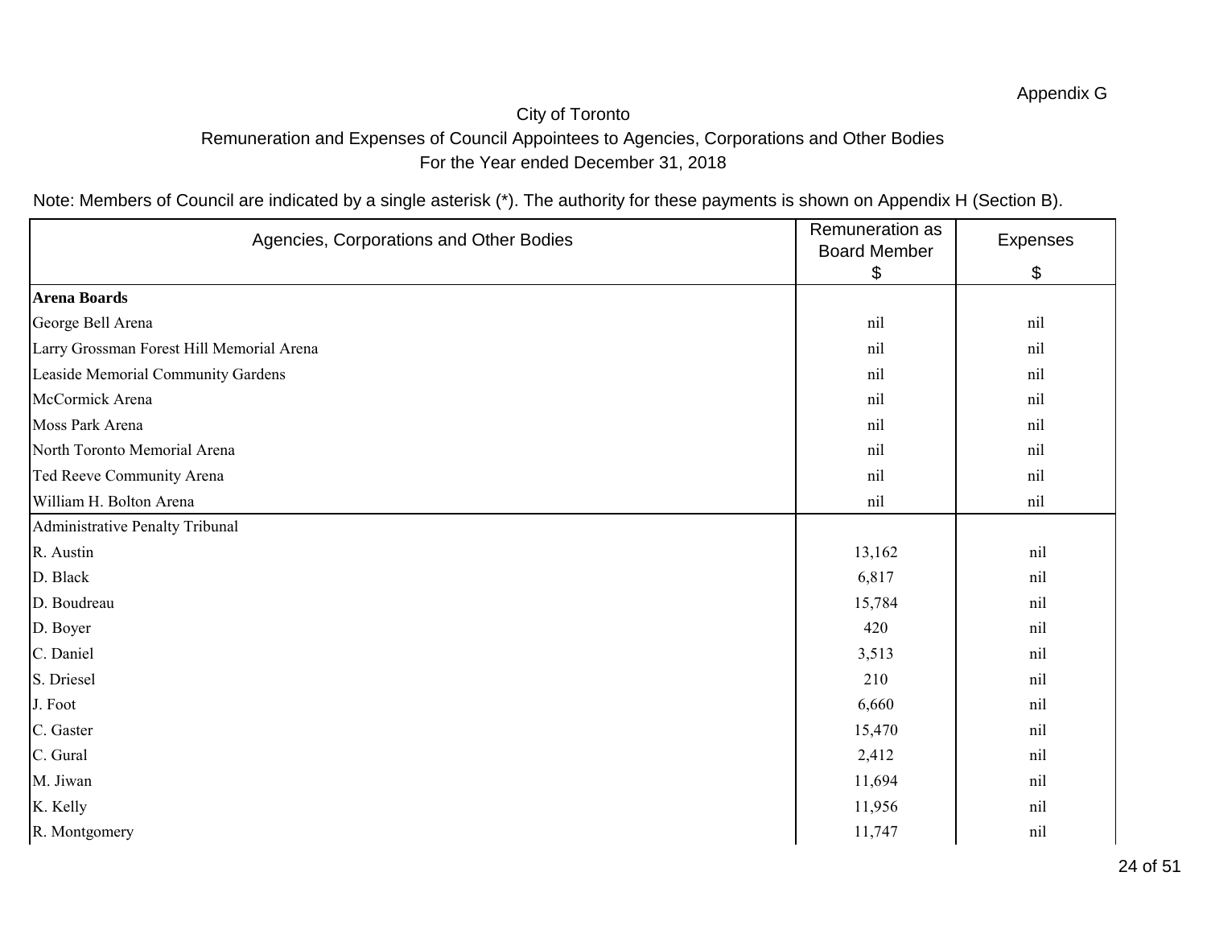# City of Toronto Remuneration and Expenses of Council Appointees to Agencies, Corporations and Other Bodies For the Year ended December 31, 2018

| Agencies, Corporations and Other Bodies   | Remuneration as<br><b>Board Member</b> | Expenses |
|-------------------------------------------|----------------------------------------|----------|
|                                           | $\boldsymbol{\theta}$                  | \$       |
| <b>Arena Boards</b>                       |                                        |          |
| George Bell Arena                         | nil                                    | nil      |
| Larry Grossman Forest Hill Memorial Arena | nil                                    | nil      |
| Leaside Memorial Community Gardens        | nil                                    | nil      |
| McCormick Arena                           | nil                                    | nil      |
| Moss Park Arena                           | nil                                    | nil      |
| North Toronto Memorial Arena              | nil                                    | nil      |
| Ted Reeve Community Arena                 | nil                                    | nil      |
| William H. Bolton Arena                   | nil                                    | nil      |
| Administrative Penalty Tribunal           |                                        |          |
| R. Austin                                 | 13,162                                 | nil      |
| D. Black                                  | 6,817                                  | nil      |
| D. Boudreau                               | 15,784                                 | nil      |
| D. Boyer                                  | 420                                    | nil      |
| C. Daniel                                 | 3,513                                  | nil      |
| S. Driesel                                | 210                                    | nil      |
| J. Foot                                   | 6,660                                  | nil      |
| C. Gaster                                 | 15,470                                 | nil      |
| C. Gural                                  | 2,412                                  | nil      |
| M. Jiwan                                  | 11,694                                 | nil      |
| K. Kelly                                  | 11,956                                 | nil      |
| R. Montgomery                             | 11,747                                 | nil      |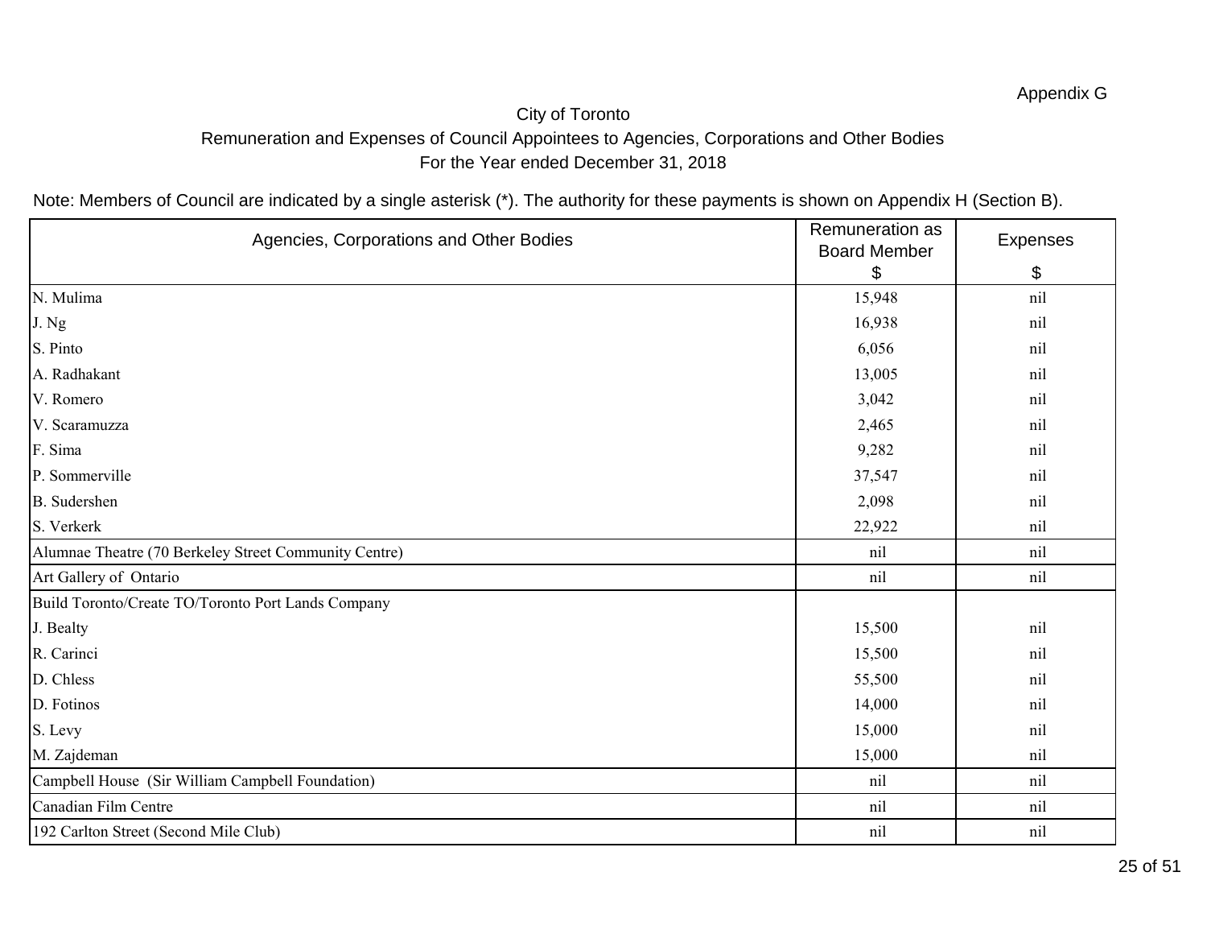# City of Toronto Remuneration and Expenses of Council Appointees to Agencies, Corporations and Other Bodies For the Year ended December 31, 2018

| Agencies, Corporations and Other Bodies               | Remuneration as<br><b>Board Member</b> | Expenses |
|-------------------------------------------------------|----------------------------------------|----------|
|                                                       | \$                                     | \$       |
| N. Mulima                                             | 15,948                                 | nil      |
| J. Ng                                                 | 16,938                                 | nil      |
| S. Pinto                                              | 6,056                                  | nil      |
| A. Radhakant                                          | 13,005                                 | nil      |
| V. Romero                                             | 3,042                                  | nil      |
| V. Scaramuzza                                         | 2,465                                  | nil      |
| F. Sima                                               | 9,282                                  | nil      |
| P. Sommerville                                        | 37,547                                 | nil      |
| <b>B.</b> Sudershen                                   | 2,098                                  | nil      |
| S. Verkerk                                            | 22,922                                 | nil      |
| Alumnae Theatre (70 Berkeley Street Community Centre) | nil                                    | nil      |
| Art Gallery of Ontario                                | nil                                    | nil      |
| Build Toronto/Create TO/Toronto Port Lands Company    |                                        |          |
| J. Bealty                                             | 15,500                                 | nil      |
| R. Carinci                                            | 15,500                                 | nil      |
| D. Chless                                             | 55,500                                 | nil      |
| D. Fotinos                                            | 14,000                                 | nil      |
| S. Levy                                               | 15,000                                 | nil      |
| M. Zajdeman                                           | 15,000                                 | nil      |
| Campbell House (Sir William Campbell Foundation)      | nil                                    | nil      |
| Canadian Film Centre                                  | nil                                    | nil      |
| 192 Carlton Street (Second Mile Club)                 | nil                                    | nil      |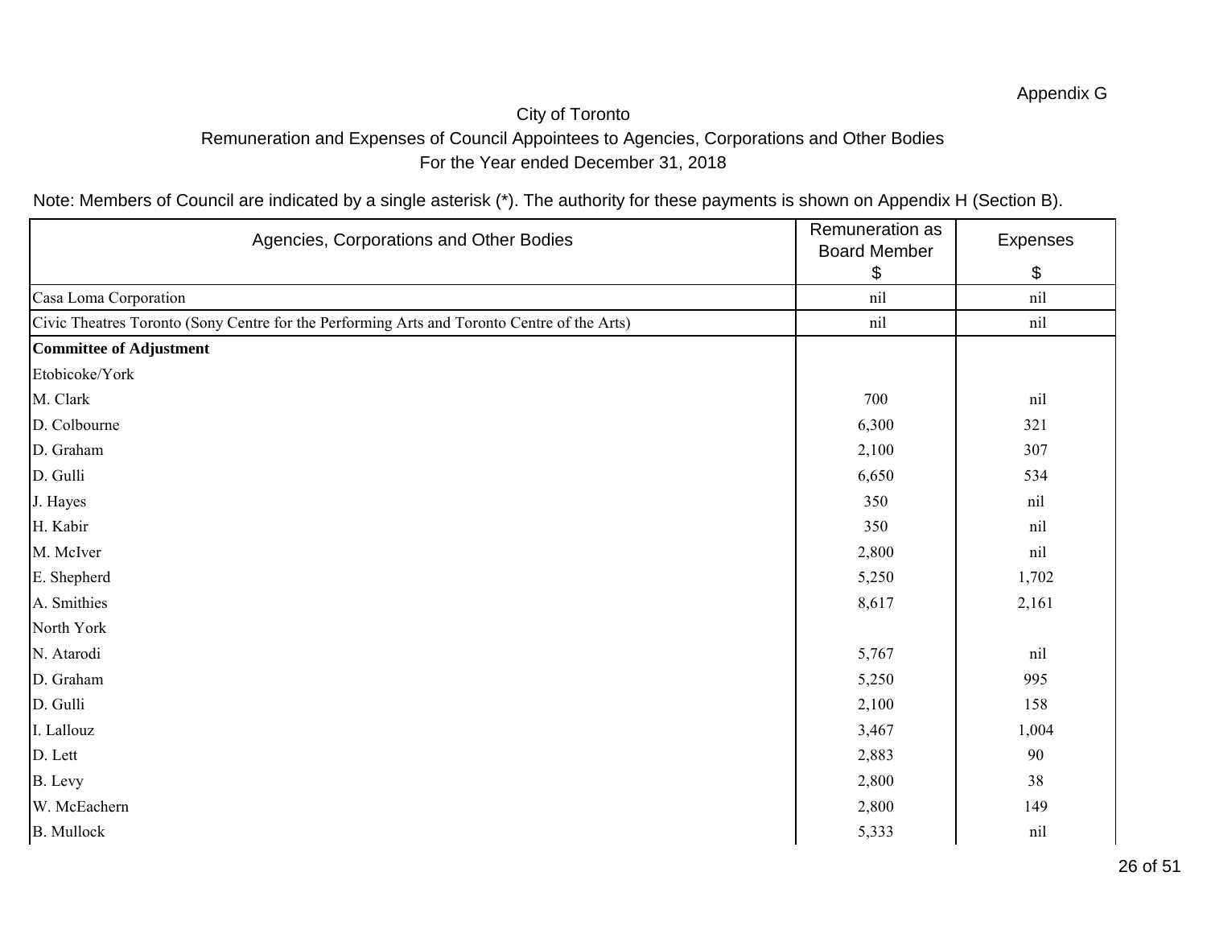# City of Toronto Remuneration and Expenses of Council Appointees to Agencies, Corporations and Other Bodies For the Year ended December 31, 2018

| Agencies, Corporations and Other Bodies                                                     | Remuneration as<br><b>Board Member</b> | Expenses |
|---------------------------------------------------------------------------------------------|----------------------------------------|----------|
|                                                                                             | \$                                     | \$       |
| Casa Loma Corporation                                                                       | nil                                    | nil      |
| Civic Theatres Toronto (Sony Centre for the Performing Arts and Toronto Centre of the Arts) | nil                                    | nil      |
| Committee of Adjustment                                                                     |                                        |          |
| Etobicoke/York                                                                              |                                        |          |
| M. Clark                                                                                    | 700                                    | nil      |
| D. Colbourne                                                                                | 6,300                                  | 321      |
| D. Graham                                                                                   | 2,100                                  | 307      |
| D. Gulli                                                                                    | 6,650                                  | 534      |
| J. Hayes                                                                                    | 350                                    | nil      |
| H. Kabir                                                                                    | 350                                    | nil      |
| M. McIver                                                                                   | 2,800                                  | nil      |
| E. Shepherd                                                                                 | 5,250                                  | 1,702    |
| A. Smithies                                                                                 | 8,617                                  | 2,161    |
| North York                                                                                  |                                        |          |
| N. Atarodi                                                                                  | 5,767                                  | nil      |
| D. Graham                                                                                   | 5,250                                  | 995      |
| D. Gulli                                                                                    | 2,100                                  | 158      |
| I. Lallouz                                                                                  | 3,467                                  | 1,004    |
| D. Lett                                                                                     | 2,883                                  | 90       |
| B. Levy                                                                                     | 2,800                                  | 38       |
| W. McEachern                                                                                | 2,800                                  | 149      |
| <b>B.</b> Mullock                                                                           | 5,333                                  | nil      |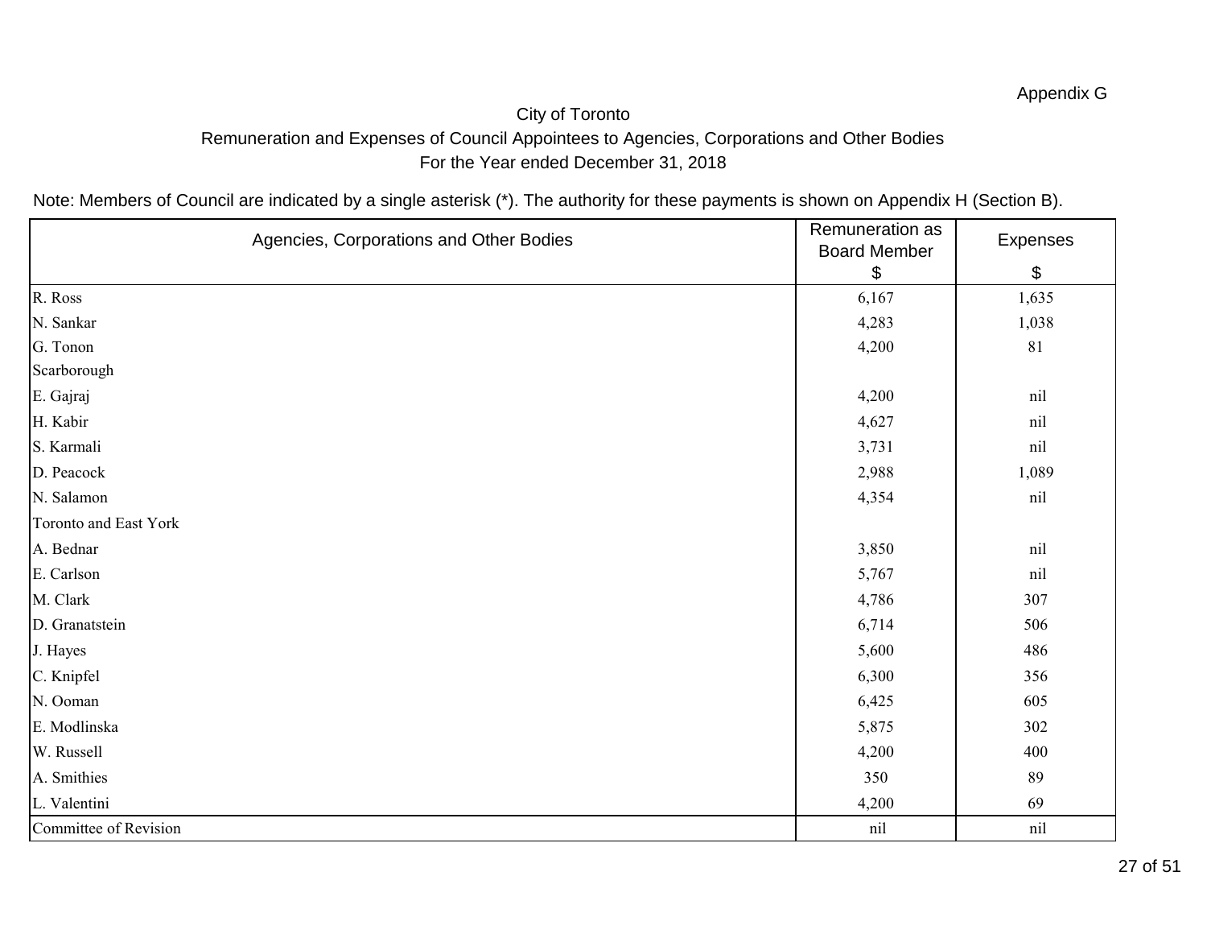# City of Toronto Remuneration and Expenses of Council Appointees to Agencies, Corporations and Other Bodies For the Year ended December 31, 2018

| Agencies, Corporations and Other Bodies | Remuneration as<br><b>Board Member</b> | Expenses |
|-----------------------------------------|----------------------------------------|----------|
|                                         | \$                                     | \$       |
| R. Ross                                 | 6,167                                  | 1,635    |
| N. Sankar                               | 4,283                                  | 1,038    |
| G. Tonon                                | 4,200                                  | 81       |
| Scarborough                             |                                        |          |
| E. Gajraj                               | 4,200                                  | nil      |
| H. Kabir                                | 4,627                                  | nil      |
| S. Karmali                              | 3,731                                  | nil      |
| D. Peacock                              | 2,988                                  | 1,089    |
| N. Salamon                              | 4,354                                  | nil      |
| Toronto and East York                   |                                        |          |
| A. Bednar                               | 3,850                                  | nil      |
| E. Carlson                              | 5,767                                  | nil      |
| M. Clark                                | 4,786                                  | 307      |
| D. Granatstein                          | 6,714                                  | 506      |
| J. Hayes                                | 5,600                                  | 486      |
| C. Knipfel                              | 6,300                                  | 356      |
| N. Ooman                                | 6,425                                  | 605      |
| E. Modlinska                            | 5,875                                  | 302      |
| W. Russell                              | 4,200                                  | 400      |
| A. Smithies                             | 350                                    | 89       |
| L. Valentini                            | 4,200                                  | 69       |
| Committee of Revision                   | nil                                    | nil      |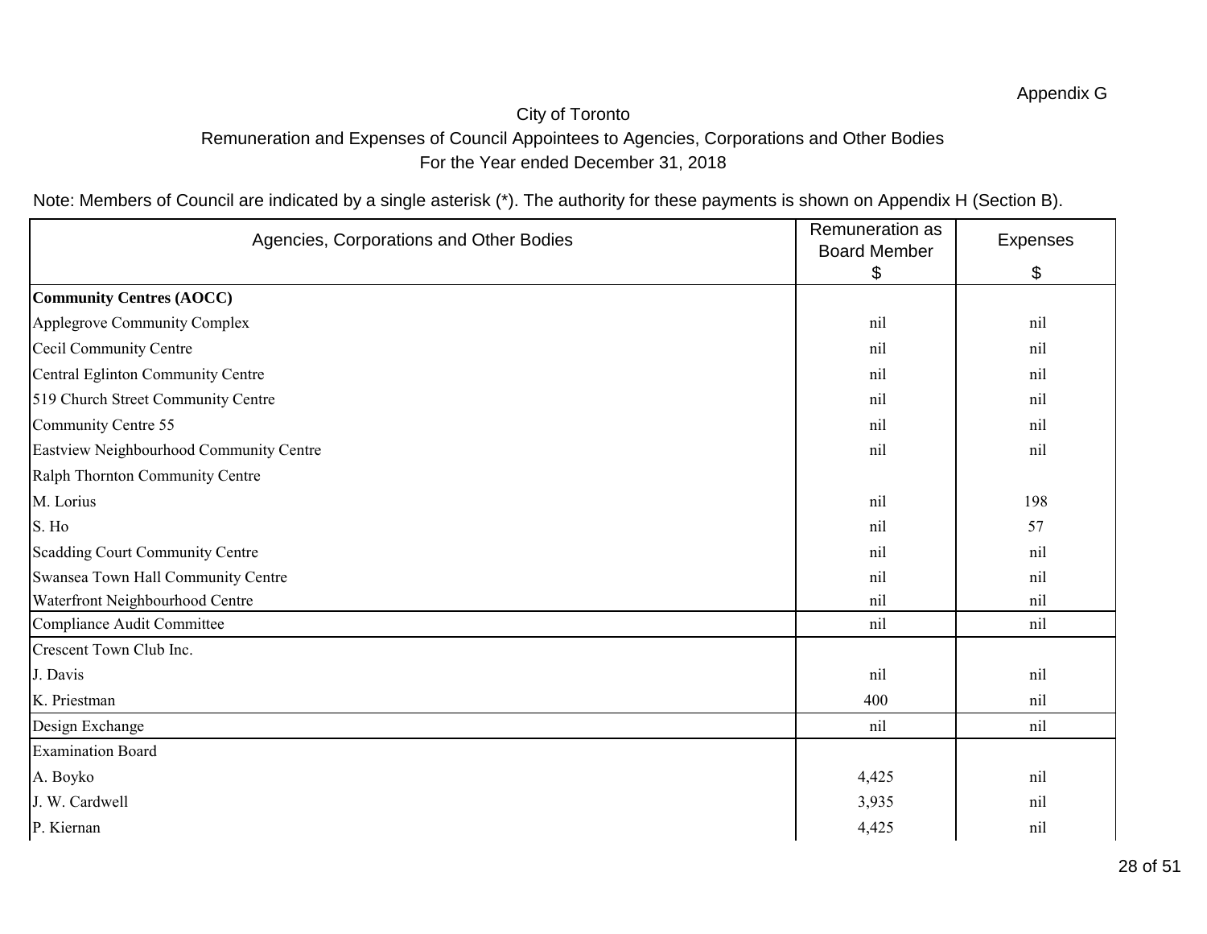# City of Toronto Remuneration and Expenses of Council Appointees to Agencies, Corporations and Other Bodies For the Year ended December 31, 2018

| Agencies, Corporations and Other Bodies | Remuneration as<br><b>Board Member</b> | Expenses |
|-----------------------------------------|----------------------------------------|----------|
|                                         | \$                                     | \$       |
| Community Centres (AOCC)                |                                        |          |
| Applegrove Community Complex            | nil                                    | nil      |
| Cecil Community Centre                  | nil                                    | nil      |
| Central Eglinton Community Centre       | nil                                    | nil      |
| 519 Church Street Community Centre      | nil                                    | nil      |
| Community Centre 55                     | nil                                    | nil      |
| Eastview Neighbourhood Community Centre | nil                                    | nil      |
| Ralph Thornton Community Centre         |                                        |          |
| M. Lorius                               | nil                                    | 198      |
| S. Ho                                   | nil                                    | 57       |
| Scadding Court Community Centre         | nil                                    | nil      |
| Swansea Town Hall Community Centre      | nil                                    | nil      |
| Waterfront Neighbourhood Centre         | nil                                    | nil      |
| Compliance Audit Committee              | nil                                    | nil      |
| Crescent Town Club Inc.                 |                                        |          |
| J. Davis                                | nil                                    | nil      |
| K. Priestman                            | 400                                    | nil      |
| Design Exchange                         | nil                                    | nil      |
| <b>Examination Board</b>                |                                        |          |
| A. Boyko                                | 4,425                                  | nil      |
| J. W. Cardwell                          | 3,935                                  | nil      |
| P. Kiernan                              | 4,425                                  | nil      |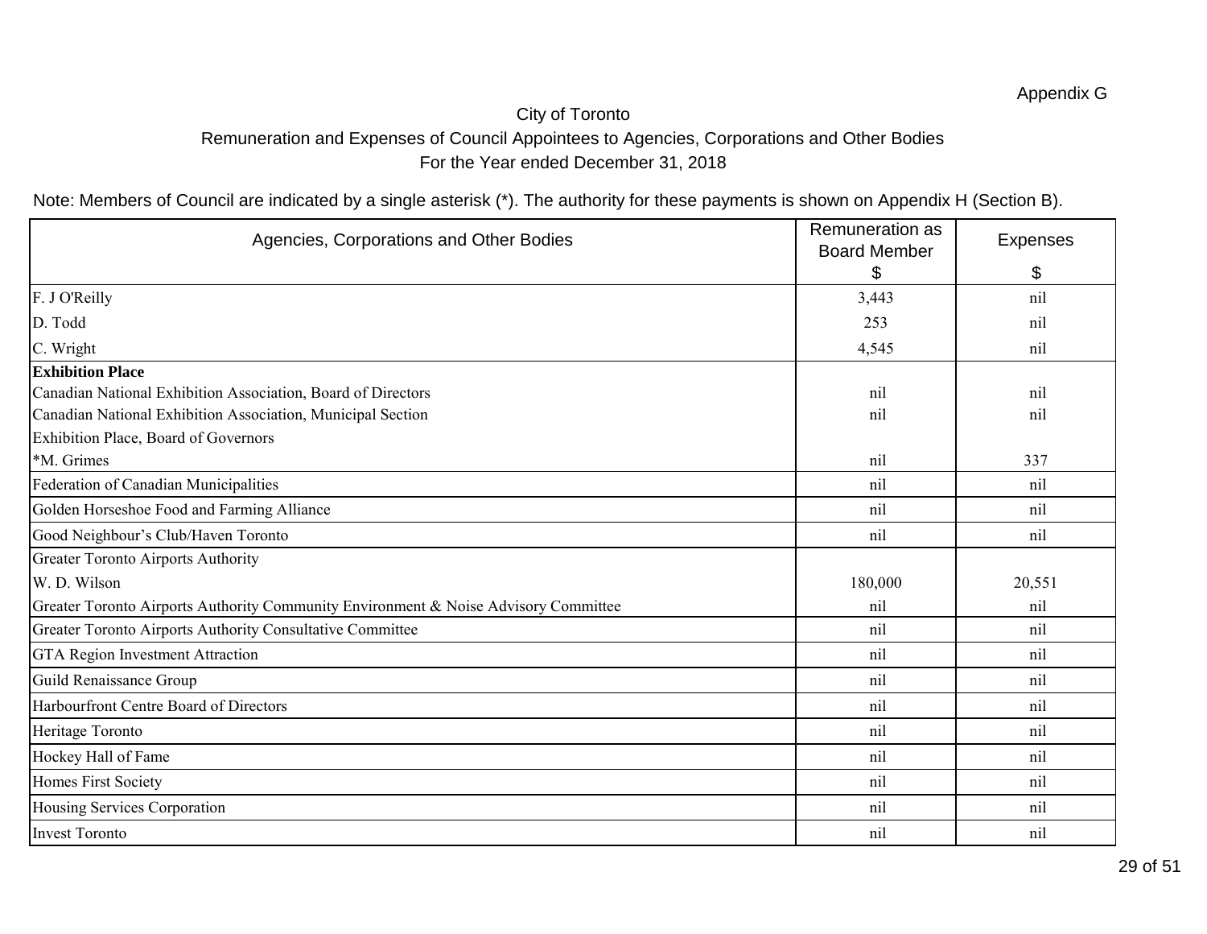# City of Toronto Remuneration and Expenses of Council Appointees to Agencies, Corporations and Other Bodies For the Year ended December 31, 2018

| Agencies, Corporations and Other Bodies                                             | Remuneration as<br><b>Board Member</b> | <b>Expenses</b> |
|-------------------------------------------------------------------------------------|----------------------------------------|-----------------|
|                                                                                     | \$                                     | \$              |
| F. J O'Reilly                                                                       | 3,443                                  | nil             |
| D. Todd                                                                             | 253                                    | nil             |
| C. Wright                                                                           | 4,545                                  | nil             |
| <b>Exhibition Place</b>                                                             |                                        |                 |
| Canadian National Exhibition Association, Board of Directors                        | nil                                    | nil             |
| Canadian National Exhibition Association, Municipal Section                         | nil                                    | nil             |
| Exhibition Place, Board of Governors                                                |                                        |                 |
| *M. Grimes                                                                          | nil                                    | 337             |
| Federation of Canadian Municipalities                                               | nil                                    | nil             |
| Golden Horseshoe Food and Farming Alliance                                          | nil                                    | nil             |
| Good Neighbour's Club/Haven Toronto                                                 | nil                                    | nil             |
| Greater Toronto Airports Authority                                                  |                                        |                 |
| W. D. Wilson                                                                        | 180,000                                | 20,551          |
| Greater Toronto Airports Authority Community Environment & Noise Advisory Committee | nil                                    | nil             |
| Greater Toronto Airports Authority Consultative Committee                           | nil                                    | nil             |
| GTA Region Investment Attraction                                                    | nil                                    | nil             |
| Guild Renaissance Group                                                             | nil                                    | nil             |
| Harbourfront Centre Board of Directors                                              | nil                                    | nil             |
| Heritage Toronto                                                                    | nil                                    | nil             |
| Hockey Hall of Fame                                                                 | nil                                    | nil             |
| Homes First Society                                                                 | nil                                    | nil             |
| Housing Services Corporation                                                        | nil                                    | nil             |
| Invest Toronto                                                                      | nil                                    | nil             |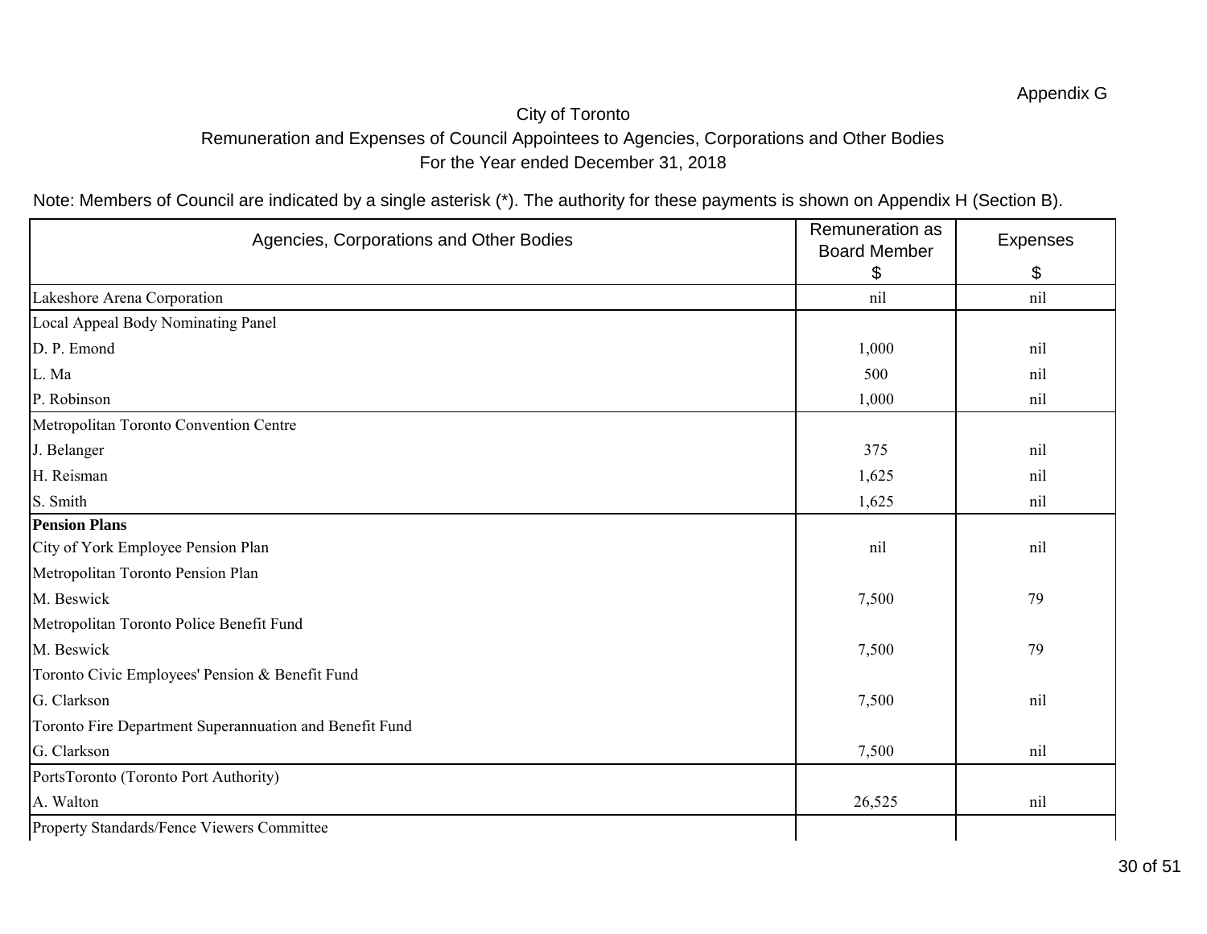# City of Toronto Remuneration and Expenses of Council Appointees to Agencies, Corporations and Other Bodies For the Year ended December 31, 2018

| Agencies, Corporations and Other Bodies                 | Remuneration as<br><b>Board Member</b> | Expenses |
|---------------------------------------------------------|----------------------------------------|----------|
|                                                         | \$                                     | \$       |
| Lakeshore Arena Corporation                             | nil                                    | nil      |
| Local Appeal Body Nominating Panel                      |                                        |          |
| D. P. Emond                                             | 1,000                                  | nil      |
| L. Ma                                                   | 500                                    | nil      |
| P. Robinson                                             | 1,000                                  | nil      |
| Metropolitan Toronto Convention Centre                  |                                        |          |
| J. Belanger                                             | 375                                    | nil      |
| H. Reisman                                              | 1,625                                  | nil      |
| S. Smith                                                | 1,625                                  | nil      |
| <b>Pension Plans</b>                                    |                                        |          |
| City of York Employee Pension Plan                      | nil                                    | nil      |
| Metropolitan Toronto Pension Plan                       |                                        |          |
| M. Beswick                                              | 7,500                                  | 79       |
| Metropolitan Toronto Police Benefit Fund                |                                        |          |
| M. Beswick                                              | 7,500                                  | 79       |
| Toronto Civic Employees' Pension & Benefit Fund         |                                        |          |
| G. Clarkson                                             | 7,500                                  | nil      |
| Toronto Fire Department Superannuation and Benefit Fund |                                        |          |
| G. Clarkson                                             | 7,500                                  | nil      |
| PortsToronto (Toronto Port Authority)                   |                                        |          |
| A. Walton                                               | 26,525                                 | nil      |
| Property Standards/Fence Viewers Committee              |                                        |          |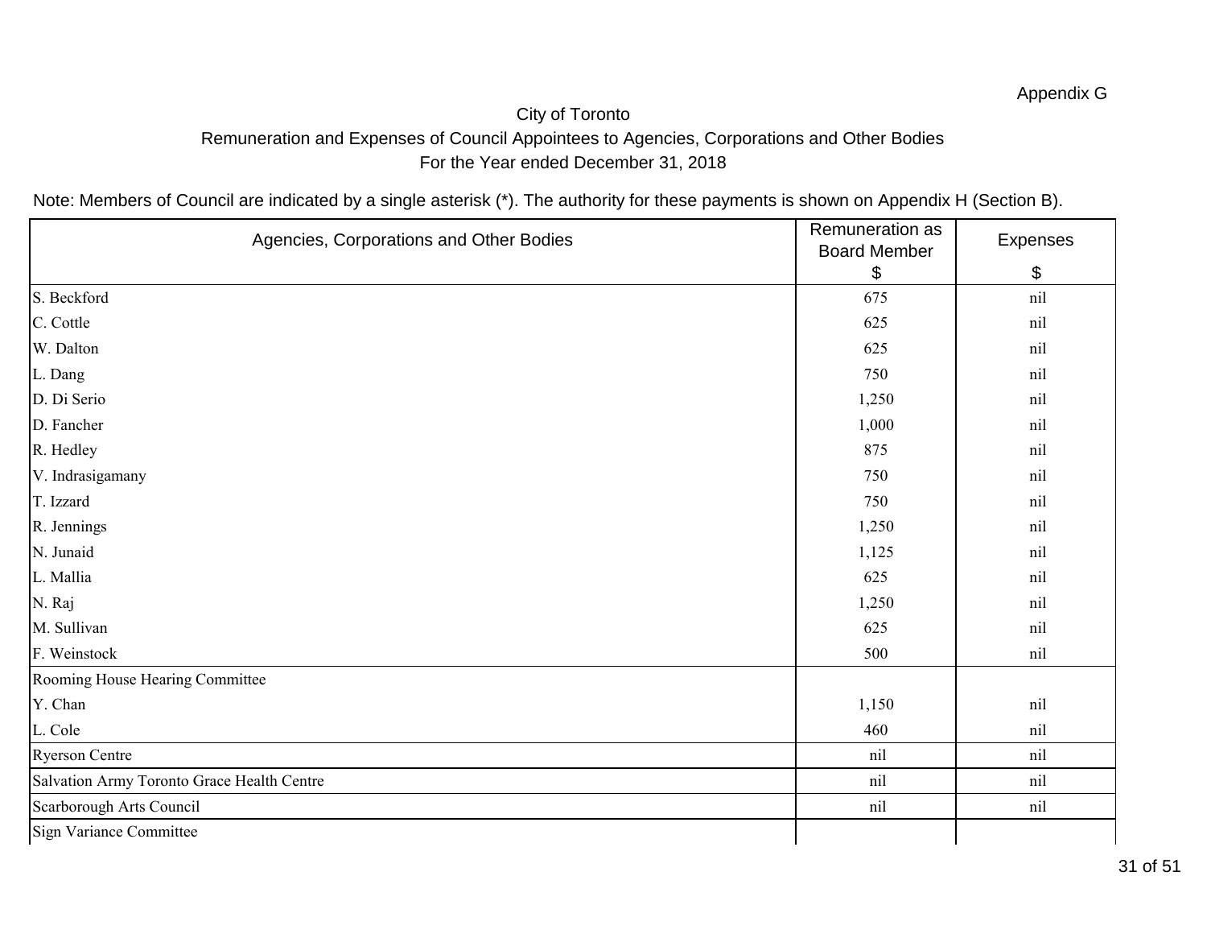# City of Toronto Remuneration and Expenses of Council Appointees to Agencies, Corporations and Other Bodies For the Year ended December 31, 2018

| Agencies, Corporations and Other Bodies    | Remuneration as<br><b>Board Member</b> | Expenses |
|--------------------------------------------|----------------------------------------|----------|
|                                            | $\boldsymbol{\$}$                      | \$       |
| S. Beckford                                | 675                                    | nil      |
| C. Cottle                                  | 625                                    | nil      |
| W. Dalton                                  | 625                                    | nil      |
| L. Dang                                    | 750                                    | nil      |
| D. Di Serio                                | 1,250                                  | nil      |
| D. Fancher                                 | 1,000                                  | nil      |
| R. Hedley                                  | 875                                    | nil      |
| V. Indrasigamany                           | 750                                    | nil      |
| T. Izzard                                  | 750                                    | nil      |
| R. Jennings                                | 1,250                                  | nil      |
| N. Junaid                                  | 1,125                                  | nil      |
| L. Mallia                                  | 625                                    | nil      |
| N. Raj                                     | 1,250                                  | nil      |
| M. Sullivan                                | 625                                    | nil      |
| F. Weinstock                               | 500                                    | nil      |
| Rooming House Hearing Committee            |                                        |          |
| Y. Chan                                    | 1,150                                  | nil      |
| L. Cole                                    | 460                                    | nil      |
| Ryerson Centre                             | nil                                    | nil      |
| Salvation Army Toronto Grace Health Centre | nil                                    | nil      |
| Scarborough Arts Council                   | nil                                    | nil      |
| Sign Variance Committee                    |                                        |          |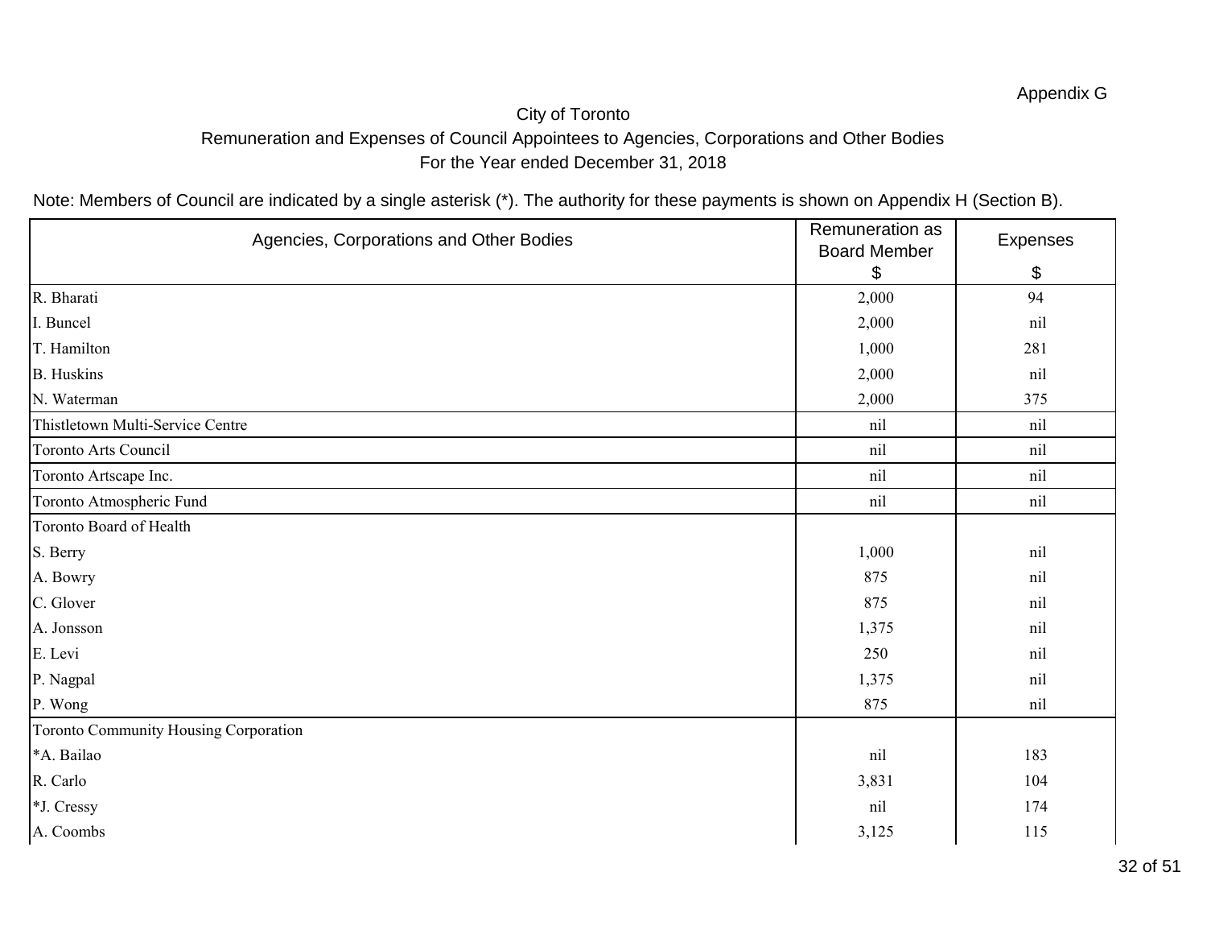# City of Toronto Remuneration and Expenses of Council Appointees to Agencies, Corporations and Other Bodies For the Year ended December 31, 2018

| Agencies, Corporations and Other Bodies | Remuneration as<br><b>Board Member</b> | Expenses |
|-----------------------------------------|----------------------------------------|----------|
|                                         | \$                                     | \$       |
| R. Bharati                              | 2,000                                  | 94       |
| I. Buncel                               | 2,000                                  | nil      |
| T. Hamilton                             | 1,000                                  | 281      |
| <b>B.</b> Huskins                       | 2,000                                  | nil      |
| N. Waterman                             | 2,000                                  | 375      |
| Thistletown Multi-Service Centre        | nil                                    | nil      |
| Toronto Arts Council                    | nil                                    | nil      |
| Toronto Artscape Inc.                   | nil                                    | nil      |
| Toronto Atmospheric Fund                | nil                                    | nil      |
| Toronto Board of Health                 |                                        |          |
| S. Berry                                | 1,000                                  | nil      |
| A. Bowry                                | 875                                    | nil      |
| C. Glover                               | 875                                    | nil      |
| A. Jonsson                              | 1,375                                  | nil      |
| E. Levi                                 | 250                                    | nil      |
| P. Nagpal                               | 1,375                                  | nil      |
| P. Wong                                 | 875                                    | nil      |
| Toronto Community Housing Corporation   |                                        |          |
| *A. Bailao                              | nil                                    | 183      |
| R. Carlo                                | 3,831                                  | 104      |
| *J. Cressy                              | nil                                    | 174      |
| A. Coombs                               | 3,125                                  | 115      |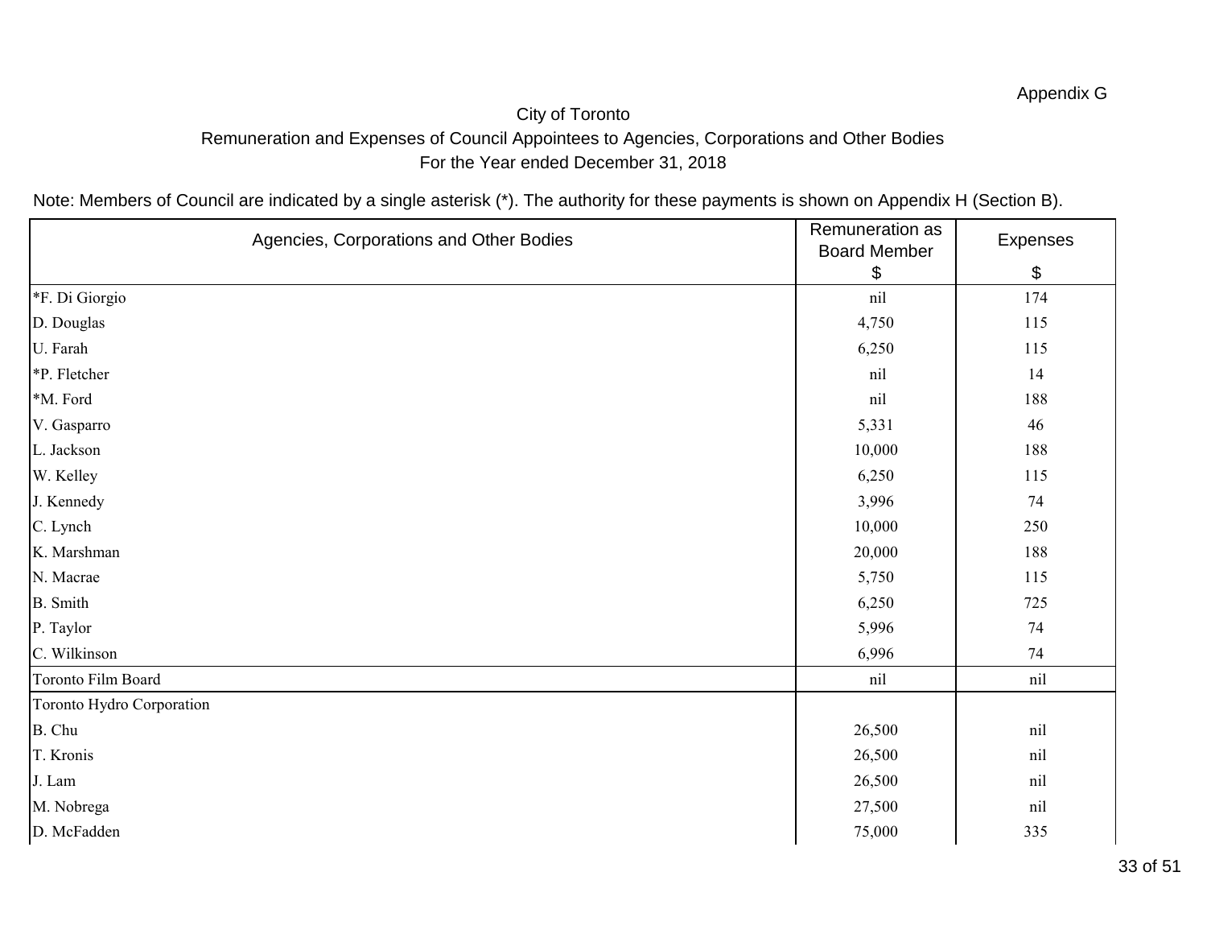# City of Toronto Remuneration and Expenses of Council Appointees to Agencies, Corporations and Other Bodies For the Year ended December 31, 2018

| Agencies, Corporations and Other Bodies | Remuneration as<br><b>Board Member</b> | Expenses |
|-----------------------------------------|----------------------------------------|----------|
|                                         | \$                                     | \$       |
| *F. Di Giorgio                          | nil                                    | 174      |
| D. Douglas                              | 4,750                                  | 115      |
| U. Farah                                | 6,250                                  | 115      |
| *P. Fletcher                            | nil                                    | 14       |
| *M. Ford                                | nil                                    | 188      |
| V. Gasparro                             | 5,331                                  | 46       |
| L. Jackson                              | 10,000                                 | 188      |
| W. Kelley                               | 6,250                                  | 115      |
| J. Kennedy                              | 3,996                                  | 74       |
| C. Lynch                                | 10,000                                 | 250      |
| K. Marshman                             | 20,000                                 | 188      |
| N. Macrae                               | 5,750                                  | 115      |
| <b>B.</b> Smith                         | 6,250                                  | 725      |
| P. Taylor                               | 5,996                                  | 74       |
| C. Wilkinson                            | 6,996                                  | 74       |
| Toronto Film Board                      | nil                                    | nil      |
| Toronto Hydro Corporation               |                                        |          |
| B. Chu                                  | 26,500                                 | nil      |
| T. Kronis                               | 26,500                                 | nil      |
| J. Lam                                  | 26,500                                 | nil      |
| M. Nobrega                              | 27,500                                 | nil      |
| D. McFadden                             | 75,000                                 | 335      |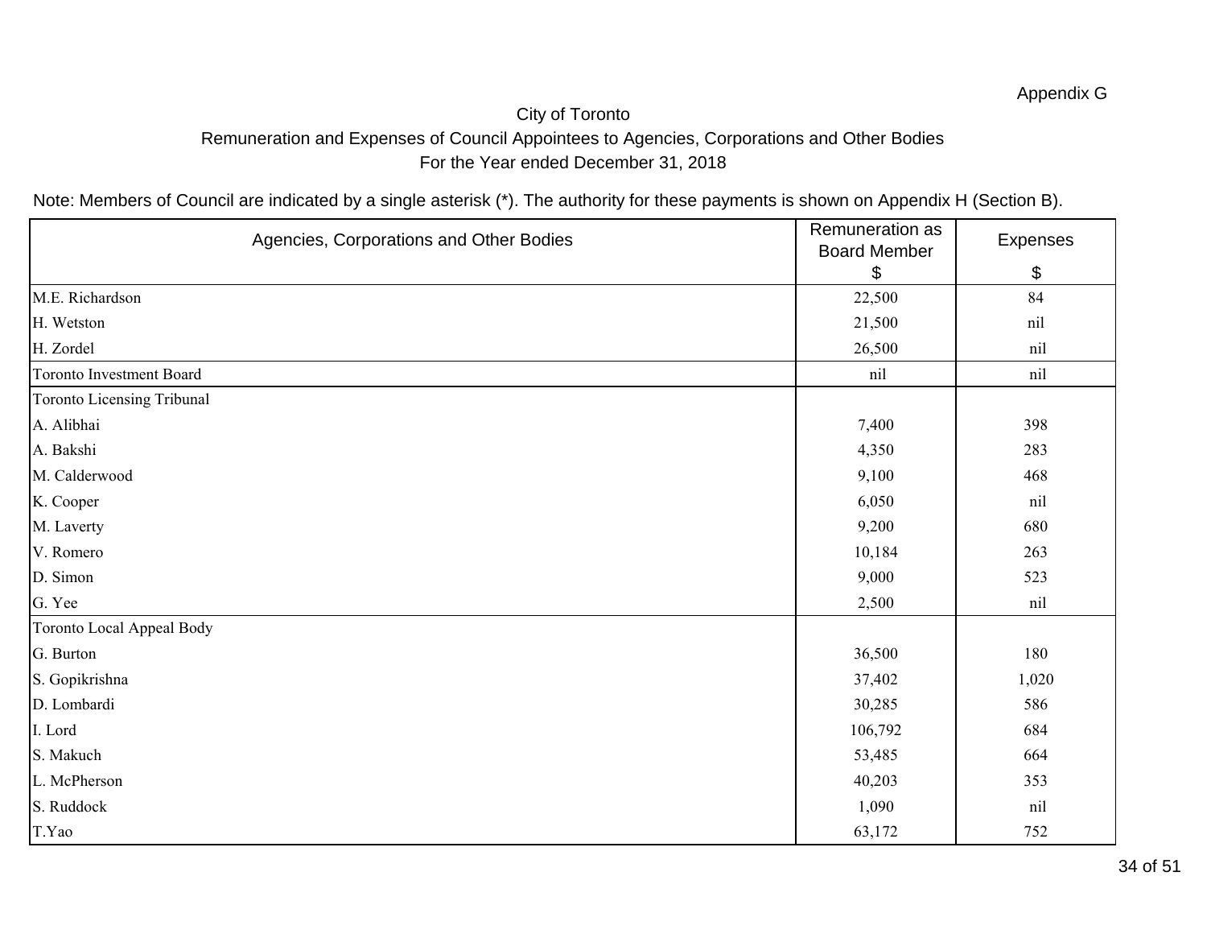# City of Toronto Remuneration and Expenses of Council Appointees to Agencies, Corporations and Other Bodies For the Year ended December 31, 2018

| Agencies, Corporations and Other Bodies | Remuneration as<br><b>Board Member</b> | Expenses |
|-----------------------------------------|----------------------------------------|----------|
|                                         | \$                                     | \$       |
| M.E. Richardson                         | 22,500                                 | 84       |
| H. Wetston                              | 21,500                                 | nil      |
| H. Zordel                               | 26,500                                 | nil      |
| <b>Toronto Investment Board</b>         | nil                                    | nil      |
| Toronto Licensing Tribunal              |                                        |          |
| A. Alibhai                              | 7,400                                  | 398      |
| A. Bakshi                               | 4,350                                  | 283      |
| M. Calderwood                           | 9,100                                  | 468      |
| K. Cooper                               | 6,050                                  | nil      |
| M. Laverty                              | 9,200                                  | 680      |
| V. Romero                               | 10,184                                 | 263      |
| D. Simon                                | 9,000                                  | 523      |
| G. Yee                                  | 2,500                                  | nil      |
| Toronto Local Appeal Body               |                                        |          |
| G. Burton                               | 36,500                                 | 180      |
| S. Gopikrishna                          | 37,402                                 | 1,020    |
| D. Lombardi                             | 30,285                                 | 586      |
| I. Lord                                 | 106,792                                | 684      |
| S. Makuch                               | 53,485                                 | 664      |
| L. McPherson                            | 40,203                                 | 353      |
| S. Ruddock                              | 1,090                                  | nil      |
| T.Yao                                   | 63,172                                 | 752      |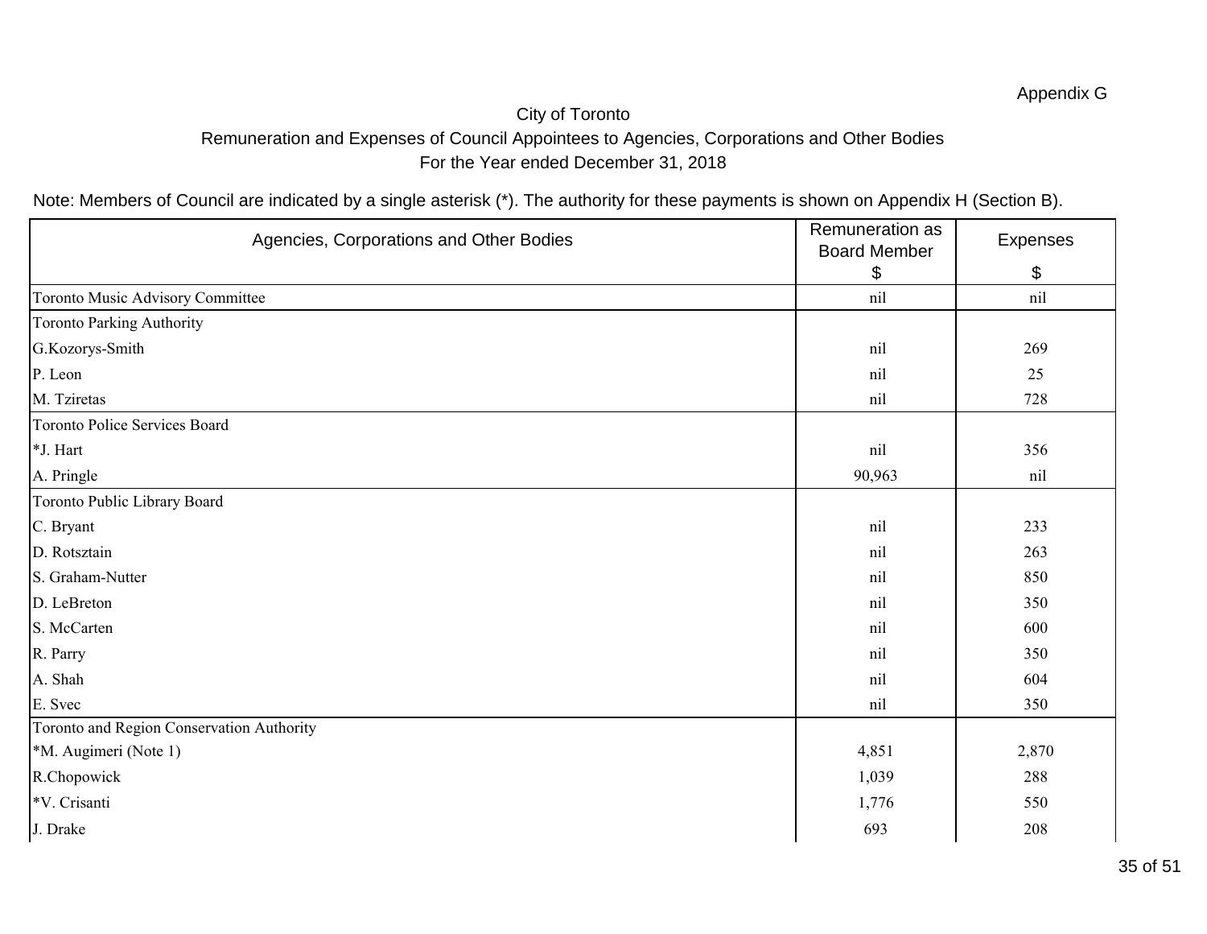# City of Toronto Remuneration and Expenses of Council Appointees to Agencies, Corporations and Other Bodies For the Year ended December 31, 2018

| Agencies, Corporations and Other Bodies   | Remuneration as<br><b>Board Member</b> | Expenses |
|-------------------------------------------|----------------------------------------|----------|
|                                           | \$                                     | \$       |
| Toronto Music Advisory Committee          | nil                                    | nil      |
| Toronto Parking Authority                 |                                        |          |
| G.Kozorys-Smith                           | nil                                    | 269      |
| P. Leon                                   | nil                                    | 25       |
| M. Tziretas                               | nil                                    | 728      |
| <b>Toronto Police Services Board</b>      |                                        |          |
| *J. Hart                                  | nil                                    | 356      |
| A. Pringle                                | 90,963                                 | nil      |
| Toronto Public Library Board              |                                        |          |
| C. Bryant                                 | nil                                    | 233      |
| D. Rotsztain                              | nil                                    | 263      |
| S. Graham-Nutter                          | nil                                    | 850      |
| D. LeBreton                               | nil                                    | 350      |
| S. McCarten                               | nil                                    | 600      |
| R. Parry                                  | nil                                    | 350      |
| A. Shah                                   | nil                                    | 604      |
| E. Svec                                   | nil                                    | 350      |
| Toronto and Region Conservation Authority |                                        |          |
| *M. Augimeri (Note 1)                     | 4,851                                  | 2,870    |
| R.Chopowick                               | 1,039                                  | 288      |
| *V. Crisanti                              | 1,776                                  | 550      |
| J. Drake                                  | 693                                    | 208      |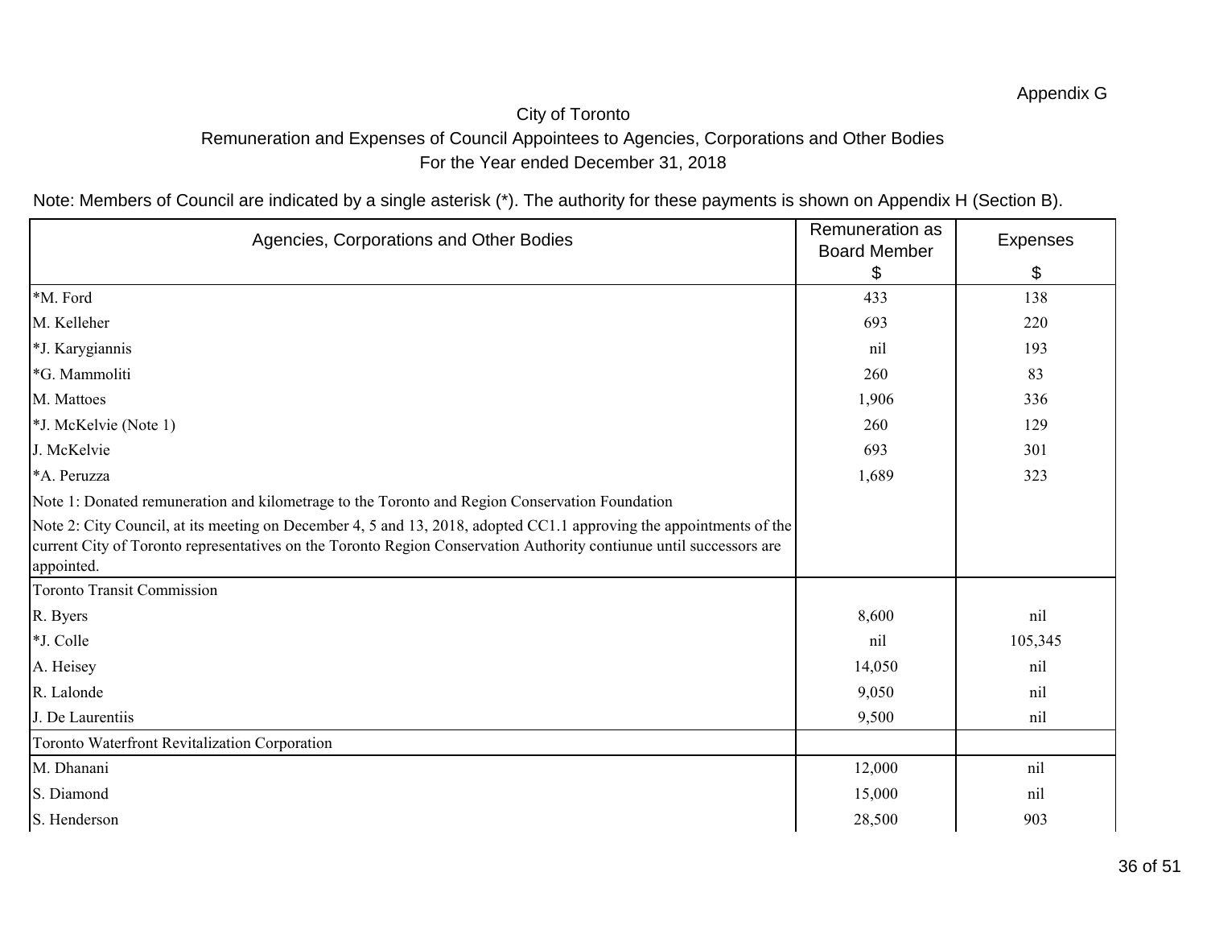# City of Toronto Remuneration and Expenses of Council Appointees to Agencies, Corporations and Other Bodies For the Year ended December 31, 2018

| Agencies, Corporations and Other Bodies                                                                                                                                                                                                                  | Remuneration as<br><b>Board Member</b> | <b>Expenses</b> |
|----------------------------------------------------------------------------------------------------------------------------------------------------------------------------------------------------------------------------------------------------------|----------------------------------------|-----------------|
|                                                                                                                                                                                                                                                          | \$                                     | \$              |
| *M. Ford                                                                                                                                                                                                                                                 | 433                                    | 138             |
| M. Kelleher                                                                                                                                                                                                                                              | 693                                    | 220             |
| *J. Karygiannis                                                                                                                                                                                                                                          | nil                                    | 193             |
| *G. Mammoliti                                                                                                                                                                                                                                            | 260                                    | 83              |
| M. Mattoes                                                                                                                                                                                                                                               | 1,906                                  | 336             |
| *J. McKelvie (Note 1)                                                                                                                                                                                                                                    | 260                                    | 129             |
| J. McKelvie                                                                                                                                                                                                                                              | 693                                    | 301             |
| *A. Peruzza                                                                                                                                                                                                                                              | 1,689                                  | 323             |
| Note 1: Donated remuneration and kilometrage to the Toronto and Region Conservation Foundation                                                                                                                                                           |                                        |                 |
| Note 2: City Council, at its meeting on December 4, 5 and 13, 2018, adopted CC1.1 approving the appointments of the<br>current City of Toronto representatives on the Toronto Region Conservation Authority contiunue until successors are<br>appointed. |                                        |                 |
| <b>Toronto Transit Commission</b>                                                                                                                                                                                                                        |                                        |                 |
| R. Byers                                                                                                                                                                                                                                                 | 8,600                                  | nil             |
| *J. Colle                                                                                                                                                                                                                                                | nil                                    | 105,345         |
| A. Heisey                                                                                                                                                                                                                                                | 14,050                                 | nil             |
| R. Lalonde                                                                                                                                                                                                                                               | 9,050                                  | nil             |
| J. De Laurentiis                                                                                                                                                                                                                                         | 9,500                                  | nil             |
| Toronto Waterfront Revitalization Corporation                                                                                                                                                                                                            |                                        |                 |
| M. Dhanani                                                                                                                                                                                                                                               | 12,000                                 | nil             |
| S. Diamond                                                                                                                                                                                                                                               | 15,000                                 | nil             |
| S. Henderson                                                                                                                                                                                                                                             | 28,500                                 | 903             |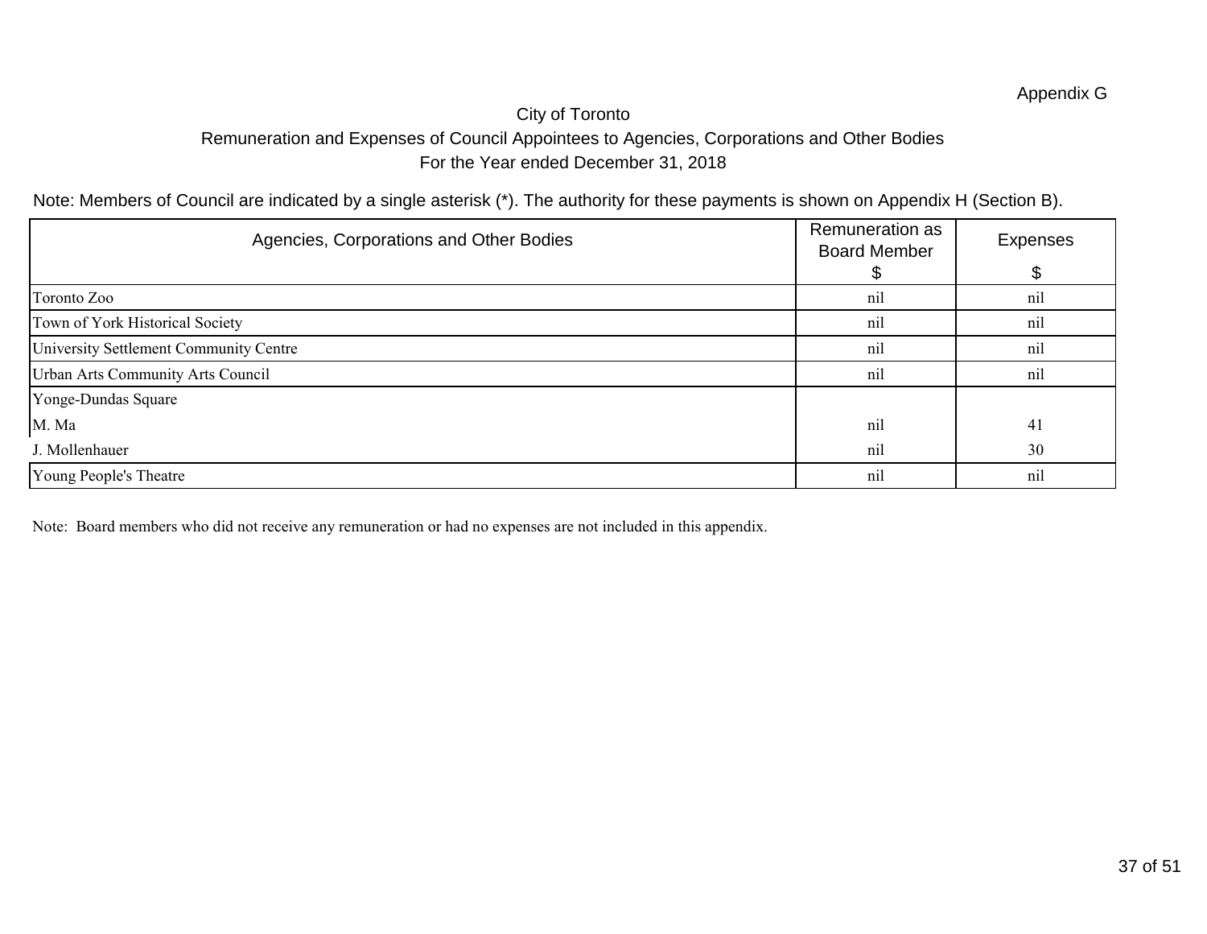# City of Toronto Remuneration and Expenses of Council Appointees to Agencies, Corporations and Other Bodies For the Year ended December 31, 2018

Note: Members of Council are indicated by a single asterisk (\*). The authority for these payments is shown on Appendix H (Section B).

| Agencies, Corporations and Other Bodies | Remuneration as<br><b>Board Member</b> | <b>Expenses</b> |
|-----------------------------------------|----------------------------------------|-----------------|
|                                         |                                        |                 |
| Toronto Zoo                             | nil                                    | nil             |
| Town of York Historical Society         | nil                                    | nil             |
| University Settlement Community Centre  | nil                                    | nil             |
| Urban Arts Community Arts Council       | nil                                    | nil             |
| Yonge-Dundas Square                     |                                        |                 |
| M. Ma                                   | nil                                    | 41              |
| J. Mollenhauer                          | nil                                    | 30              |
| Young People's Theatre                  | nil                                    | n1              |

Note: Board members who did not receive any remuneration or had no expenses are not included in this appendix.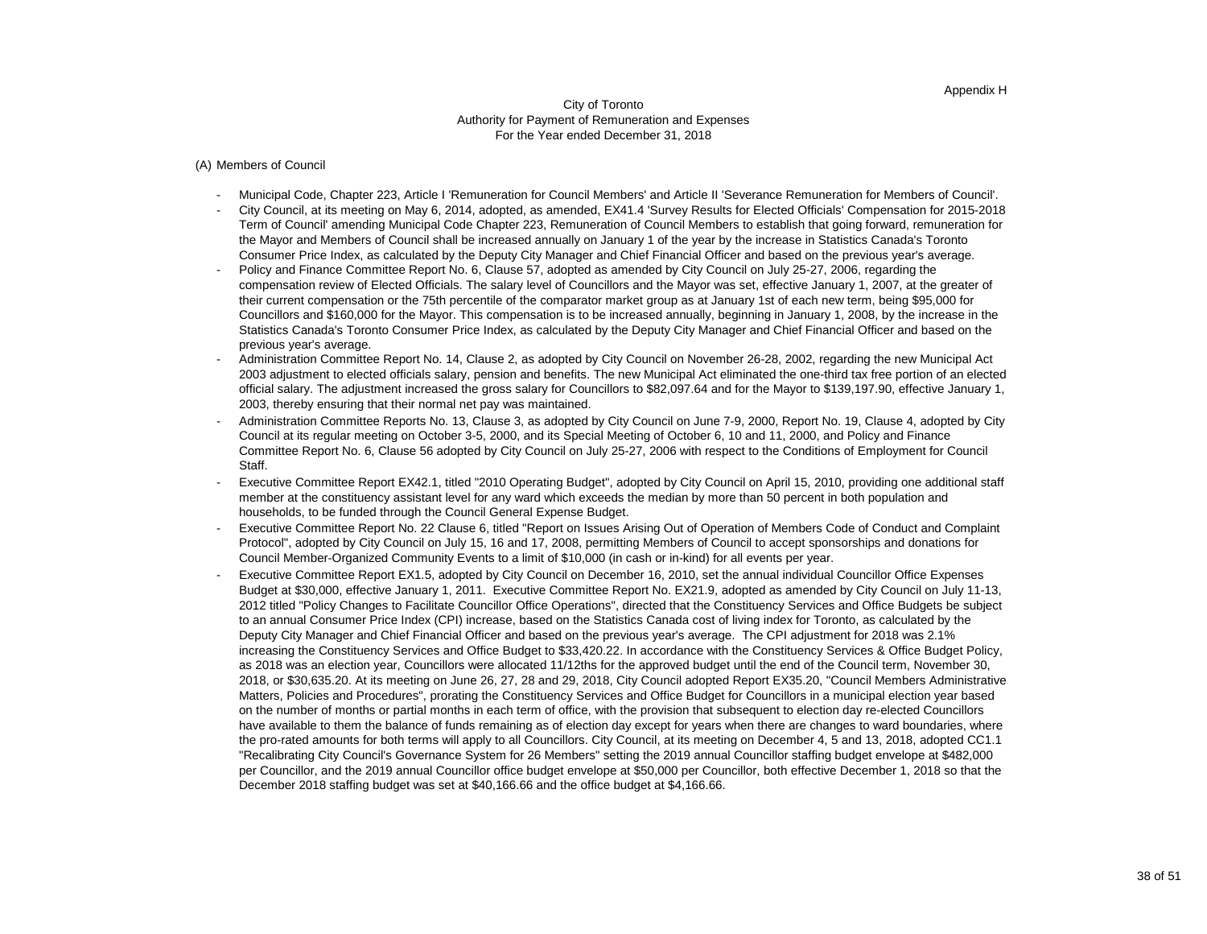(A) Members of Council

- Municipal Code, Chapter 223, Article I 'Remuneration for Council Members' and Article II 'Severance Remuneration for Members of Council'.
- City Council, at its meeting on May 6, 2014, adopted, as amended, EX41.4 'Survey Results for Elected Officials' Compensation for 2015-2018 Term of Council' amending Municipal Code Chapter 223, Remuneration of Council Members to establish that going forward, remuneration for the Mayor and Members of Council shall be increased annually on January 1 of the year by the increase in Statistics Canada's Toronto Consumer Price Index, as calculated by the Deputy City Manager and Chief Financial Officer and based on the previous year's average.
- Policy and Finance Committee Report No. 6, Clause 57, adopted as amended by City Council on July 25-27, 2006, regarding the compensation review of Elected Officials. The salary level of Councillors and the Mayor was set, effective January 1, 2007, at the greater of their current compensation or the 75th percentile of the comparator market group as at January 1st of each new term, being \$95,000 for Councillors and \$160,000 for the Mayor. This compensation is to be increased annually, beginning in January 1, 2008, by the increase in the Statistics Canada's Toronto Consumer Price Index, as calculated by the Deputy City Manager and Chief Financial Officer and based on the previous year's average.
- Administration Committee Report No. 14, Clause 2, as adopted by City Council on November 26-28, 2002, regarding the new Municipal Act 2003 adjustment to elected officials salary, pension and benefits. The new Municipal Act eliminated the one-third tax free portion of an elected official salary. The adjustment increased the gross salary for Councillors to \$82,097.64 and for the Mayor to \$139,197.90, effective January 1, 2003, thereby ensuring that their normal net pay was maintained.
- Administration Committee Reports No. 13, Clause 3, as adopted by City Council on June 7-9, 2000, Report No. 19, Clause 4, adopted by City Council at its regular meeting on October 3-5, 2000, and its Special Meeting of October 6, 10 and 11, 2000, and Policy and Finance Committee Report No. 6, Clause 56 adopted by City Council on July 25-27, 2006 with respect to the Conditions of Employment for Council Staff.
- Executive Committee Report EX42.1, titled "2010 Operating Budget", adopted by City Council on April 15, 2010, providing one additional staff member at the constituency assistant level for any ward which exceeds the median by more than 50 percent in both population and households, to be funded through the Council General Expense Budget.
- Executive Committee Report No. 22 Clause 6, titled "Report on Issues Arising Out of Operation of Members Code of Conduct and Complaint Protocol", adopted by City Council on July 15, 16 and 17, 2008, permitting Members of Council to accept sponsorships and donations for Council Member-Organized Community Events to a limit of \$10,000 (in cash or in-kind) for all events per year.
- Executive Committee Report EX1.5, adopted by City Council on December 16, 2010, set the annual individual Councillor Office Expenses Budget at \$30,000, effective January 1, 2011. Executive Committee Report No. EX21.9, adopted as amended by City Council on July 11-13, 2012 titled "Policy Changes to Facilitate Councillor Office Operations", directed that the Constituency Services and Office Budgets be subject to an annual Consumer Price Index (CPI) increase, based on the Statistics Canada cost of living index for Toronto, as calculated by the Deputy City Manager and Chief Financial Officer and based on the previous year's average. The CPI adjustment for 2018 was 2.1% increasing the Constituency Services and Office Budget to \$33,420.22. In accordance with the Constituency Services & Office Budget Policy, as 2018 was an election year, Councillors were allocated 11/12ths for the approved budget until the end of the Council term, November 30, 2018, or \$30,635.20. At its meeting on June 26, 27, 28 and 29, 2018, City Council adopted Report EX35.20, "Council Members Administrative Matters, Policies and Procedures", prorating the Constituency Services and Office Budget for Councillors in a municipal election year based on the number of months or partial months in each term of office, with the provision that subsequent to election day re-elected Councillors have available to them the balance of funds remaining as of election day except for years when there are changes to ward boundaries, where the pro-rated amounts for both terms will apply to all Councillors. City Council, at its meeting on December 4, 5 and 13, 2018, adopted CC1.1 "Recalibrating City Council's Governance System for 26 Members" setting the 2019 annual Councillor staffing budget envelope at \$482,000 per Councillor, and the 2019 annual Councillor office budget envelope at \$50,000 per Councillor, both effective December 1, 2018 so that the December 2018 staffing budget was set at \$40,166.66 and the office budget at \$4,166.66.

#### Appendix H

#### City of Toronto Authority for Payment of Remuneration and Expenses For the Year ended December 31, 2018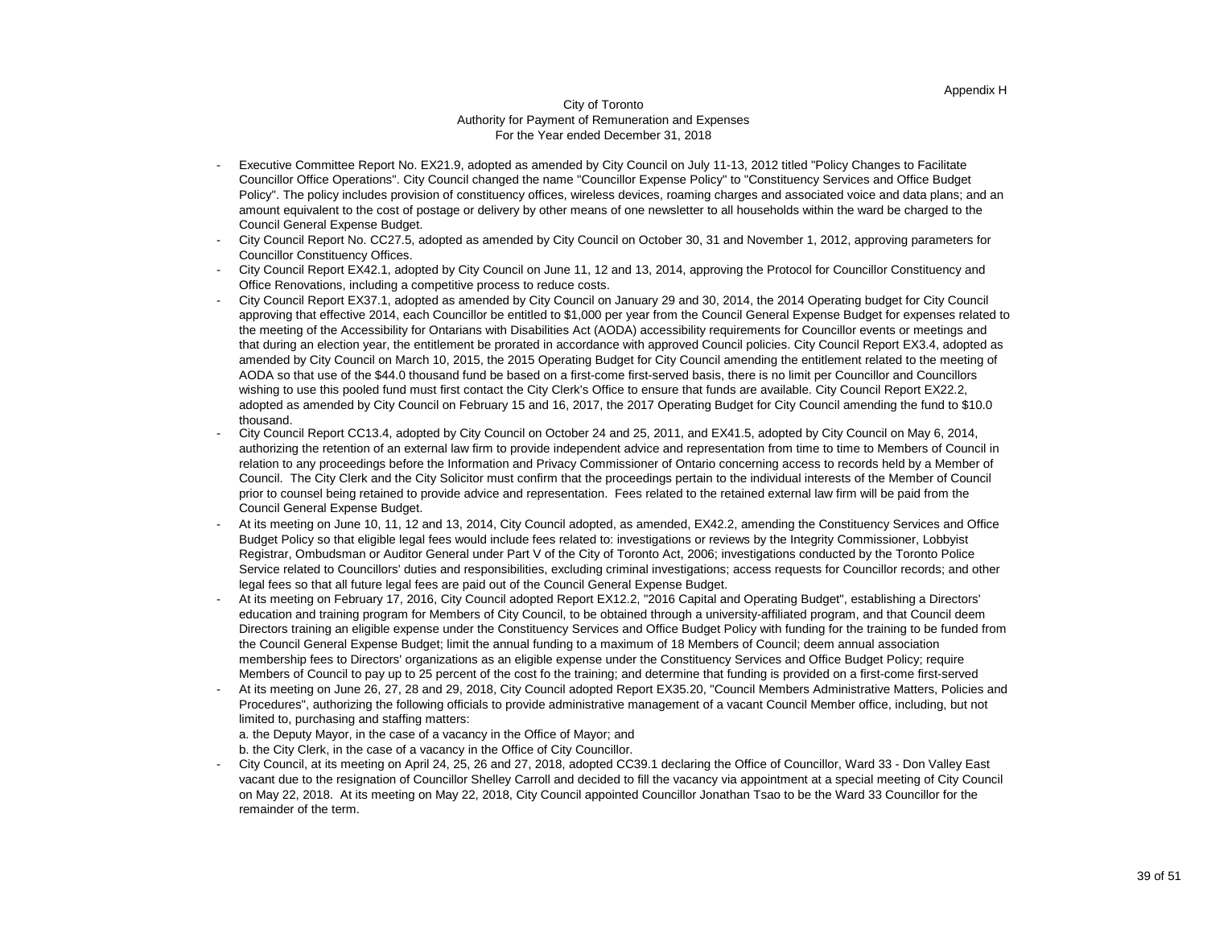#### Appendix H

#### City of Toronto Authority for Payment of Remuneration and Expenses For the Year ended December 31, 2018

- Executive Committee Report No. EX21.9, adopted as amended by City Council on July 11-13, 2012 titled "Policy Changes to Facilitate Councillor Office Operations". City Council changed the name "Councillor Expense Policy" to "Constituency Services and Office Budget Policy". The policy includes provision of constituency offices, wireless devices, roaming charges and associated voice and data plans; and an amount equivalent to the cost of postage or delivery by other means of one newsletter to all households within the ward be charged to the Council General Expense Budget.
- City Council Report No. CC27.5, adopted as amended by City Council on October 30, 31 and November 1, 2012, approving parameters for Councillor Constituency Offices.
- City Council Report EX42.1, adopted by City Council on June 11, 12 and 13, 2014, approving the Protocol for Councillor Constituency and Office Renovations, including a competitive process to reduce costs.
- City Council Report EX37.1, adopted as amended by City Council on January 29 and 30, 2014, the 2014 Operating budget for City Council approving that effective 2014, each Councillor be entitled to \$1,000 per year from the Council General Expense Budget for expenses related to the meeting of the Accessibility for Ontarians with Disabilities Act (AODA) accessibility requirements for Councillor events or meetings and that during an election year, the entitlement be prorated in accordance with approved Council policies. City Council Report EX3.4, adopted as amended by City Council on March 10, 2015, the 2015 Operating Budget for City Council amending the entitlement related to the meeting of AODA so that use of the \$44.0 thousand fund be based on a first-come first-served basis, there is no limit per Councillor and Councillors wishing to use this pooled fund must first contact the City Clerk's Office to ensure that funds are available. City Council Report EX22.2, adopted as amended by City Council on February 15 and 16, 2017, the 2017 Operating Budget for City Council amending the fund to \$10.0 thousand.
- City Council Report CC13.4, adopted by City Council on October 24 and 25, 2011, and EX41.5, adopted by City Council on May 6, 2014, authorizing the retention of an external law firm to provide independent advice and representation from time to time to Members of Council in relation to any proceedings before the Information and Privacy Commissioner of Ontario concerning access to records held by a Member of Council. The City Clerk and the City Solicitor must confirm that the proceedings pertain to the individual interests of the Member of Council prior to counsel being retained to provide advice and representation. Fees related to the retained external law firm will be paid from the Council General Expense Budget.
- At its meeting on June 10, 11, 12 and 13, 2014, City Council adopted, as amended, EX42.2, amending the Constituency Services and Office Budget Policy so that eligible legal fees would include fees related to: investigations or reviews by the Integrity Commissioner, Lobbyist Registrar, Ombudsman or Auditor General under Part V of the City of Toronto Act, 2006; investigations conducted by the Toronto Police Service related to Councillors' duties and responsibilities, excluding criminal investigations; access requests for Councillor records; and other legal fees so that all future legal fees are paid out of the Council General Expense Budget.
- At its meeting on February 17, 2016, City Council adopted Report EX12.2, "2016 Capital and Operating Budget", establishing a Directors' education and training program for Members of City Council, to be obtained through a university-affiliated program, and that Council deem Directors training an eligible expense under the Constituency Services and Office Budget Policy with funding for the training to be funded from the Council General Expense Budget; limit the annual funding to a maximum of 18 Members of Council; deem annual association membership fees to Directors' organizations as an eligible expense under the Constituency Services and Office Budget Policy; require Members of Council to pay up to 25 percent of the cost fo the training; and determine that funding is provided on a first-come first-served
- At its meeting on June 26, 27, 28 and 29, 2018, City Council adopted Report EX35.20, "Council Members Administrative Matters, Policies and Procedures", authorizing the following officials to provide administrative management of a vacant Council Member office, including, but not limited to, purchasing and staffing matters: a. the Deputy Mayor, in the case of a vacancy in the Office of Mayor; and
	- b. the City Clerk, in the case of a vacancy in the Office of City Councillor.
- City Council, at its meeting on April 24, 25, 26 and 27, 2018, adopted CC39.1 declaring the Office of Councillor, Ward 33 Don Valley East vacant due to the resignation of Councillor Shelley Carroll and decided to fill the vacancy via appointment at a special meeting of City Council on May 22, 2018. At its meeting on May 22, 2018, City Council appointed Councillor Jonathan Tsao to be the Ward 33 Councillor for the remainder of the term.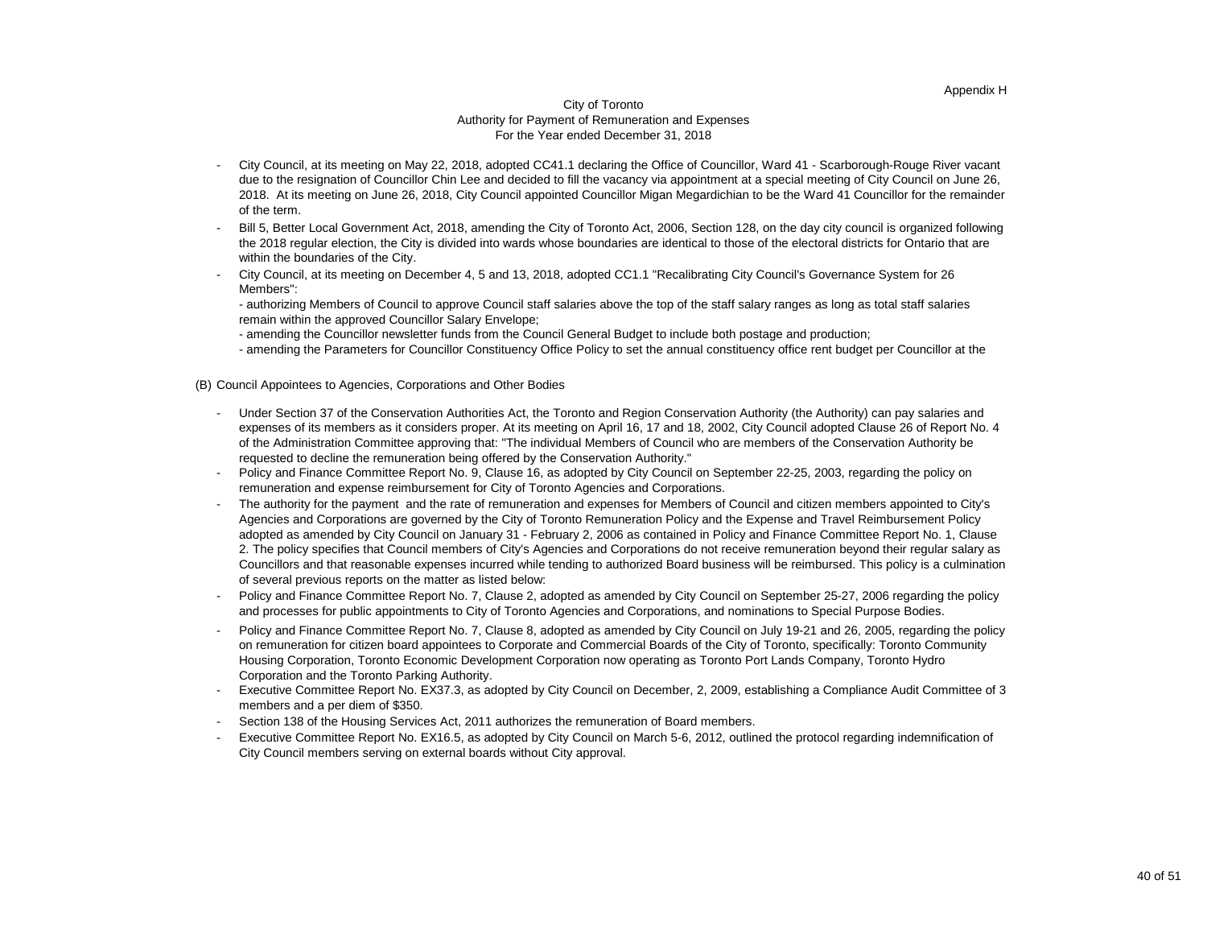## Appendix H

#### City of Toronto Authority for Payment of Remuneration and Expenses For the Year ended December 31, 2018

- City Council, at its meeting on May 22, 2018, adopted CC41.1 declaring the Office of Councillor, Ward 41 Scarborough-Rouge River vacant due to the resignation of Councillor Chin Lee and decided to fill the vacancy via appointment at a special meeting of City Council on June 26, 2018. At its meeting on June 26, 2018, City Council appointed Councillor Migan Megardichian to be the Ward 41 Councillor for the remainder of the term.
- Bill 5, Better Local Government Act, 2018, amending the City of Toronto Act, 2006, Section 128, on the day city council is organized following the 2018 regular election, the City is divided into wards whose boundaries are identical to those of the electoral districts for Ontario that are within the boundaries of the City.
- City Council, at its meeting on December 4, 5 and 13, 2018, adopted CC1.1 "Recalibrating City Council's Governance System for 26 Members":
	- authorizing Members of Council to approve Council staff salaries above the top of the staff salary ranges as long as total staff salaries remain within the approved Councillor Salary Envelope;
	- amending the Councillor newsletter funds from the Council General Budget to include both postage and production;
	- amending the Parameters for Councillor Constituency Office Policy to set the annual constituency office rent budget per Councillor at the

(B) Council Appointees to Agencies, Corporations and Other Bodies

- Under Section 37 of the Conservation Authorities Act, the Toronto and Region Conservation Authority (the Authority) can pay salaries and expenses of its members as it considers proper. At its meeting on April 16, 17 and 18, 2002, City Council adopted Clause 26 of Report No. 4 of the Administration Committee approving that: "The individual Members of Council who are members of the Conservation Authority be requested to decline the remuneration being offered by the Conservation Authority."
- Policy and Finance Committee Report No. 9, Clause 16, as adopted by City Council on September 22-25, 2003, regarding the policy on remuneration and expense reimbursement for City of Toronto Agencies and Corporations.
- The authority for the payment and the rate of remuneration and expenses for Members of Council and citizen members appointed to City's Agencies and Corporations are governed by the City of Toronto Remuneration Policy and the Expense and Travel Reimbursement Policy adopted as amended by City Council on January 31 - February 2, 2006 as contained in Policy and Finance Committee Report No. 1, Clause 2. The policy specifies that Council members of City's Agencies and Corporations do not receive remuneration beyond their regular salary as Councillors and that reasonable expenses incurred while tending to authorized Board business will be reimbursed. This policy is a culmination of several previous reports on the matter as listed below:
- Policy and Finance Committee Report No. 7, Clause 2, adopted as amended by City Council on September 25-27, 2006 regarding the policy and processes for public appointments to City of Toronto Agencies and Corporations, and nominations to Special Purpose Bodies.
- Policy and Finance Committee Report No. 7, Clause 8, adopted as amended by City Council on July 19-21 and 26, 2005, regarding the policy on remuneration for citizen board appointees to Corporate and Commercial Boards of the City of Toronto, specifically: Toronto Community Housing Corporation, Toronto Economic Development Corporation now operating as Toronto Port Lands Company, Toronto Hydro Corporation and the Toronto Parking Authority.
- Executive Committee Report No. EX37.3, as adopted by City Council on December, 2, 2009, establishing a Compliance Audit Committee of 3 members and a per diem of \$350.
- Section 138 of the Housing Services Act, 2011 authorizes the remuneration of Board members.
- Executive Committee Report No. EX16.5, as adopted by City Council on March 5-6, 2012, outlined the protocol regarding indemnification of City Council members serving on external boards without City approval.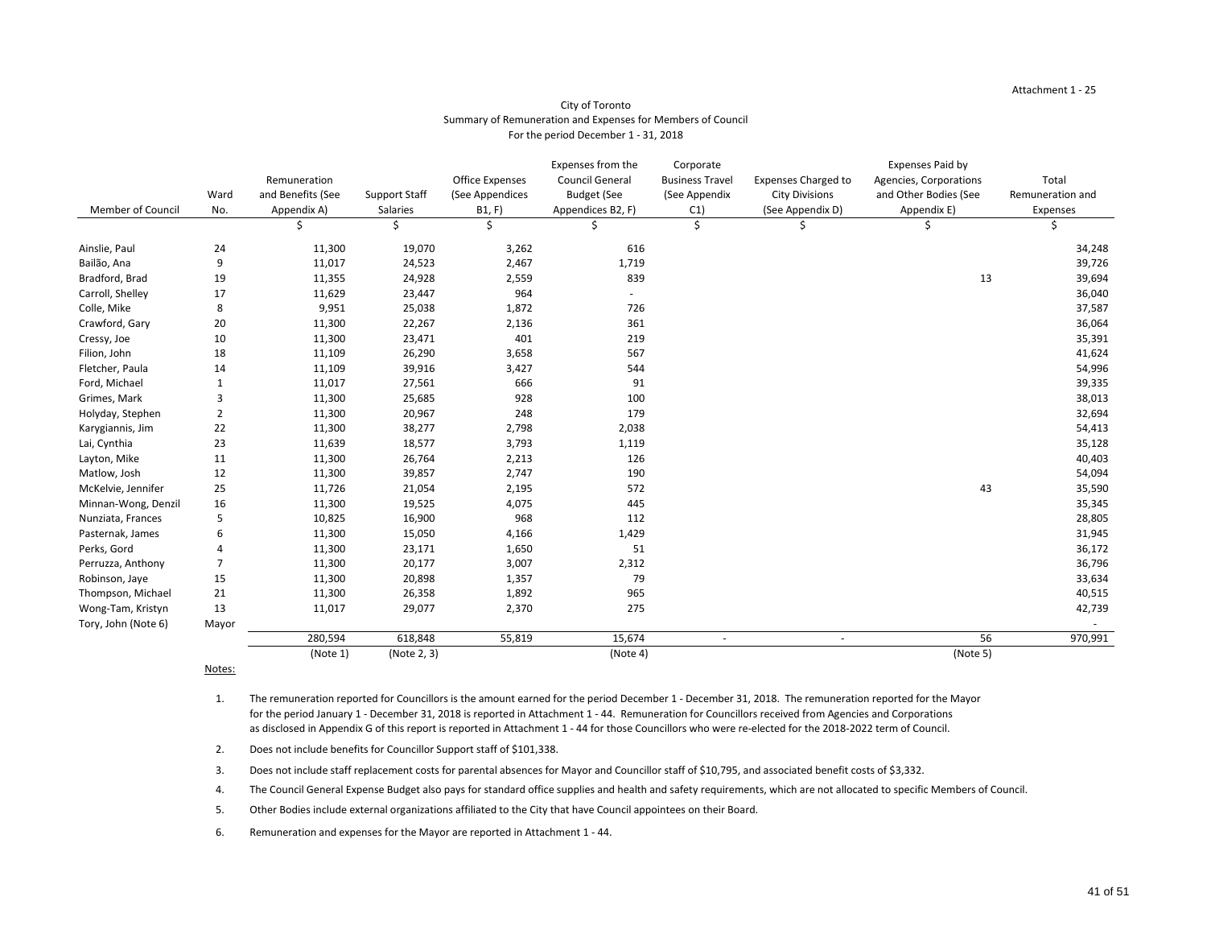|                          |                |                   |                      |                        | Expenses from the      | Corporate              |                            | <b>Expenses Paid by</b> |                  |
|--------------------------|----------------|-------------------|----------------------|------------------------|------------------------|------------------------|----------------------------|-------------------------|------------------|
|                          |                | Remuneration      |                      | <b>Office Expenses</b> | <b>Council General</b> | <b>Business Travel</b> | <b>Expenses Charged to</b> | Agencies, Corporations  | Total            |
|                          | Ward           | and Benefits (See | <b>Support Staff</b> | (See Appendices        | <b>Budget (See</b>     | (See Appendix          | <b>City Divisions</b>      | and Other Bodies (See   | Remuneration and |
| <b>Member of Council</b> | No.            | Appendix A)       | Salaries             | B1, F)                 | Appendices B2, F)      | C1)                    | (See Appendix D)           | Appendix E)             | Expenses         |
|                          |                |                   |                      | \$                     |                        | \$                     | Ç                          | Ş                       | Ş                |
| Ainslie, Paul            | 24             | 11,300            | 19,070               | 3,262                  | 616                    |                        |                            |                         | 34,248           |
| Bailão, Ana              | $9\,$          | 11,017            | 24,523               | 2,467                  | 1,719                  |                        |                            |                         | 39,726           |
| Bradford, Brad           | 19             | 11,355            | 24,928               | 2,559                  | 839                    |                        |                            | 13                      | 39,694           |
| Carroll, Shelley         | 17             | 11,629            | 23,447               | 964                    |                        |                        |                            |                         | 36,040           |
| Colle, Mike              | 8              | 9,951             | 25,038               | 1,872                  | 726                    |                        |                            |                         | 37,587           |
| Crawford, Gary           | 20             | 11,300            | 22,267               | 2,136                  | 361                    |                        |                            |                         | 36,064           |
| Cressy, Joe              | $10\,$         | 11,300            | 23,471               | 401                    | 219                    |                        |                            |                         | 35,391           |
| Filion, John             | 18             | 11,109            | 26,290               | 3,658                  | 567                    |                        |                            |                         | 41,624           |
| Fletcher, Paula          | 14             | 11,109            | 39,916               | 3,427                  | 544                    |                        |                            |                         | 54,996           |
| Ford, Michael            | $\mathbf{1}$   | 11,017            | 27,561               | 666                    | 91                     |                        |                            |                         | 39,335           |
| Grimes, Mark             | 3              | 11,300            | 25,685               | 928                    | 100                    |                        |                            |                         | 38,013           |
| Holyday, Stephen         | $\overline{2}$ | 11,300            | 20,967               | 248                    | 179                    |                        |                            |                         | 32,694           |
| Karygiannis, Jim         | 22             | 11,300            | 38,277               | 2,798                  | 2,038                  |                        |                            |                         | 54,413           |
| Lai, Cynthia             | 23             | 11,639            | 18,577               | 3,793                  | 1,119                  |                        |                            |                         | 35,128           |
| Layton, Mike             | 11             | 11,300            | 26,764               | 2,213                  | 126                    |                        |                            |                         | 40,403           |
| Matlow, Josh             | 12             | 11,300            | 39,857               | 2,747                  | 190                    |                        |                            |                         | 54,094           |
| McKelvie, Jennifer       | 25             | 11,726            | 21,054               | 2,195                  | 572                    |                        |                            | 43                      | 35,590           |
| Minnan-Wong, Denzil      | 16             | 11,300            | 19,525               | 4,075                  | 445                    |                        |                            |                         | 35,345           |
| Nunziata, Frances        | 5              | 10,825            | 16,900               | 968                    | 112                    |                        |                            |                         | 28,805           |
| Pasternak, James         | 6              | 11,300            | 15,050               | 4,166                  | 1,429                  |                        |                            |                         | 31,945           |
| Perks, Gord              |                | 11,300            | 23,171               | 1,650                  | 51                     |                        |                            |                         | 36,172           |
| Perruzza, Anthony        | 7              | 11,300            | 20,177               | 3,007                  | 2,312                  |                        |                            |                         | 36,796           |
| Robinson, Jaye           | 15             | 11,300            | 20,898               | 1,357                  | 79                     |                        |                            |                         | 33,634           |
| Thompson, Michael        | 21             | 11,300            | 26,358               | 1,892                  | 965                    |                        |                            |                         | 40,515           |
| Wong-Tam, Kristyn        | 13             | 11,017            | 29,077               | 2,370                  | 275                    |                        |                            |                         | 42,739           |
| Tory, John (Note 6)      | Mayor          |                   |                      |                        |                        |                        |                            |                         |                  |
|                          |                | 280,594           | 618,848              | 55,819                 | 15,674                 | $\sim$                 | $\sim$                     | 56                      | 970,991          |
|                          |                | (Note 1)          | (Note 2, 3)          |                        | (Note 4)               |                        |                            | (Note 5)                |                  |

#### Notes:

# City of Toronto Summary of Remuneration and Expenses for Members of Council For the period December 1 - 31, 2018

6. Remuneration and expenses for the Mayor are reported in Attachment 1 - 44.

4. The Council General Expense Budget also pays for standard office supplies and health and safety requirements, which are not allocated to specific Members of Council.

5. Other Bodies include external organizations affiliated to the City that have Council appointees on their Board.

1. The remuneration reported for Councillors is the amount earned for the period December 1 - December 31, 2018. The remuneration reported for the Mayor for the period January 1 - December 31, 2018 is reported in Attachment 1 - 44. Remuneration for Councillors received from Agencies and Corporations as disclosed in Appendix G of this report is reported in Attachment 1 - 44 for those Councillors who were re-elected for the 2018-2022 term of Council.

2. Does not include benefits for Councillor Support staff of \$101,338.

3. Does not include staff replacement costs for parental absences for Mayor and Councillor staff of \$10,795, and associated benefit costs of \$3,332.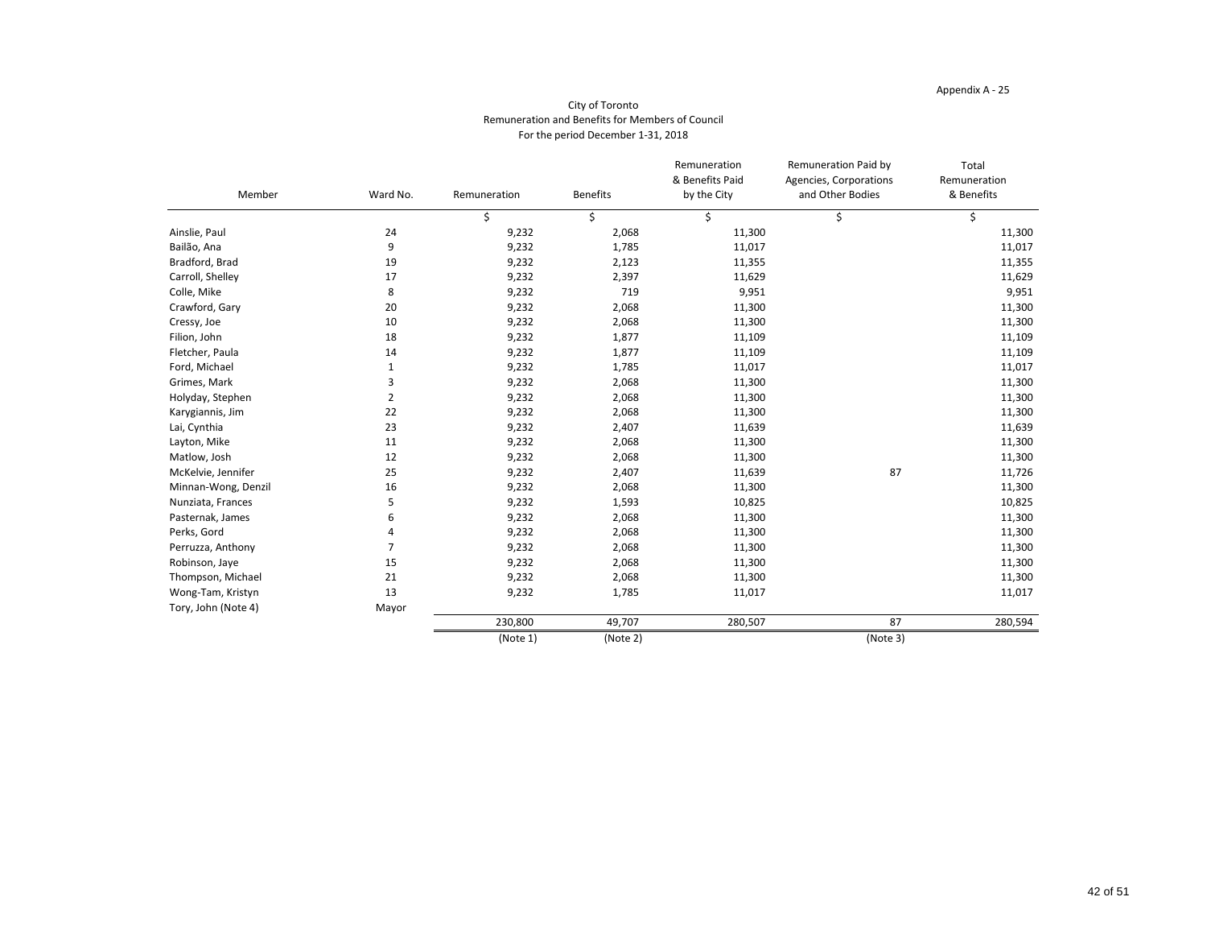| Member              | Ward No.       | Remuneration | <b>Benefits</b> | Remuneration<br>& Benefits Paid<br>by the City | Remuneration Paid by<br>Agencies, Corporations<br>and Other Bodies | Total<br>Remuneration<br>& Benefits |
|---------------------|----------------|--------------|-----------------|------------------------------------------------|--------------------------------------------------------------------|-------------------------------------|
|                     |                | \$           | \$              | \$                                             | \$                                                                 | \$                                  |
| Ainslie, Paul       | 24             | 9,232        | 2,068           | 11,300                                         |                                                                    | 11,300                              |
| Bailão, Ana         | 9              | 9,232        | 1,785           | 11,017                                         |                                                                    | 11,017                              |
| Bradford, Brad      | 19             | 9,232        | 2,123           | 11,355                                         |                                                                    | 11,355                              |
| Carroll, Shelley    | 17             | 9,232        | 2,397           | 11,629                                         |                                                                    | 11,629                              |
| Colle, Mike         | 8              | 9,232        | 719             | 9,951                                          |                                                                    | 9,951                               |
| Crawford, Gary      | 20             | 9,232        | 2,068           | 11,300                                         |                                                                    | 11,300                              |
| Cressy, Joe         | 10             | 9,232        | 2,068           | 11,300                                         |                                                                    | 11,300                              |
| Filion, John        | 18             | 9,232        | 1,877           | 11,109                                         |                                                                    | 11,109                              |
| Fletcher, Paula     | 14             | 9,232        | 1,877           | 11,109                                         |                                                                    | 11,109                              |
| Ford, Michael       | $\mathbf{1}$   | 9,232        | 1,785           | 11,017                                         |                                                                    | 11,017                              |
| Grimes, Mark        | 3              | 9,232        | 2,068           | 11,300                                         |                                                                    | 11,300                              |
| Holyday, Stephen    | $\overline{2}$ | 9,232        | 2,068           | 11,300                                         |                                                                    | 11,300                              |
| Karygiannis, Jim    | 22             | 9,232        | 2,068           | 11,300                                         |                                                                    | 11,300                              |
| Lai, Cynthia        | 23             | 9,232        | 2,407           | 11,639                                         |                                                                    | 11,639                              |
| Layton, Mike        | 11             | 9,232        | 2,068           | 11,300                                         |                                                                    | 11,300                              |
| Matlow, Josh        | 12             | 9,232        | 2,068           | 11,300                                         |                                                                    | 11,300                              |
| McKelvie, Jennifer  | 25             | 9,232        | 2,407           | 11,639                                         | 87                                                                 | 11,726                              |
| Minnan-Wong, Denzil | 16             | 9,232        | 2,068           | 11,300                                         |                                                                    | 11,300                              |
| Nunziata, Frances   | 5              | 9,232        | 1,593           | 10,825                                         |                                                                    | 10,825                              |
| Pasternak, James    | 6              | 9,232        | 2,068           | 11,300                                         |                                                                    | 11,300                              |
| Perks, Gord         | 4              | 9,232        | 2,068           | 11,300                                         |                                                                    | 11,300                              |
| Perruzza, Anthony   | $\overline{7}$ | 9,232        | 2,068           | 11,300                                         |                                                                    | 11,300                              |
| Robinson, Jaye      | 15             | 9,232        | 2,068           | 11,300                                         |                                                                    | 11,300                              |
| Thompson, Michael   | 21             | 9,232        | 2,068           | 11,300                                         |                                                                    | 11,300                              |
| Wong-Tam, Kristyn   | 13             | 9,232        | 1,785           | 11,017                                         |                                                                    | 11,017                              |
| Tory, John (Note 4) | Mayor          |              |                 |                                                |                                                                    |                                     |
|                     |                | 230,800      | 49,707          | 280,507                                        | 87                                                                 | 280,594                             |
|                     |                | (Note 1)     | (Note 2)        |                                                | (Note 3)                                                           |                                     |

# City of Toronto Remuneration and Benefits for Members of Council For the period December 1-31, 2018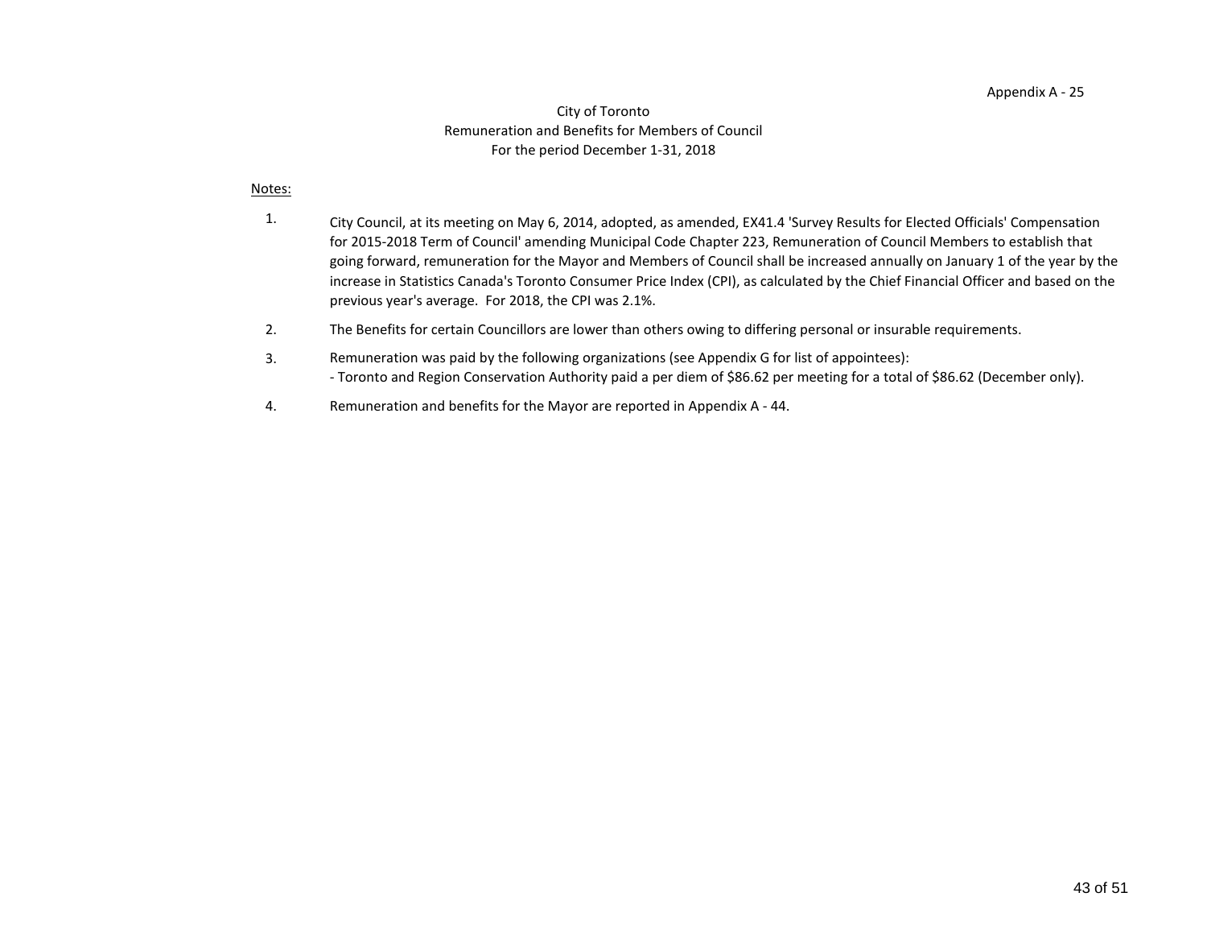#### City of Toronto Remuneration and Benefits for Members of Council For the period December 1-31, 2018

#### Notes:

- 1. City Council, at its meeting on May 6, 2014, adopted, as amended, EX41.4 'Survey Results for Elected Officials' Compensation for 2015-2018 Term of Council' amending Municipal Code Chapter 223, Remuneration of Council Members to establish that going forward, remuneration for the Mayor and Members of Council shall be increased annually on January 1 of the year by the increase in Statistics Canada's Toronto Consumer Price Index (CPI), as calculated by the Chief Financial Officer and based on the previous year's average. For 2018, the CPI was 2.1%.
- 2. The Benefits for certain Councillors are lower than others owing to differing personal or insurable requirements.
- 3. - Toronto and Region Conservation Authority paid a per diem of \$86.62 per meeting for a total of \$86.62 (December only). Remuneration was paid by the following organizations (see Appendix G for list of appointees):
- 4. Remuneration and benefits for the Mayor are reported in Appendix A - 44.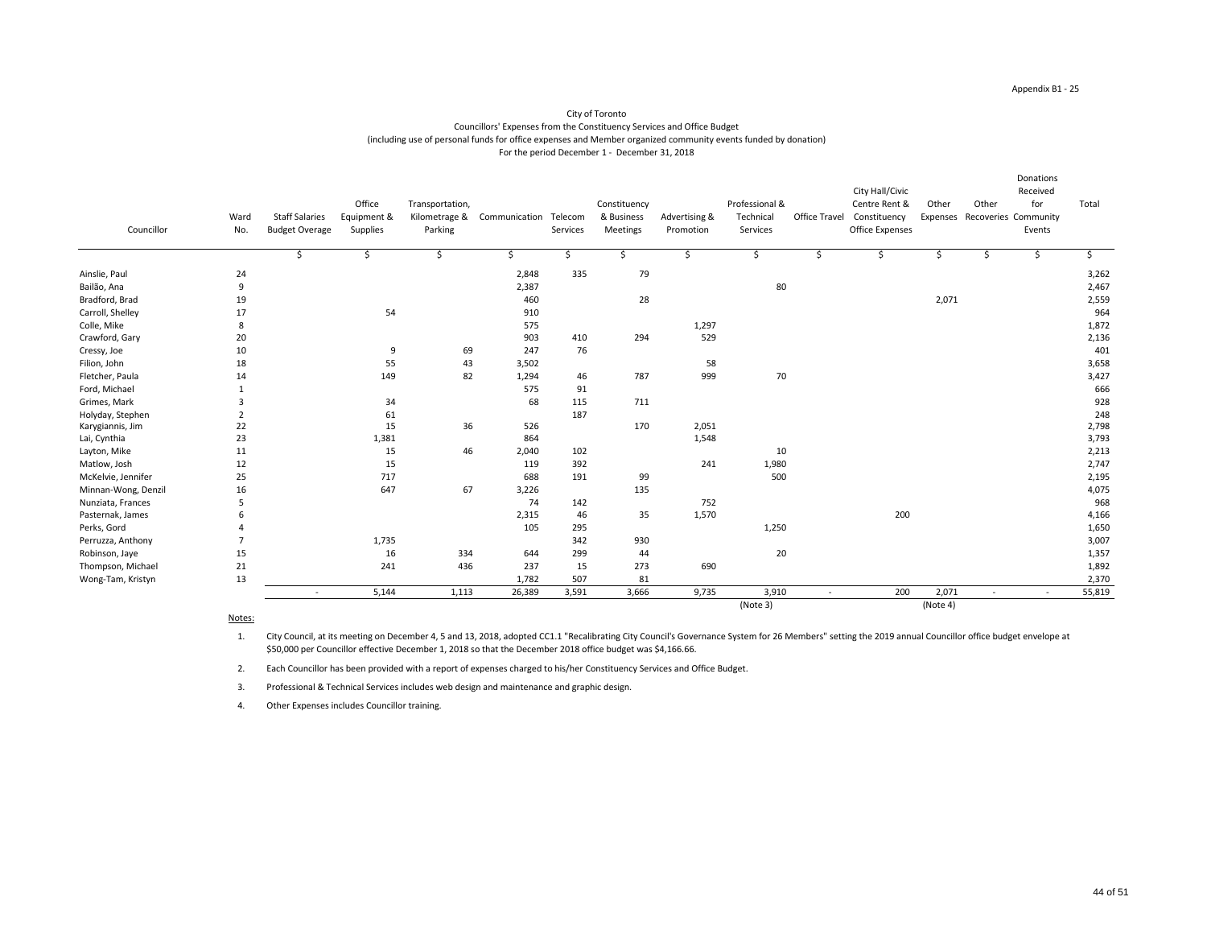| Councillor          | Ward<br>No. | <b>Staff Salaries</b><br><b>Budget Overage</b> | Office<br>Equipment &<br><b>Supplies</b> | Transportation,<br>Kilometrage &<br>Parking | Communication Telecom | Services | Constituency<br>& Business<br>Meetings | Advertising &<br>Promotion | Professional &<br>Technical<br>Services | <b>Office Travel</b> | City Hall/Civic<br>Centre Rent &<br>Constituency<br><b>Office Expenses</b> | Other<br>Expenses | Other  | Donations<br>Received<br>for<br>Recoveries Community<br>Events | Total  |
|---------------------|-------------|------------------------------------------------|------------------------------------------|---------------------------------------------|-----------------------|----------|----------------------------------------|----------------------------|-----------------------------------------|----------------------|----------------------------------------------------------------------------|-------------------|--------|----------------------------------------------------------------|--------|
|                     |             | \$                                             | $\zeta$                                  | \$                                          | \$                    | \$       | \$                                     | \$                         | \$                                      | \$                   | \$                                                                         | $\frac{1}{2}$     | \$     | \$                                                             |        |
| Ainslie, Paul       | 24          |                                                |                                          |                                             | 2,848                 | 335      | 79                                     |                            |                                         |                      |                                                                            |                   |        |                                                                | 3,262  |
| Bailão, Ana         | 9           |                                                |                                          |                                             | 2,387                 |          |                                        |                            | 80                                      |                      |                                                                            |                   |        |                                                                | 2,467  |
| Bradford, Brad      | 19          |                                                |                                          |                                             | 460                   |          | 28                                     |                            |                                         |                      |                                                                            | 2,071             |        |                                                                | 2,559  |
| Carroll, Shelley    | 17          |                                                | 54                                       |                                             | 910                   |          |                                        |                            |                                         |                      |                                                                            |                   |        |                                                                | 964    |
| Colle, Mike         | 8           |                                                |                                          |                                             | 575                   |          |                                        | 1,297                      |                                         |                      |                                                                            |                   |        |                                                                | 1,872  |
| Crawford, Gary      | 20          |                                                |                                          |                                             | 903                   | 410      | 294                                    | 529                        |                                         |                      |                                                                            |                   |        |                                                                | 2,136  |
| Cressy, Joe         | 10          |                                                | 9                                        | 69                                          | 247                   | 76       |                                        |                            |                                         |                      |                                                                            |                   |        |                                                                | 401    |
| Filion, John        | 18          |                                                | 55                                       | 43                                          | 3,502                 |          |                                        | 58                         |                                         |                      |                                                                            |                   |        |                                                                | 3,658  |
| Fletcher, Paula     | 14          |                                                | 149                                      | 82                                          | 1,294                 | 46       | 787                                    | 999                        | $70\,$                                  |                      |                                                                            |                   |        |                                                                | 3,427  |
| Ford, Michael       |             |                                                |                                          |                                             | 575                   | 91       |                                        |                            |                                         |                      |                                                                            |                   |        |                                                                | 666    |
| Grimes, Mark        |             |                                                | 34                                       |                                             | 68                    | 115      | 711                                    |                            |                                         |                      |                                                                            |                   |        |                                                                | 928    |
| Holyday, Stephen    |             |                                                | 61                                       |                                             |                       | 187      |                                        |                            |                                         |                      |                                                                            |                   |        |                                                                | 248    |
| Karygiannis, Jim    | 22          |                                                | 15                                       | 36                                          | 526                   |          | 170                                    | 2,051                      |                                         |                      |                                                                            |                   |        |                                                                | 2,798  |
| Lai, Cynthia        | 23          |                                                | 1,381                                    |                                             | 864                   |          |                                        | 1,548                      |                                         |                      |                                                                            |                   |        |                                                                | 3,793  |
| Layton, Mike        | 11          |                                                | 15                                       | 46                                          | 2,040                 | 102      |                                        |                            | 10                                      |                      |                                                                            |                   |        |                                                                | 2,213  |
| Matlow, Josh        | 12          |                                                | 15                                       |                                             | 119                   | 392      |                                        | 241                        | 1,980                                   |                      |                                                                            |                   |        |                                                                | 2,747  |
| McKelvie, Jennifer  | 25          |                                                | 717                                      |                                             | 688                   | 191      | 99                                     |                            | 500                                     |                      |                                                                            |                   |        |                                                                | 2,195  |
| Minnan-Wong, Denzil | 16          |                                                | 647                                      | 67                                          | 3,226                 |          | 135                                    |                            |                                         |                      |                                                                            |                   |        |                                                                | 4,075  |
| Nunziata, Frances   |             |                                                |                                          |                                             | 74                    | 142      |                                        | 752                        |                                         |                      |                                                                            |                   |        |                                                                | 968    |
| Pasternak, James    |             |                                                |                                          |                                             | 2,315                 | 46       | 35                                     | 1,570                      |                                         |                      | 200                                                                        |                   |        |                                                                | 4,166  |
| Perks, Gord         |             |                                                |                                          |                                             | 105                   | 295      |                                        |                            | 1,250                                   |                      |                                                                            |                   |        |                                                                | 1,650  |
| Perruzza, Anthony   |             |                                                | 1,735                                    |                                             |                       | 342      | 930                                    |                            |                                         |                      |                                                                            |                   |        |                                                                | 3,007  |
| Robinson, Jaye      | 15          |                                                | 16                                       | 334                                         | 644                   | 299      | 44                                     |                            | 20                                      |                      |                                                                            |                   |        |                                                                | 1,357  |
| Thompson, Michael   | 21          |                                                | 241                                      | 436                                         | 237                   | 15       | 273                                    | 690                        |                                         |                      |                                                                            |                   |        |                                                                | 1,892  |
| Wong-Tam, Kristyn   | 13          |                                                |                                          |                                             | 1,782                 | 507      | 81                                     |                            |                                         |                      |                                                                            |                   |        |                                                                | 2,370  |
|                     |             |                                                | 5,144                                    | 1,113                                       | 26,389                | 3,591    | 3,666                                  | 9,735                      | 3,910                                   | $\sim$               | 200                                                                        | 2,071             | $\sim$ |                                                                | 55,819 |
|                     |             |                                                |                                          |                                             |                       |          |                                        |                            | (Note 3)                                |                      |                                                                            | (Note 4)          |        |                                                                |        |

Notes:

1. City Council, at its meeting on December 4, 5 and 13, 2018, adopted CC1.1 "Recalibrating City Council's Governance System for 26 Members" setting the 2019 annual Councillor office budget envelope at \$50,000 per Councillor effective December 1, 2018 so that the December 2018 office budget was \$4,166.66.

2. Each Councillor has been provided with a report of expenses charged to his/her Constituency Services and Office Budget.

3. Professional & Technical Services includes web design and maintenance and graphic design.

4. Other Expenses includes Councillor training.

# City of Toronto Councillors' Expenses from the Constituency Services and Office Budget (including use of personal funds for office expenses and Member organized community events funded by donation) For the period December 1 - December 31, 2018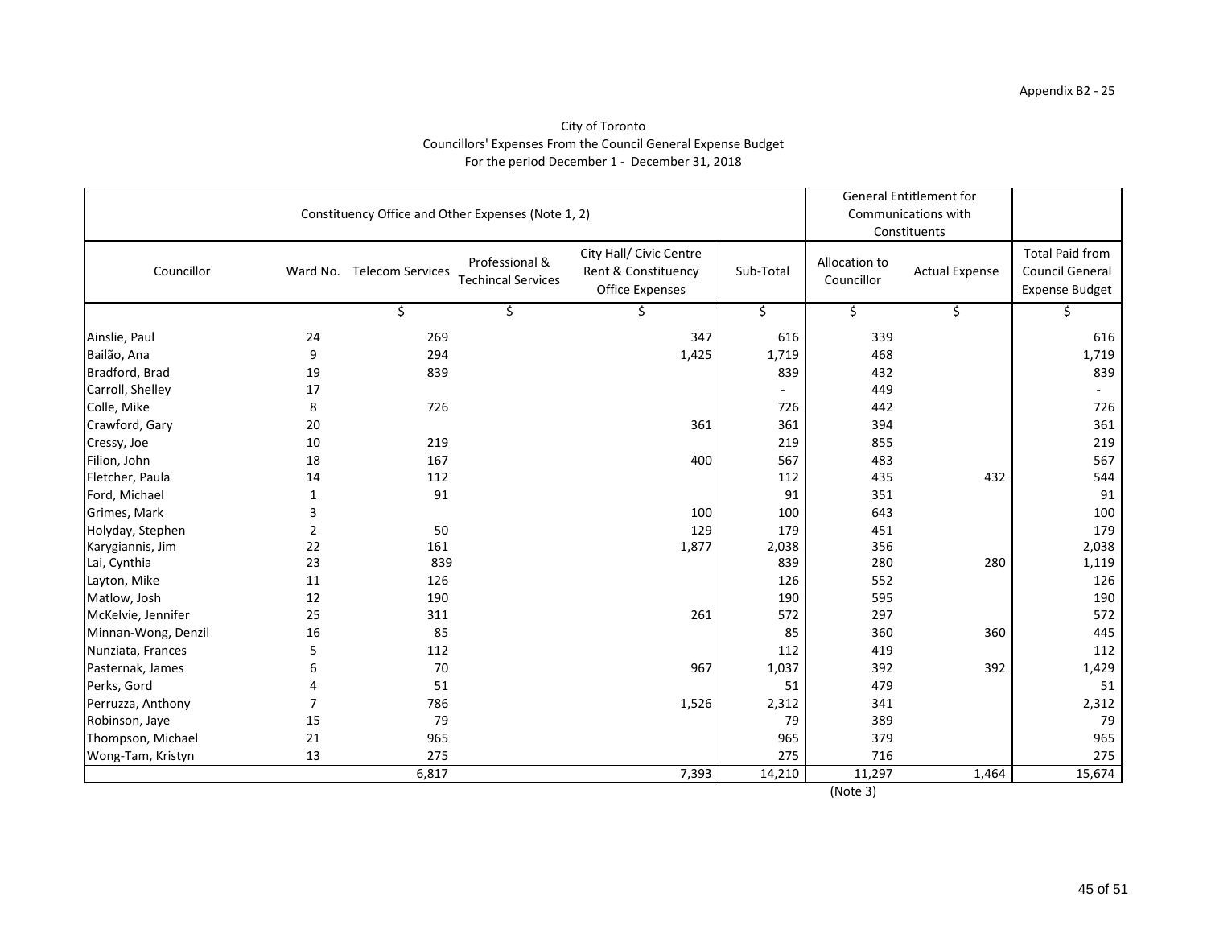# City of Toronto Councillors' Expenses From the Council General Expense Budget For the period December 1 - December 31, 2018

|                     | Constituency Office and Other Expenses (Note 1, 2) |                           | <b>General Entitlement for</b><br>Communications with<br>Constituents |                                                                          |           |                             |                       |                                                                    |
|---------------------|----------------------------------------------------|---------------------------|-----------------------------------------------------------------------|--------------------------------------------------------------------------|-----------|-----------------------------|-----------------------|--------------------------------------------------------------------|
| Councillor          |                                                    | Ward No. Telecom Services | Professional &<br><b>Techincal Services</b>                           | City Hall/ Civic Centre<br>Rent & Constituency<br><b>Office Expenses</b> | Sub-Total | Allocation to<br>Councillor | <b>Actual Expense</b> | <b>Total Paid from</b><br><b>Council General</b><br>Expense Budget |
|                     |                                                    | \$                        | \$                                                                    | S                                                                        | \$        | \$                          | \$                    |                                                                    |
| Ainslie, Paul       | 24                                                 | 269                       |                                                                       | 347                                                                      | 616       | 339                         |                       | 616                                                                |
| Bailão, Ana         | 9                                                  | 294                       |                                                                       | 1,425                                                                    | 1,719     | 468                         |                       | 1,719                                                              |
| Bradford, Brad      | 19                                                 | 839                       |                                                                       |                                                                          | 839       | 432                         |                       | 839                                                                |
| Carroll, Shelley    | 17                                                 |                           |                                                                       |                                                                          |           | 449                         |                       |                                                                    |
| Colle, Mike         | 8                                                  | 726                       |                                                                       |                                                                          | 726       | 442                         |                       | 726                                                                |
| Crawford, Gary      | 20                                                 |                           |                                                                       | 361                                                                      | 361       | 394                         |                       | 361                                                                |
| Cressy, Joe         | 10                                                 | 219                       |                                                                       |                                                                          | 219       | 855                         |                       | 219                                                                |
| Filion, John        | 18                                                 | 167                       |                                                                       | 400                                                                      | 567       | 483                         |                       | 567                                                                |
| Fletcher, Paula     | 14                                                 | 112                       |                                                                       |                                                                          | 112       | 435                         | 432                   | 544                                                                |
| Ford, Michael       | 1                                                  | 91                        |                                                                       |                                                                          | 91        | 351                         |                       | 91                                                                 |
| Grimes, Mark        | 3                                                  |                           |                                                                       | 100                                                                      | 100       | 643                         |                       | 100                                                                |
| Holyday, Stephen    | $\overline{2}$                                     | 50                        |                                                                       | 129                                                                      | 179       | 451                         |                       | 179                                                                |
| Karygiannis, Jim    | 22                                                 | 161                       |                                                                       | 1,877                                                                    | 2,038     | 356                         |                       | 2,038                                                              |
| Lai, Cynthia        | 23                                                 | 839                       |                                                                       |                                                                          | 839       | 280                         | 280                   | 1,119                                                              |
| Layton, Mike        | 11                                                 | 126                       |                                                                       |                                                                          | 126       | 552                         |                       | 126                                                                |
| Matlow, Josh        | 12                                                 | 190                       |                                                                       |                                                                          | 190       | 595                         |                       | 190                                                                |
| McKelvie, Jennifer  | 25                                                 | 311                       |                                                                       | 261                                                                      | 572       | 297                         |                       | 572                                                                |
| Minnan-Wong, Denzil | 16                                                 | 85                        |                                                                       |                                                                          | 85        | 360                         | 360                   | 445                                                                |
| Nunziata, Frances   | 5                                                  | 112                       |                                                                       |                                                                          | 112       | 419                         |                       | 112                                                                |
| Pasternak, James    | 6                                                  | 70                        |                                                                       | 967                                                                      | 1,037     | 392                         | 392                   | 1,429                                                              |
| Perks, Gord         |                                                    | 51                        |                                                                       |                                                                          | 51        | 479                         |                       | 51                                                                 |
| Perruzza, Anthony   |                                                    | 786                       |                                                                       | 1,526                                                                    | 2,312     | 341                         |                       | 2,312                                                              |
| Robinson, Jaye      | 15                                                 | 79                        |                                                                       |                                                                          | 79        | 389                         |                       | 79                                                                 |
| Thompson, Michael   | 21                                                 | 965                       |                                                                       |                                                                          | 965       | 379                         |                       | 965                                                                |
| Wong-Tam, Kristyn   | 13                                                 | 275                       |                                                                       |                                                                          | 275       | 716                         |                       | 275                                                                |
|                     |                                                    | 6,817                     |                                                                       | 7,393                                                                    | 14,210    | 11,297                      | 1,464                 | 15,674                                                             |
|                     |                                                    |                           |                                                                       |                                                                          |           | (Note 3)                    |                       |                                                                    |

45 of 51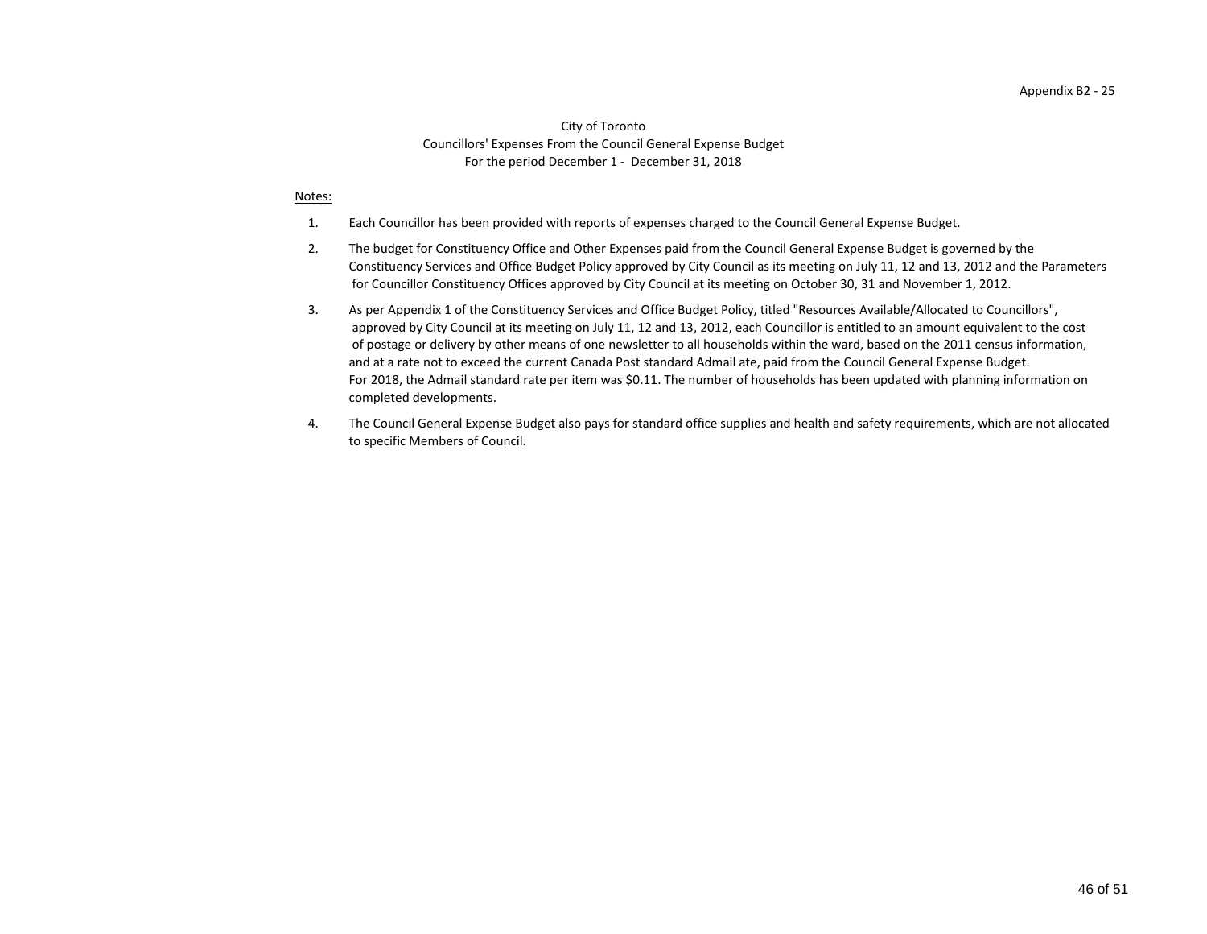# City of Toronto Councillors' Expenses From the Council General Expense Budget For the period December 1 - December 31, 2018

#### Notes:

- 1. Each Councillor has been provided with reports of expenses charged to the Council General Expense Budget.
- 2. for Councillor Constituency Offices approved by City Council at its meeting on October 30, 31 and November 1, 2012. The budget for Constituency Office and Other Expenses paid from the Council General Expense Budget is governed by the Constituency Services and Office Budget Policy approved by City Council as its meeting on July 11, 12 and 13, 2012 and the Parameters
- 3. completed developments. approved by City Council at its meeting on July 11, 12 and 13, 2012, each Councillor is entitled to an amount equivalent to the cost of postage or delivery by other means of one newsletter to all households within the ward, based on the 2011 census information, and at a rate not to exceed the current Canada Post standard Admail ate, paid from the Council General Expense Budget. For 2018, the Admail standard rate per item was \$0.11. The number of households has been updated with planning information on As per Appendix 1 of the Constituency Services and Office Budget Policy, titled "Resources Available/Allocated to Councillors",
- 4. to specific Members of Council. The Council General Expense Budget also pays for standard office supplies and health and safety requirements, which are not allocated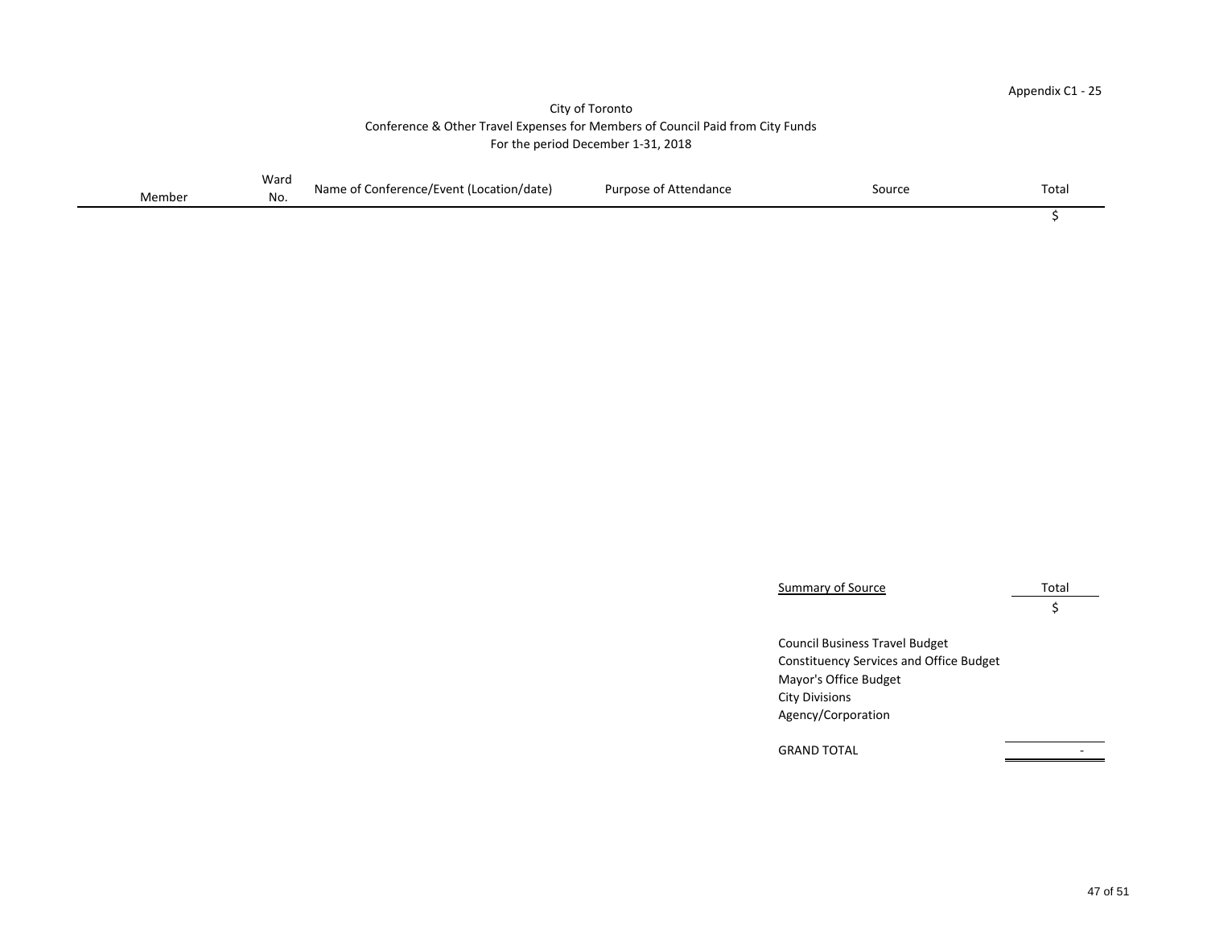# Appendix C1 - 25

 $\overline{\mathcal{L}}$ 

 $\zeta$ 

Council Business Travel Budget Constituency Services and Office Budget

|        | Ward | Name of<br>Conference/Event (Location/date) | <b>Purpose of Attendance</b> | Source | Tota. |
|--------|------|---------------------------------------------|------------------------------|--------|-------|
| Member | No.  |                                             |                              |        |       |

Summary of Source Total

Mayor's Office Budget City Divisions Agency/Corporation

GRAND TOTAL **AND TOTAL** 

# City of Toronto Conference & Other Travel Expenses for Members of Council Paid from City Funds For the period December 1-31, 2018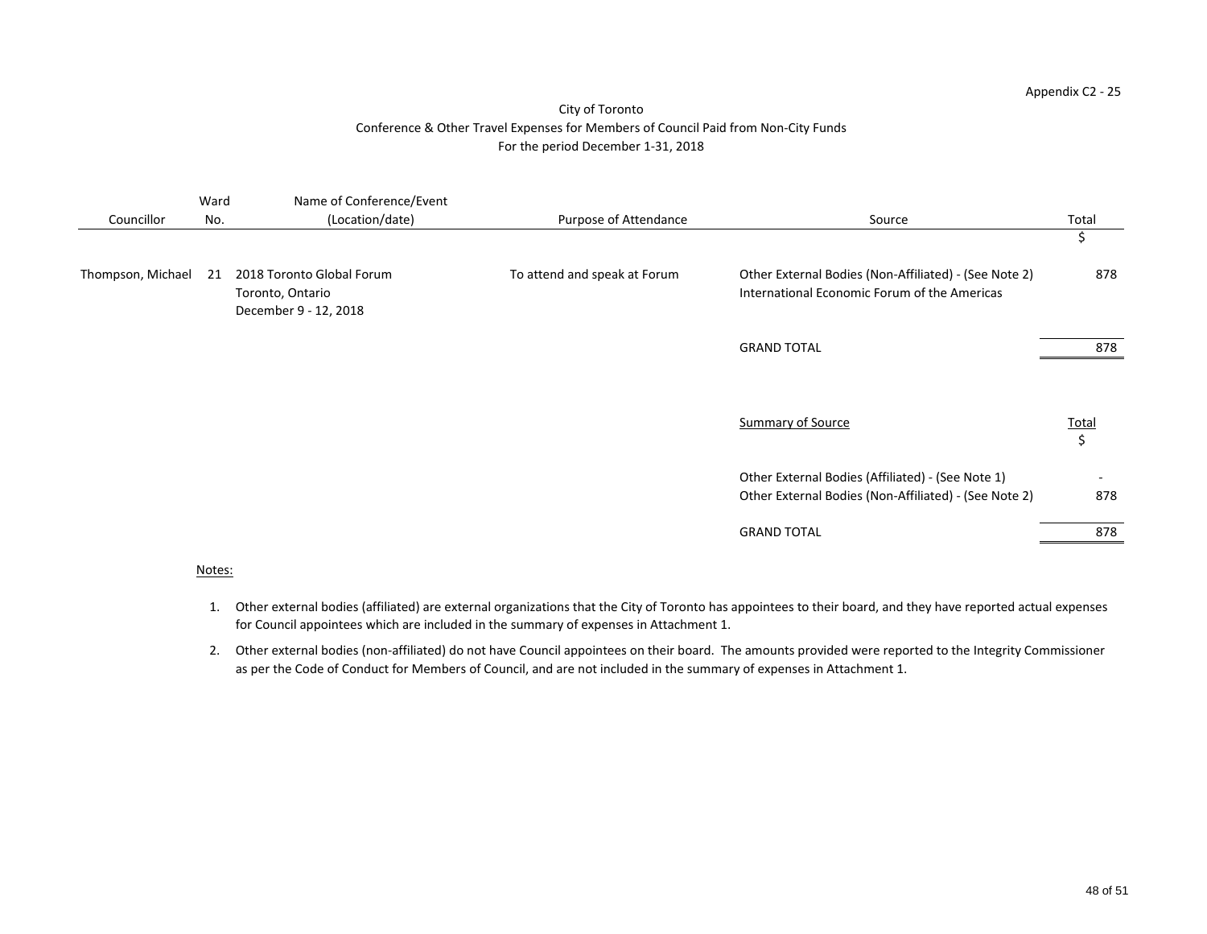| Councillor        | Ward<br>No. | Name of Conference/Event<br>(Location/date)                            | Purpose of Attendance        | Source                                                                                                     | Total                   |
|-------------------|-------------|------------------------------------------------------------------------|------------------------------|------------------------------------------------------------------------------------------------------------|-------------------------|
|                   |             |                                                                        |                              |                                                                                                            | \$                      |
| Thompson, Michael | 21          | 2018 Toronto Global Forum<br>Toronto, Ontario<br>December 9 - 12, 2018 | To attend and speak at Forum | Other External Bodies (Non-Affiliated) - (See Note 2)<br>International Economic Forum of the Americas      | 878                     |
|                   |             |                                                                        |                              | <b>GRAND TOTAL</b>                                                                                         | 878                     |
|                   |             |                                                                        |                              | <b>Summary of Source</b>                                                                                   | <b>Total</b><br>$\zeta$ |
|                   |             |                                                                        |                              | Other External Bodies (Affiliated) - (See Note 1)<br>Other External Bodies (Non-Affiliated) - (See Note 2) | 878                     |
|                   |             |                                                                        |                              | <b>GRAND TOTAL</b>                                                                                         | 878                     |
|                   | $\cdots$    |                                                                        |                              |                                                                                                            |                         |

# Notes:

- 1. Other external bodies (affiliated) are external organizations that the City of Toronto has appointees to their board, and they have reported actual expenses for Council appointees which are included in the summary of expenses in Attachment 1.
- 2. Other external bodies (non-affiliated) do not have Council appointees on their board. The amounts provided were reported to the Integrity Commissioner as per the Code of Conduct for Members of Council, and are not included in the summary of expenses in Attachment 1.

# Appendix C2 - 25

# City of Toronto Conference & Other Travel Expenses for Members of Council Paid from Non-City Funds For the period December 1-31, 2018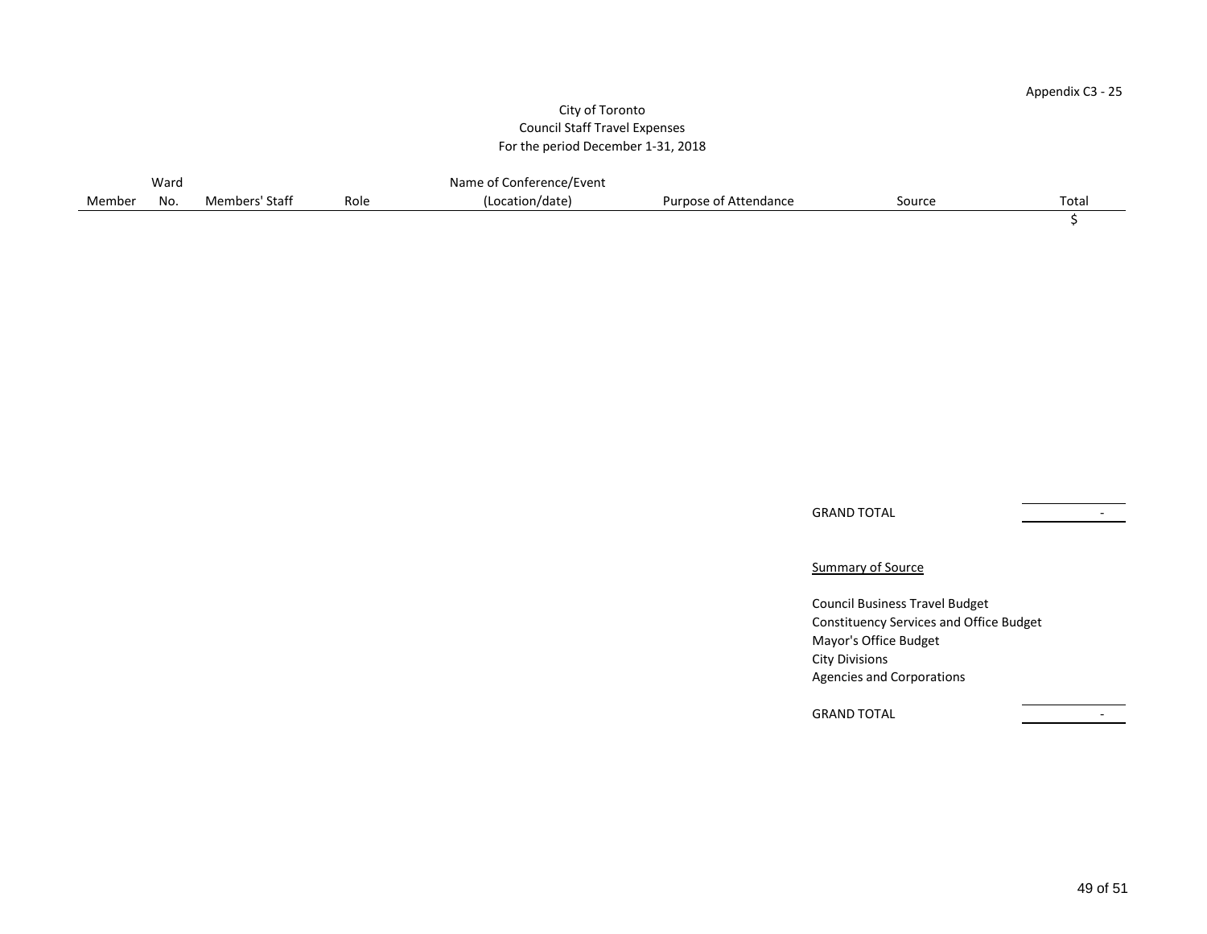#### Appendix C3 - 25

# City of Toronto Council Staff Travel Expenses For the period December 1-31, 2018

|        | Ward |                |      | Name of Conference/Event |                       |        |                   |
|--------|------|----------------|------|--------------------------|-----------------------|--------|-------------------|
| Member | No.  | Members' Staff | Role | (Location/date)          | Purpose of Attendance | Source | Tota <sub>1</sub> |
|        |      |                |      |                          |                       |        |                   |

GRAND TOTAL THE STATE OF THE STATE OF THE STATE OF THE STATE OF THE STATE OF THE STATE OF THE STATE OF THE STA

**Summary of Source** 

Council Business Travel Budget Constituency Services and Office Budget Mayor's Office Budget City Divisions Agencies and Corporations

GRAND TOTAL **CONTRACT CONTRACT CONTRACT CONTRACT CONTRACT CONTRACT CONTRACT CONTRACT CONTRACT CONTRACT CONTRACT CONTRACT CONTRACT CONTRACT CONTRACT CONTRACT CONTRACT CONTRACT CONTRACT CONTRACT CONTRACT CONTRACT CONTRACT CO**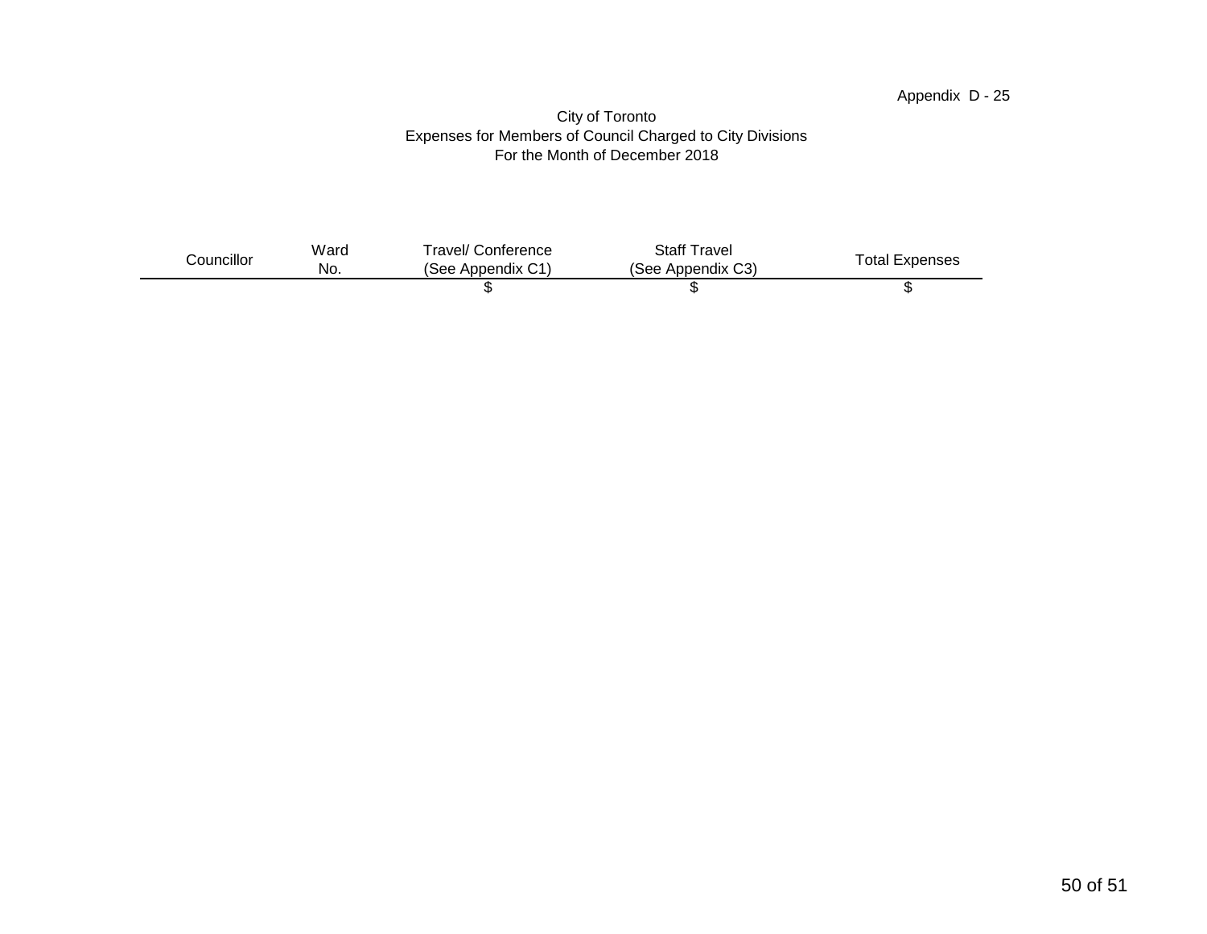#### Appendix D - 25

#### City of Toronto Expenses for Members of Council Charged to City Divisions For the Month of December 2018

| Councillor | Ward<br>No. | Travel/ Conference<br>(See Appendix C1) | <b>Staff Travel</b><br>(See Appendix C3) | <b>Total Expenses</b> |
|------------|-------------|-----------------------------------------|------------------------------------------|-----------------------|
|            |             |                                         |                                          |                       |